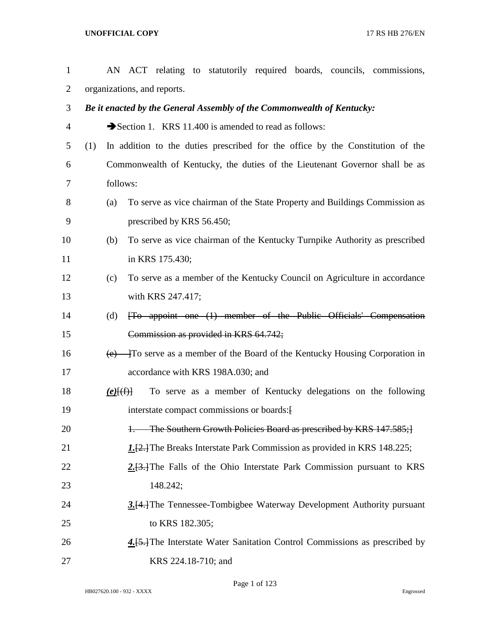| $\mathbf{1}$   |                             |             | AN ACT relating to statutorily required boards, councils, commissions,                    |  |  |  |  |  |  |  |
|----------------|-----------------------------|-------------|-------------------------------------------------------------------------------------------|--|--|--|--|--|--|--|
| 2              | organizations, and reports. |             |                                                                                           |  |  |  |  |  |  |  |
| 3              |                             |             | Be it enacted by the General Assembly of the Commonwealth of Kentucky:                    |  |  |  |  |  |  |  |
| $\overline{4}$ |                             |             | Section 1. KRS 11.400 is amended to read as follows:                                      |  |  |  |  |  |  |  |
| 5              | (1)                         |             | In addition to the duties prescribed for the office by the Constitution of the            |  |  |  |  |  |  |  |
| 6              |                             |             | Commonwealth of Kentucky, the duties of the Lieutenant Governor shall be as               |  |  |  |  |  |  |  |
| 7              |                             | follows:    |                                                                                           |  |  |  |  |  |  |  |
| 8              |                             | (a)         | To serve as vice chairman of the State Property and Buildings Commission as               |  |  |  |  |  |  |  |
| 9              |                             |             | prescribed by KRS 56.450;                                                                 |  |  |  |  |  |  |  |
| 10             |                             | (b)         | To serve as vice chairman of the Kentucky Turnpike Authority as prescribed                |  |  |  |  |  |  |  |
| 11             |                             |             | in KRS 175.430;                                                                           |  |  |  |  |  |  |  |
| 12             |                             | (c)         | To serve as a member of the Kentucky Council on Agriculture in accordance                 |  |  |  |  |  |  |  |
| 13             |                             |             | with KRS 247.417;                                                                         |  |  |  |  |  |  |  |
| 14             |                             | (d)         | [To appoint one (1) member of the Public Officials' Compensation                          |  |  |  |  |  |  |  |
| 15             |                             |             | Commission as provided in KRS 64.742;                                                     |  |  |  |  |  |  |  |
| 16             |                             |             | $\overline{(e)}$ To serve as a member of the Board of the Kentucky Housing Corporation in |  |  |  |  |  |  |  |
| 17             |                             |             | accordance with KRS 198A.030; and                                                         |  |  |  |  |  |  |  |
| 18             |                             | $(e)$ $(f)$ | To serve as a member of Kentucky delegations on the following                             |  |  |  |  |  |  |  |
| 19             |                             |             | interstate compact commissions or boards: [                                               |  |  |  |  |  |  |  |
| 20             |                             |             | The Southern Growth Policies Board as prescribed by KRS 147.585;                          |  |  |  |  |  |  |  |
| 21             |                             |             | 1.[2.] The Breaks Interstate Park Commission as provided in KRS 148.225;                  |  |  |  |  |  |  |  |
| 22             |                             |             | 2.[3.] The Falls of the Ohio Interstate Park Commission pursuant to KRS                   |  |  |  |  |  |  |  |
| 23             |                             |             | 148.242;                                                                                  |  |  |  |  |  |  |  |
| 24             |                             |             | 3.[4.] The Tennessee-Tombigbee Waterway Development Authority pursuant                    |  |  |  |  |  |  |  |
| 25             |                             |             | to KRS 182.305;                                                                           |  |  |  |  |  |  |  |
| 26             |                             |             | 4.[5.] The Interstate Water Sanitation Control Commissions as prescribed by               |  |  |  |  |  |  |  |
| 27             |                             |             | KRS 224.18-710; and                                                                       |  |  |  |  |  |  |  |

Page 1 of 123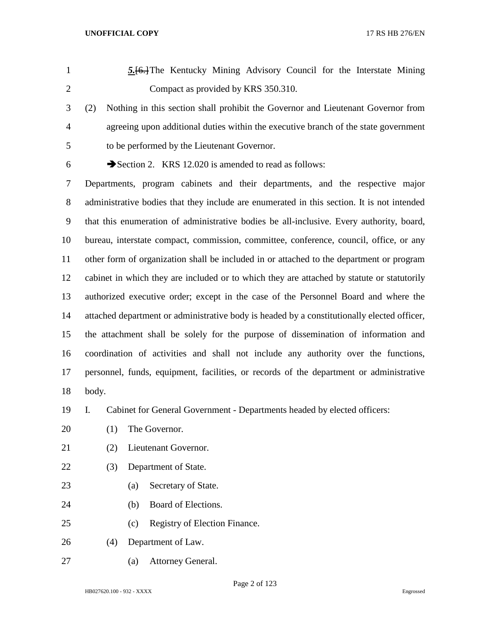- *5.*[6.]The Kentucky Mining Advisory Council for the Interstate Mining Compact as provided by KRS 350.310.
- (2) Nothing in this section shall prohibit the Governor and Lieutenant Governor from agreeing upon additional duties within the executive branch of the state government to be performed by the Lieutenant Governor.
- 

6  $\rightarrow$  Section 2. KRS 12.020 is amended to read as follows:

 Departments, program cabinets and their departments, and the respective major administrative bodies that they include are enumerated in this section. It is not intended that this enumeration of administrative bodies be all-inclusive. Every authority, board, bureau, interstate compact, commission, committee, conference, council, office, or any other form of organization shall be included in or attached to the department or program cabinet in which they are included or to which they are attached by statute or statutorily authorized executive order; except in the case of the Personnel Board and where the attached department or administrative body is headed by a constitutionally elected officer, the attachment shall be solely for the purpose of dissemination of information and coordination of activities and shall not include any authority over the functions, personnel, funds, equipment, facilities, or records of the department or administrative body.

I. Cabinet for General Government - Departments headed by elected officers:

- 20 (1) The Governor.
- (2) Lieutenant Governor.
- (3) Department of State.
- (a) Secretary of State.
- (b) Board of Elections.
- (c) Registry of Election Finance.
- (4) Department of Law.
- (a) Attorney General.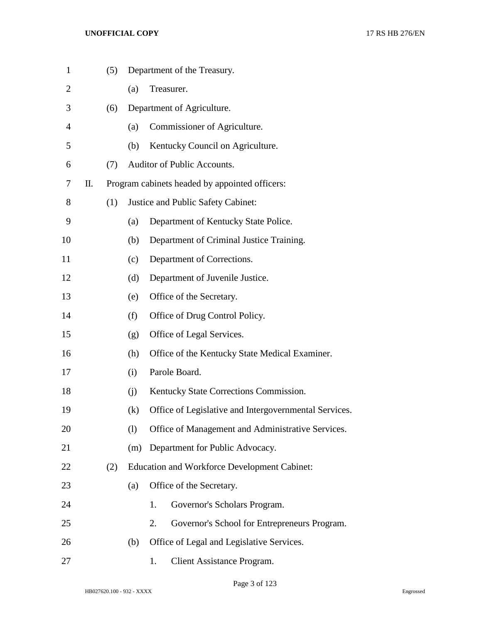| $\mathbf{1}$   |    | (5) |     |    | Department of the Treasury.                           |
|----------------|----|-----|-----|----|-------------------------------------------------------|
| $\overline{2}$ |    |     | (a) |    | Treasurer.                                            |
| 3              |    | (6) |     |    | Department of Agriculture.                            |
| $\overline{4}$ |    |     | (a) |    | Commissioner of Agriculture.                          |
| 5              |    |     | (b) |    | Kentucky Council on Agriculture.                      |
| 6              |    | (7) |     |    | Auditor of Public Accounts.                           |
| 7              | П. |     |     |    | Program cabinets headed by appointed officers:        |
| 8              |    | (1) |     |    | Justice and Public Safety Cabinet:                    |
| 9              |    |     | (a) |    | Department of Kentucky State Police.                  |
| 10             |    |     | (b) |    | Department of Criminal Justice Training.              |
| 11             |    |     | (c) |    | Department of Corrections.                            |
| 12             |    |     | (d) |    | Department of Juvenile Justice.                       |
| 13             |    |     | (e) |    | Office of the Secretary.                              |
| 14             |    |     | (f) |    | Office of Drug Control Policy.                        |
| 15             |    |     | (g) |    | Office of Legal Services.                             |
| 16             |    |     | (h) |    | Office of the Kentucky State Medical Examiner.        |
| 17             |    |     | (i) |    | Parole Board.                                         |
| 18             |    |     | (i) |    | Kentucky State Corrections Commission.                |
| 19             |    |     | (k) |    | Office of Legislative and Intergovernmental Services. |
| 20             |    |     | (1) |    | Office of Management and Administrative Services.     |
| 21             |    |     | (m) |    | Department for Public Advocacy.                       |
| 22             |    | (2) |     |    | <b>Education and Workforce Development Cabinet:</b>   |
| 23             |    |     | (a) |    | Office of the Secretary.                              |
| 24             |    |     |     | 1. | Governor's Scholars Program.                          |
| 25             |    |     |     | 2. | Governor's School for Entrepreneurs Program.          |
| 26             |    |     | (b) |    | Office of Legal and Legislative Services.             |
| 27             |    |     |     | 1. | Client Assistance Program.                            |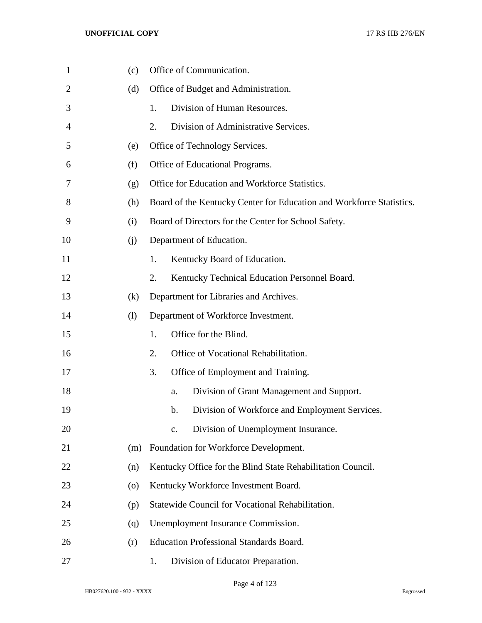| $\mathbf{1}$   | (c)                | Office of Communication.                                             |
|----------------|--------------------|----------------------------------------------------------------------|
| $\overline{2}$ | (d)                | Office of Budget and Administration.                                 |
| 3              |                    | Division of Human Resources.<br>1.                                   |
| 4              |                    | 2.<br>Division of Administrative Services.                           |
| 5              | (e)                | Office of Technology Services.                                       |
| 6              | (f)                | Office of Educational Programs.                                      |
| 7              | (g)                | Office for Education and Workforce Statistics.                       |
| 8              | (h)                | Board of the Kentucky Center for Education and Workforce Statistics. |
| 9              | (i)                | Board of Directors for the Center for School Safety.                 |
| 10             | (i)                | Department of Education.                                             |
| 11             |                    | 1.<br>Kentucky Board of Education.                                   |
| 12             |                    | 2.<br>Kentucky Technical Education Personnel Board.                  |
| 13             | (k)                | Department for Libraries and Archives.                               |
| 14             | (1)                | Department of Workforce Investment.                                  |
| 15             |                    | Office for the Blind.<br>1.                                          |
| 16             |                    | 2.<br>Office of Vocational Rehabilitation.                           |
| 17             |                    | 3.<br>Office of Employment and Training.                             |
| 18             |                    | Division of Grant Management and Support.<br>a.                      |
| 19             |                    | Division of Workforce and Employment Services.<br>b.                 |
| 20             |                    | Division of Unemployment Insurance.<br>$C_{\bullet}$                 |
| 21             | (m)                | Foundation for Workforce Development.                                |
| 22             | (n)                | Kentucky Office for the Blind State Rehabilitation Council.          |
| 23             | $\left( 0 \right)$ | Kentucky Workforce Investment Board.                                 |
| 24             | (p)                | Statewide Council for Vocational Rehabilitation.                     |
| 25             | (q)                | Unemployment Insurance Commission.                                   |
| 26             | (r)                | <b>Education Professional Standards Board.</b>                       |
| 27             |                    | Division of Educator Preparation.<br>1.                              |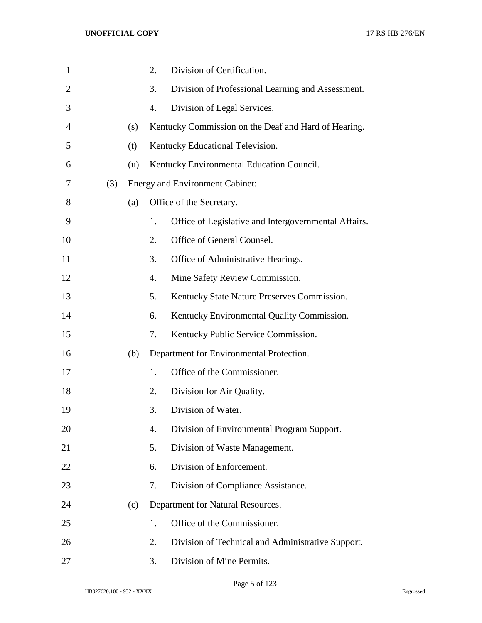| $\mathbf{1}$   |     |     | 2. | Division of Certification.                           |
|----------------|-----|-----|----|------------------------------------------------------|
| $\overline{2}$ |     |     | 3. | Division of Professional Learning and Assessment.    |
| 3              |     |     | 4. | Division of Legal Services.                          |
| 4              |     | (s) |    | Kentucky Commission on the Deaf and Hard of Hearing. |
| 5              |     | (t) |    | Kentucky Educational Television.                     |
| 6              |     | (u) |    | Kentucky Environmental Education Council.            |
| 7              | (3) |     |    | <b>Energy and Environment Cabinet:</b>               |
| 8              |     | (a) |    | Office of the Secretary.                             |
| 9              |     |     | 1. | Office of Legislative and Intergovernmental Affairs. |
| 10             |     |     | 2. | Office of General Counsel.                           |
| 11             |     |     | 3. | Office of Administrative Hearings.                   |
| 12             |     |     | 4. | Mine Safety Review Commission.                       |
| 13             |     |     | 5. | Kentucky State Nature Preserves Commission.          |
| 14             |     |     | 6. | Kentucky Environmental Quality Commission.           |
| 15             |     |     | 7. | Kentucky Public Service Commission.                  |
| 16             |     | (b) |    | Department for Environmental Protection.             |
| 17             |     |     | 1. | Office of the Commissioner.                          |
| 18             |     |     | 2. | Division for Air Quality.                            |
| 19             |     |     | 3. | Division of Water.                                   |
| 20             |     |     | 4. | Division of Environmental Program Support.           |
| 21             |     |     | 5. | Division of Waste Management.                        |
| 22             |     |     | 6. | Division of Enforcement.                             |
| 23             |     |     | 7. | Division of Compliance Assistance.                   |
| 24             |     | (c) |    | Department for Natural Resources.                    |
| 25             |     |     | 1. | Office of the Commissioner.                          |
| 26             |     |     | 2. | Division of Technical and Administrative Support.    |
| 27             |     |     | 3. | Division of Mine Permits.                            |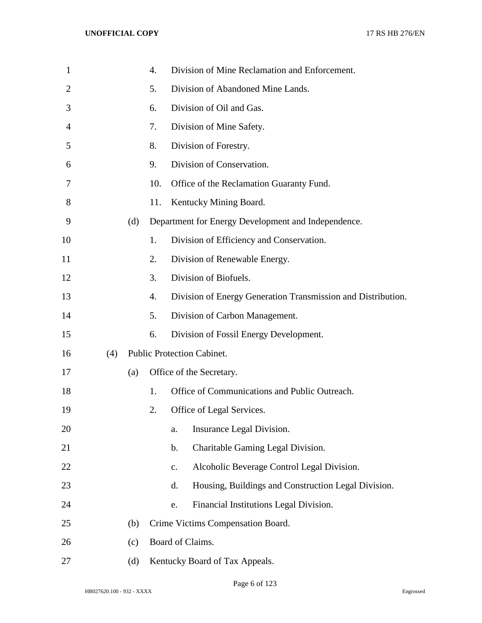| 1              |     |     | 4.  |                                   | Division of Mine Reclamation and Enforcement.                |
|----------------|-----|-----|-----|-----------------------------------|--------------------------------------------------------------|
| $\overline{2}$ |     |     | 5.  |                                   | Division of Abandoned Mine Lands.                            |
| 3              |     |     | 6.  |                                   | Division of Oil and Gas.                                     |
| 4              |     |     | 7.  |                                   | Division of Mine Safety.                                     |
| 5              |     |     | 8.  |                                   | Division of Forestry.                                        |
| 6              |     |     | 9.  |                                   | Division of Conservation.                                    |
| 7              |     |     | 10. |                                   | Office of the Reclamation Guaranty Fund.                     |
| 8              |     |     | 11. |                                   | Kentucky Mining Board.                                       |
| 9              |     | (d) |     |                                   | Department for Energy Development and Independence.          |
| 10             |     |     | 1.  |                                   | Division of Efficiency and Conservation.                     |
| 11             |     |     | 2.  |                                   | Division of Renewable Energy.                                |
| 12             |     |     | 3.  |                                   | Division of Biofuels.                                        |
| 13             |     |     | 4.  |                                   | Division of Energy Generation Transmission and Distribution. |
| 14             |     |     | 5.  |                                   | Division of Carbon Management.                               |
| 15             |     |     | 6.  |                                   | Division of Fossil Energy Development.                       |
| 16             | (4) |     |     | <b>Public Protection Cabinet.</b> |                                                              |
| 17             |     | (a) |     |                                   | Office of the Secretary.                                     |
| 18             |     |     | 1.  |                                   | Office of Communications and Public Outreach.                |
| 19             |     |     | 2.  |                                   | Office of Legal Services.                                    |
| 20             |     |     |     | a.                                | Insurance Legal Division.                                    |
| 21             |     |     |     | b.                                | Charitable Gaming Legal Division.                            |
| 22             |     |     |     | $\mathbf{c}$ .                    | Alcoholic Beverage Control Legal Division.                   |
| 23             |     |     |     | d.                                | Housing, Buildings and Construction Legal Division.          |
| 24             |     |     |     | e.                                | Financial Institutions Legal Division.                       |
| 25             |     | (b) |     |                                   | Crime Victims Compensation Board.                            |
| 26             |     | (c) |     | Board of Claims.                  |                                                              |
| 27             |     | (d) |     |                                   | Kentucky Board of Tax Appeals.                               |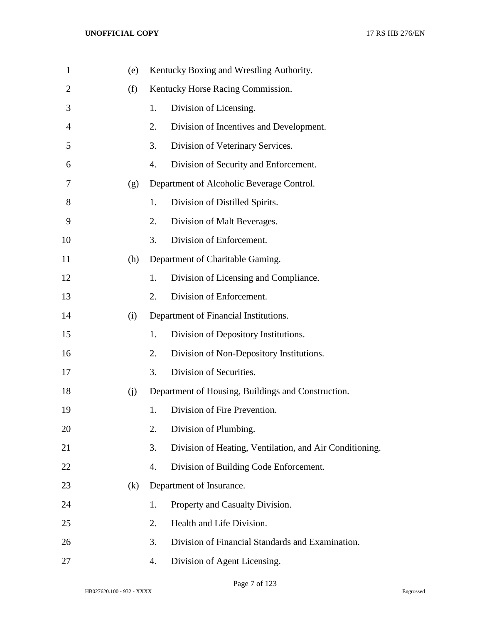| $\mathbf{1}$   | (e) |    | Kentucky Boxing and Wrestling Authority.                |
|----------------|-----|----|---------------------------------------------------------|
| $\overline{2}$ | (f) |    | Kentucky Horse Racing Commission.                       |
| 3              |     | 1. | Division of Licensing.                                  |
| 4              |     | 2. | Division of Incentives and Development.                 |
| 5              |     | 3. | Division of Veterinary Services.                        |
| 6              |     | 4. | Division of Security and Enforcement.                   |
| 7              | (g) |    | Department of Alcoholic Beverage Control.               |
| 8              |     | 1. | Division of Distilled Spirits.                          |
| 9              |     | 2. | Division of Malt Beverages.                             |
| 10             |     | 3. | Division of Enforcement.                                |
| 11             | (h) |    | Department of Charitable Gaming.                        |
| 12             |     | 1. | Division of Licensing and Compliance.                   |
| 13             |     | 2. | Division of Enforcement.                                |
| 14             | (i) |    | Department of Financial Institutions.                   |
| 15             |     | 1. | Division of Depository Institutions.                    |
| 16             |     | 2. | Division of Non-Depository Institutions.                |
| 17             |     | 3. | Division of Securities.                                 |
| 18             | (j) |    | Department of Housing, Buildings and Construction.      |
| 19             |     | 1. | Division of Fire Prevention.                            |
| 20             |     | 2. | Division of Plumbing.                                   |
| 21             |     | 3. | Division of Heating, Ventilation, and Air Conditioning. |
| 22             |     | 4. | Division of Building Code Enforcement.                  |
| 23             | (k) |    | Department of Insurance.                                |
| 24             |     | 1. | Property and Casualty Division.                         |
| 25             |     | 2. | Health and Life Division.                               |
| 26             |     | 3. | Division of Financial Standards and Examination.        |
| 27             |     | 4. | Division of Agent Licensing.                            |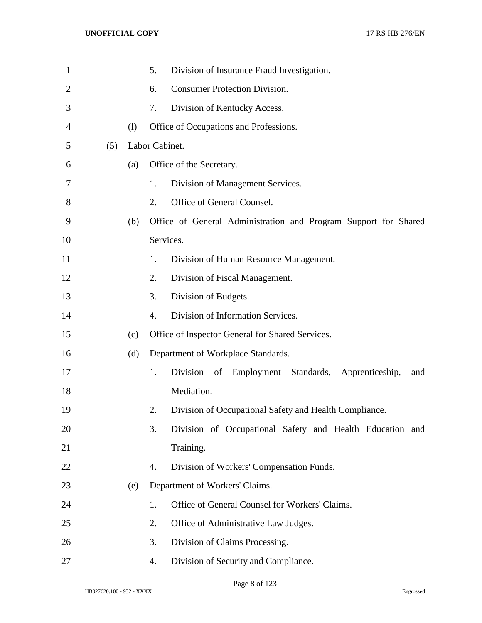| $\mathbf{1}$   |     |     | 5.             | Division of Insurance Fraud Investigation.                      |
|----------------|-----|-----|----------------|-----------------------------------------------------------------|
| $\overline{2}$ |     |     | 6.             | <b>Consumer Protection Division.</b>                            |
| 3              |     |     | 7.             | Division of Kentucky Access.                                    |
| 4              |     | (1) |                | Office of Occupations and Professions.                          |
| 5              | (5) |     | Labor Cabinet. |                                                                 |
| 6              |     | (a) |                | Office of the Secretary.                                        |
| 7              |     |     | 1.             | Division of Management Services.                                |
| 8              |     |     | 2.             | Office of General Counsel.                                      |
| 9              |     | (b) |                | Office of General Administration and Program Support for Shared |
| 10             |     |     |                | Services.                                                       |
| 11             |     |     | 1.             | Division of Human Resource Management.                          |
| 12             |     |     | 2.             | Division of Fiscal Management.                                  |
| 13             |     |     | 3.             | Division of Budgets.                                            |
| 14             |     |     | 4.             | Division of Information Services.                               |
| 15             |     | (c) |                | Office of Inspector General for Shared Services.                |
| 16             |     | (d) |                | Department of Workplace Standards.                              |
| 17             |     |     | 1.             | Division<br>Employment Standards, Apprenticeship,<br>of<br>and  |
| 18             |     |     |                | Mediation.                                                      |
| 19             |     |     | 2.             | Division of Occupational Safety and Health Compliance.          |
| 20             |     |     | 3.             | Division of Occupational Safety and Health Education and        |
| 21             |     |     |                | Training.                                                       |
| 22             |     |     | 4.             | Division of Workers' Compensation Funds.                        |
| 23             |     | (e) |                | Department of Workers' Claims.                                  |
| 24             |     |     | 1.             | Office of General Counsel for Workers' Claims.                  |
| 25             |     |     | 2.             | Office of Administrative Law Judges.                            |
| 26             |     |     | 3.             | Division of Claims Processing.                                  |
| 27             |     |     | 4.             | Division of Security and Compliance.                            |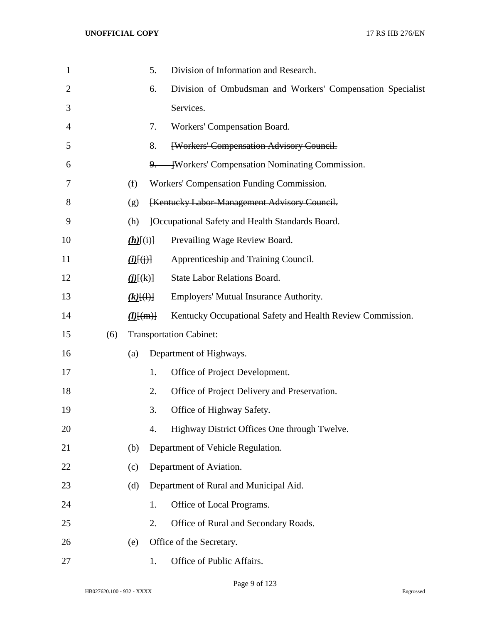| $\mathbf{1}$ |     | 5.                       | Division of Information and Research.                      |
|--------------|-----|--------------------------|------------------------------------------------------------|
| 2            |     | 6.                       | Division of Ombudsman and Workers' Compensation Specialist |
| 3            |     |                          | Services.                                                  |
| 4            |     | 7.                       | Workers' Compensation Board.                               |
| 5            |     | 8.                       | <b>[Workers' Compensation Advisory Council.</b>            |
| 6            |     |                          | 9. Workers' Compensation Nominating Commission.            |
| 7            |     | (f)                      | Workers' Compensation Funding Commission.                  |
| 8            |     | (g)                      | [Kentucky Labor-Management Advisory Council.               |
| 9            |     |                          | (h) — [Occupational Safety and Health Standards Board.     |
| 10           |     | $(h)$ $(i)$              | Prevailing Wage Review Board.                              |
| 11           |     | $(i)$ $(i)$ $(i)$ $(i)$  | Apprenticeship and Training Council.                       |
| 12           |     | $\underline{(i)}[\pm 1]$ | <b>State Labor Relations Board.</b>                        |
| 13           |     | $(k)$ [(1)]              | Employers' Mutual Insurance Authority.                     |
| 14           |     | $(l)$ [(m)]              | Kentucky Occupational Safety and Health Review Commission. |
| 15           | (6) |                          | <b>Transportation Cabinet:</b>                             |
| 16           |     | (a)                      | Department of Highways.                                    |
| 17           |     | 1.                       | Office of Project Development.                             |
| 18           |     | 2.                       | Office of Project Delivery and Preservation.               |
| 19           |     | 3.                       | Office of Highway Safety.                                  |
| 20           |     | 4.                       | Highway District Offices One through Twelve.               |
| 21           |     | (b)                      | Department of Vehicle Regulation.                          |
| 22           |     | (c)                      | Department of Aviation.                                    |
| 23           |     | (d)                      | Department of Rural and Municipal Aid.                     |
| 24           |     | 1.                       | Office of Local Programs.                                  |
| 25           |     | 2.                       | Office of Rural and Secondary Roads.                       |
| 26           |     | (e)                      | Office of the Secretary.                                   |
| 27           |     | 1.                       | Office of Public Affairs.                                  |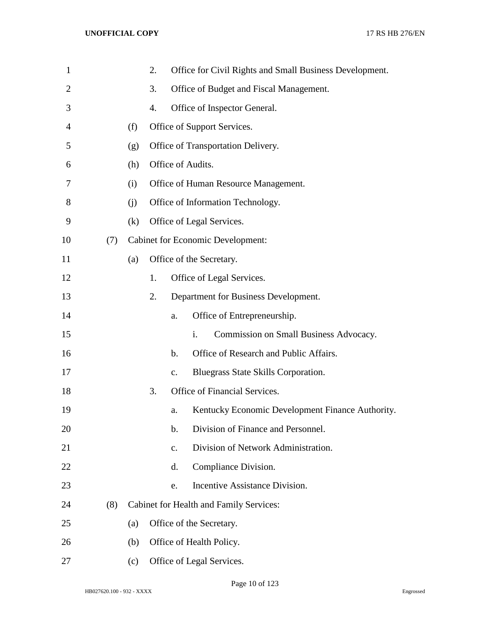| 1              |     |     | 2. |               | Office for Civil Rights and Small Business Development.  |
|----------------|-----|-----|----|---------------|----------------------------------------------------------|
| $\overline{2}$ |     |     | 3. |               | Office of Budget and Fiscal Management.                  |
| 3              |     |     | 4. |               | Office of Inspector General.                             |
| 4              |     | (f) |    |               | Office of Support Services.                              |
| 5              |     | (g) |    |               | Office of Transportation Delivery.                       |
| 6              |     | (h) |    |               | Office of Audits.                                        |
| 7              |     | (i) |    |               | Office of Human Resource Management.                     |
| 8              |     | (i) |    |               | Office of Information Technology.                        |
| 9              |     | (k) |    |               | Office of Legal Services.                                |
| 10             | (7) |     |    |               | <b>Cabinet for Economic Development:</b>                 |
| 11             |     | (a) |    |               | Office of the Secretary.                                 |
| 12             |     |     | 1. |               | Office of Legal Services.                                |
| 13             |     |     | 2. |               | Department for Business Development.                     |
| 14             |     |     |    | a.            | Office of Entrepreneurship.                              |
| 15             |     |     |    |               | Commission on Small Business Advocacy.<br>$\mathbf{i}$ . |
| 16             |     |     |    | $\mathbf b$ . | Office of Research and Public Affairs.                   |
| 17             |     |     |    | $C_{\bullet}$ | Bluegrass State Skills Corporation.                      |
| 18             |     |     | 3. |               | Office of Financial Services.                            |
| 19             |     |     |    | a.            | Kentucky Economic Development Finance Authority.         |
| 20             |     |     |    | b.            | Division of Finance and Personnel.                       |
| 21             |     |     |    | $C_{\bullet}$ | Division of Network Administration.                      |
| 22             |     |     |    | d.            | Compliance Division.                                     |
| 23             |     |     |    | e.            | Incentive Assistance Division.                           |
| 24             | (8) |     |    |               | <b>Cabinet for Health and Family Services:</b>           |
| 25             |     | (a) |    |               | Office of the Secretary.                                 |
| 26             |     | (b) |    |               | Office of Health Policy.                                 |
| 27             |     | (c) |    |               | Office of Legal Services.                                |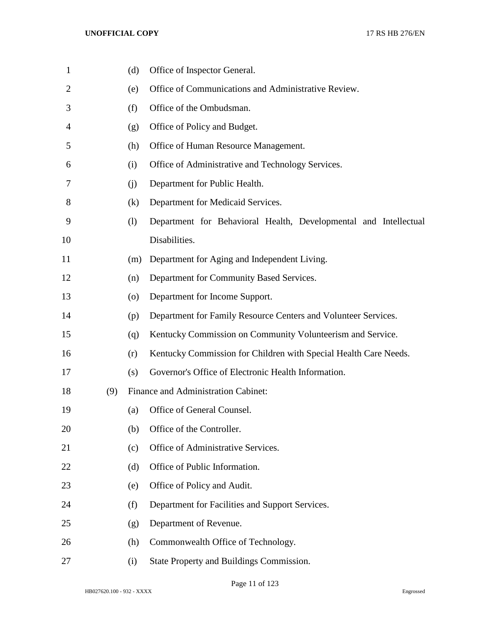| 1              |     | (d)                | Office of Inspector General.                                     |
|----------------|-----|--------------------|------------------------------------------------------------------|
| $\overline{2}$ |     | (e)                | Office of Communications and Administrative Review.              |
| 3              |     | (f)                | Office of the Ombudsman.                                         |
| 4              |     | (g)                | Office of Policy and Budget.                                     |
| 5              |     | (h)                | Office of Human Resource Management.                             |
| 6              |     | (i)                | Office of Administrative and Technology Services.                |
| 7              |     | (i)                | Department for Public Health.                                    |
| 8              |     | (k)                | Department for Medicaid Services.                                |
| 9              |     | (1)                | Department for Behavioral Health, Developmental and Intellectual |
| 10             |     |                    | Disabilities.                                                    |
| 11             |     | (m)                | Department for Aging and Independent Living.                     |
| 12             |     | (n)                | Department for Community Based Services.                         |
| 13             |     | $\left( 0 \right)$ | Department for Income Support.                                   |
| 14             |     | (p)                | Department for Family Resource Centers and Volunteer Services.   |
| 15             |     | (q)                | Kentucky Commission on Community Volunteerism and Service.       |
| 16             |     | (r)                | Kentucky Commission for Children with Special Health Care Needs. |
| 17             |     | (s)                | Governor's Office of Electronic Health Information.              |
| 18             | (9) |                    | Finance and Administration Cabinet:                              |
| 19             |     | (a)                | Office of General Counsel.                                       |
| 20             |     | (b)                | Office of the Controller.                                        |
| 21             |     | (c)                | Office of Administrative Services.                               |
| 22             |     | (d)                | Office of Public Information.                                    |
| 23             |     | (e)                | Office of Policy and Audit.                                      |
| 24             |     | (f)                | Department for Facilities and Support Services.                  |
| 25             |     | (g)                | Department of Revenue.                                           |
| 26             |     | (h)                | Commonwealth Office of Technology.                               |
| 27             |     | (i)                | State Property and Buildings Commission.                         |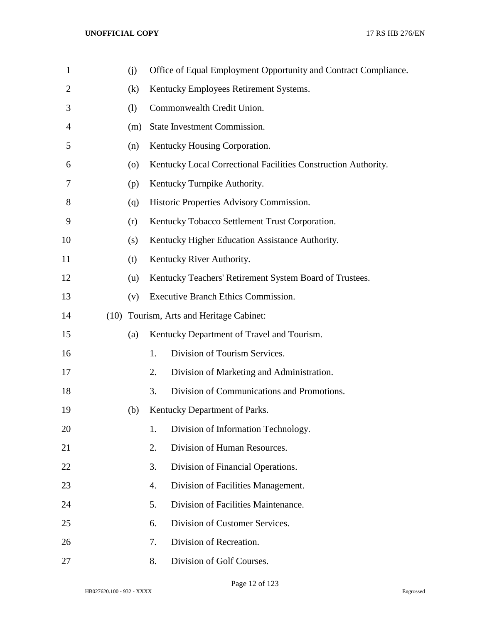| $\mathbf{1}$   | (j) |    | Office of Equal Employment Opportunity and Contract Compliance. |
|----------------|-----|----|-----------------------------------------------------------------|
| $\overline{2}$ | (k) |    | Kentucky Employees Retirement Systems.                          |
| 3              | (1) |    | Commonwealth Credit Union.                                      |
| 4              | (m) |    | State Investment Commission.                                    |
| 5              | (n) |    | Kentucky Housing Corporation.                                   |
| 6              | (0) |    | Kentucky Local Correctional Facilities Construction Authority.  |
| 7              | (p) |    | Kentucky Turnpike Authority.                                    |
| 8              | (q) |    | Historic Properties Advisory Commission.                        |
| 9              | (r) |    | Kentucky Tobacco Settlement Trust Corporation.                  |
| 10             | (s) |    | Kentucky Higher Education Assistance Authority.                 |
| 11             | (t) |    | Kentucky River Authority.                                       |
| 12             | (u) |    | Kentucky Teachers' Retirement System Board of Trustees.         |
| 13             | (v) |    | Executive Branch Ethics Commission.                             |
| 14             |     |    | (10) Tourism, Arts and Heritage Cabinet:                        |
| 15             | (a) |    | Kentucky Department of Travel and Tourism.                      |
| 16             |     | 1. | Division of Tourism Services.                                   |
| 17             |     | 2. | Division of Marketing and Administration.                       |
| 18             |     | 3. | Division of Communications and Promotions.                      |
| 19             | (b) |    | Kentucky Department of Parks.                                   |
| 20             |     | 1. | Division of Information Technology.                             |
| 21             |     | 2. | Division of Human Resources.                                    |
| 22             |     | 3. | Division of Financial Operations.                               |
| 23             |     | 4. | Division of Facilities Management.                              |
| 24             |     | 5. | Division of Facilities Maintenance.                             |
| 25             |     | 6. | Division of Customer Services.                                  |
| 26             |     | 7. | Division of Recreation.                                         |
| 27             |     | 8. | Division of Golf Courses.                                       |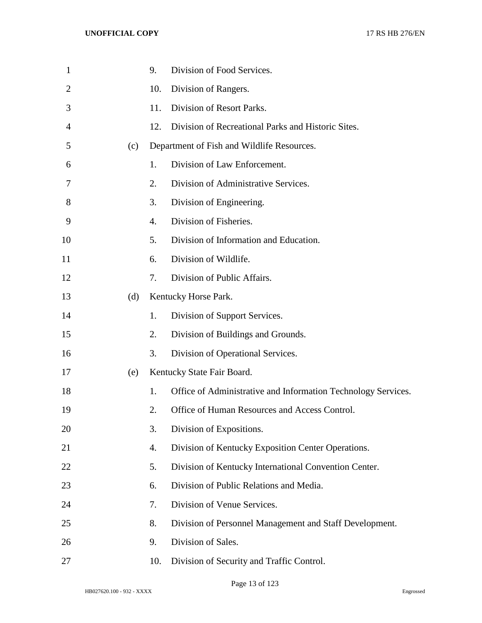| $\mathbf{1}$   |     | 9.  | Division of Food Services.                                    |
|----------------|-----|-----|---------------------------------------------------------------|
| $\overline{2}$ |     | 10. | Division of Rangers.                                          |
| 3              |     | 11. | Division of Resort Parks.                                     |
| 4              |     | 12. | Division of Recreational Parks and Historic Sites.            |
| 5              | (c) |     | Department of Fish and Wildlife Resources.                    |
| 6              |     | 1.  | Division of Law Enforcement.                                  |
| 7              |     | 2.  | Division of Administrative Services.                          |
| 8              |     | 3.  | Division of Engineering.                                      |
| 9              |     | 4.  | Division of Fisheries.                                        |
| 10             |     | 5.  | Division of Information and Education.                        |
| 11             |     | 6.  | Division of Wildlife.                                         |
| 12             |     | 7.  | Division of Public Affairs.                                   |
| 13             | (d) |     | Kentucky Horse Park.                                          |
| 14             |     | 1.  | Division of Support Services.                                 |
| 15             |     | 2.  | Division of Buildings and Grounds.                            |
| 16             |     | 3.  | Division of Operational Services.                             |
| 17             | (e) |     | Kentucky State Fair Board.                                    |
| 18             |     | 1.  | Office of Administrative and Information Technology Services. |
| 19             |     | 2.  | Office of Human Resources and Access Control.                 |
| 20             |     | 3.  | Division of Expositions.                                      |
| 21             |     | 4.  | Division of Kentucky Exposition Center Operations.            |
| 22             |     | 5.  | Division of Kentucky International Convention Center.         |
| 23             |     | 6.  | Division of Public Relations and Media.                       |
| 24             |     | 7.  | Division of Venue Services.                                   |
| 25             |     | 8.  | Division of Personnel Management and Staff Development.       |
| 26             |     | 9.  | Division of Sales.                                            |
| 27             |     | 10. | Division of Security and Traffic Control.                     |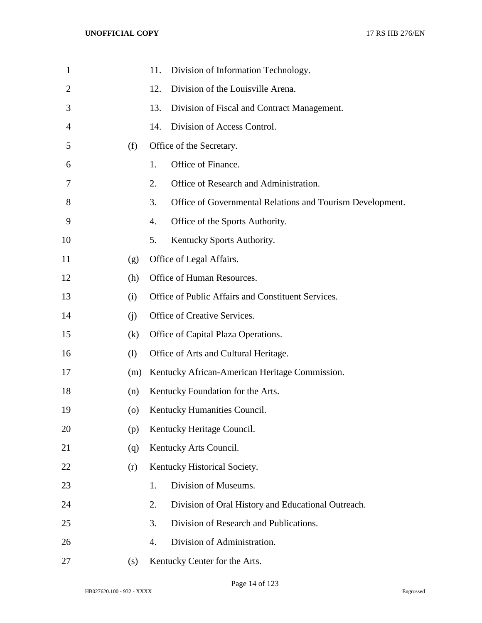| $\mathbf{1}$   |                    | 11.<br>Division of Information Technology.                      |
|----------------|--------------------|-----------------------------------------------------------------|
| $\overline{2}$ |                    | Division of the Louisville Arena.<br>12.                        |
| 3              |                    | 13.<br>Division of Fiscal and Contract Management.              |
| 4              |                    | Division of Access Control.<br>14.                              |
| 5              | (f)                | Office of the Secretary.                                        |
| 6              |                    | Office of Finance.<br>1.                                        |
| 7              |                    | Office of Research and Administration.<br>2.                    |
| 8              |                    | 3.<br>Office of Governmental Relations and Tourism Development. |
| 9              |                    | Office of the Sports Authority.<br>4.                           |
| 10             |                    | Kentucky Sports Authority.<br>5.                                |
| 11             | (g)                | Office of Legal Affairs.                                        |
| 12             | (h)                | Office of Human Resources.                                      |
| 13             | (i)                | Office of Public Affairs and Constituent Services.              |
| 14             | (i)                | Office of Creative Services.                                    |
| 15             | (k)                | Office of Capital Plaza Operations.                             |
| 16             | (1)                | Office of Arts and Cultural Heritage.                           |
| 17             | (m)                | Kentucky African-American Heritage Commission.                  |
| 18             | (n)                | Kentucky Foundation for the Arts.                               |
| 19             | $\left( 0 \right)$ | Kentucky Humanities Council.                                    |
| 20             | (p)                | Kentucky Heritage Council.                                      |
| 21             | (q)                | Kentucky Arts Council.                                          |
| 22             | (r)                | Kentucky Historical Society.                                    |
| 23             |                    | Division of Museums.<br>1.                                      |
| 24             |                    | Division of Oral History and Educational Outreach.<br>2.        |
| 25             |                    | Division of Research and Publications.<br>3.                    |
| 26             |                    | 4.<br>Division of Administration.                               |
| 27             | (s)                | Kentucky Center for the Arts.                                   |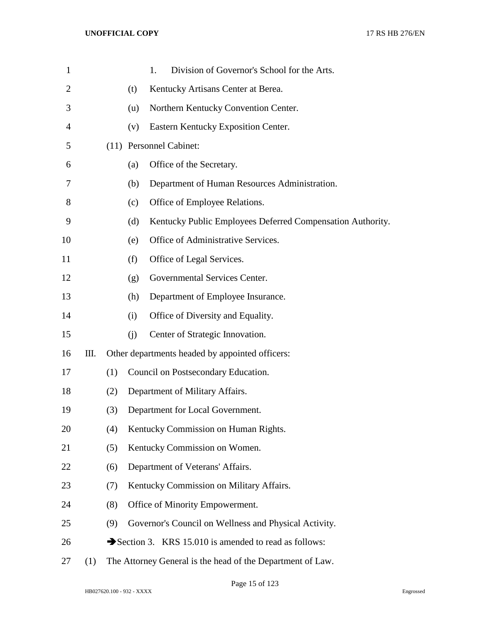| $\mathbf{1}$   |     |     | Division of Governor's School for the Arts.<br>1.                 |  |
|----------------|-----|-----|-------------------------------------------------------------------|--|
| $\overline{2}$ |     |     | Kentucky Artisans Center at Berea.<br>(t)                         |  |
| 3              |     |     | Northern Kentucky Convention Center.<br>(u)                       |  |
| 4              |     |     | Eastern Kentucky Exposition Center.<br>(v)                        |  |
| 5              |     |     | (11) Personnel Cabinet:                                           |  |
| 6              |     |     | Office of the Secretary.<br>(a)                                   |  |
| 7              |     |     | Department of Human Resources Administration.<br>(b)              |  |
| 8              |     |     | Office of Employee Relations.<br>(c)                              |  |
| 9              |     |     | Kentucky Public Employees Deferred Compensation Authority.<br>(d) |  |
| 10             |     |     | Office of Administrative Services.<br>(e)                         |  |
| 11             |     |     | Office of Legal Services.<br>(f)                                  |  |
| 12             |     |     | Governmental Services Center.<br>(g)                              |  |
| 13             |     |     | Department of Employee Insurance.<br>(h)                          |  |
| 14             |     |     | Office of Diversity and Equality.<br>(i)                          |  |
| 15             |     |     | Center of Strategic Innovation.<br>(i)                            |  |
| 16             | Ш.  |     | Other departments headed by appointed officers:                   |  |
| 17             |     | (1) | Council on Postsecondary Education.                               |  |
| 18             |     | (2) | Department of Military Affairs.                                   |  |
| 19             |     | (3) | Department for Local Government.                                  |  |
| 20             |     | (4) | Kentucky Commission on Human Rights.                              |  |
| 21             |     | (5) | Kentucky Commission on Women.                                     |  |
| 22             |     | (6) | Department of Veterans' Affairs.                                  |  |
| 23             |     | (7) | Kentucky Commission on Military Affairs.                          |  |
| 24             |     | (8) | Office of Minority Empowerment.                                   |  |
| 25             |     | (9) | Governor's Council on Wellness and Physical Activity.             |  |
| 26             |     |     | Section 3. KRS 15.010 is amended to read as follows:              |  |
| 27             | (1) |     | The Attorney General is the head of the Department of Law.        |  |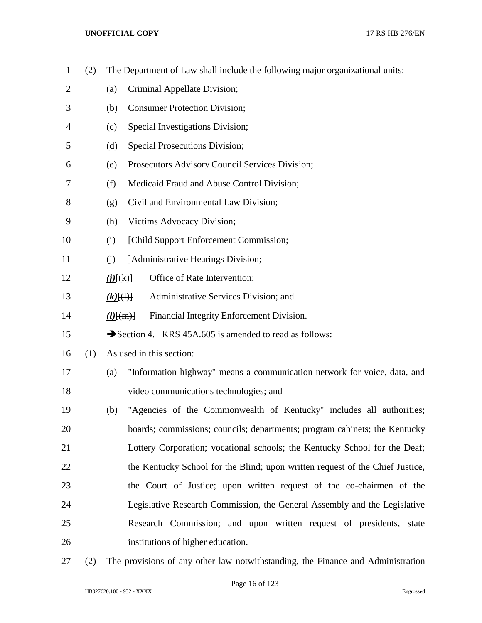| $\mathbf{1}$   | (2) |                 | The Department of Law shall include the following major organizational units: |
|----------------|-----|-----------------|-------------------------------------------------------------------------------|
| $\overline{2}$ |     | (a)             | Criminal Appellate Division;                                                  |
| 3              |     | (b)             | <b>Consumer Protection Division;</b>                                          |
| 4              |     | (c)             | Special Investigations Division;                                              |
| 5              |     | (d)             | <b>Special Prosecutions Division;</b>                                         |
| 6              |     | (e)             | Prosecutors Advisory Council Services Division;                               |
| 7              |     | (f)             | Medicaid Fraud and Abuse Control Division;                                    |
| 8              |     | (g)             | Civil and Environmental Law Division;                                         |
| 9              |     | (h)             | Victims Advocacy Division;                                                    |
| 10             |     | (i)             | [Child Support Enforcement Commission;                                        |
| 11             |     |                 | $(i)$ - Administrative Hearings Division;                                     |
| 12             |     | ( <i>j</i> )(k) | Office of Rate Intervention;                                                  |
| 13             |     | $(k)$ $(4)$     | Administrative Services Division; and                                         |
| 14             |     | $(l)$ $\{(m)\}$ | Financial Integrity Enforcement Division.                                     |
| 15             |     |                 | Section 4. KRS 45A.605 is amended to read as follows:                         |
| 16             | (1) |                 | As used in this section:                                                      |
| 17             |     | (a)             | "Information highway" means a communication network for voice, data, and      |
| 18             |     |                 | video communications technologies; and                                        |
| 19             |     | (b)             | "Agencies of the Commonwealth of Kentucky" includes all authorities;          |
| 20             |     |                 | boards; commissions; councils; departments; program cabinets; the Kentucky    |
| 21             |     |                 | Lottery Corporation; vocational schools; the Kentucky School for the Deaf;    |
| 22             |     |                 | the Kentucky School for the Blind; upon written request of the Chief Justice, |
| 23             |     |                 | the Court of Justice; upon written request of the co-chairmen of the          |
| 24             |     |                 | Legislative Research Commission, the General Assembly and the Legislative     |
| 25             |     |                 | Research Commission; and upon written request of presidents, state            |
| 26             |     |                 | institutions of higher education.                                             |
|                |     |                 |                                                                               |

(2) The provisions of any other law notwithstanding, the Finance and Administration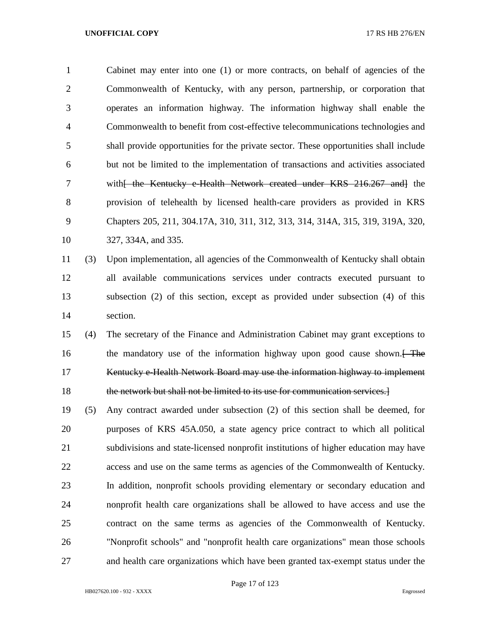Cabinet may enter into one (1) or more contracts, on behalf of agencies of the Commonwealth of Kentucky, with any person, partnership, or corporation that operates an information highway. The information highway shall enable the Commonwealth to benefit from cost-effective telecommunications technologies and shall provide opportunities for the private sector. These opportunities shall include but not be limited to the implementation of transactions and activities associated 7 with<del>[ the Kentucky e-Health Network created under KRS 216.267 and]</del> the provision of telehealth by licensed health-care providers as provided in KRS Chapters 205, 211, 304.17A, 310, 311, 312, 313, 314, 314A, 315, 319, 319A, 320, 327, 334A, and 335.

# (3) Upon implementation, all agencies of the Commonwealth of Kentucky shall obtain all available communications services under contracts executed pursuant to subsection (2) of this section, except as provided under subsection (4) of this section.

 (4) The secretary of the Finance and Administration Cabinet may grant exceptions to 16 the mandatory use of the information highway upon good cause shown. Kentucky e-Health Network Board may use the information highway to implement 18 the network but shall not be limited to its use for communication services.

 (5) Any contract awarded under subsection (2) of this section shall be deemed, for purposes of KRS 45A.050, a state agency price contract to which all political subdivisions and state-licensed nonprofit institutions of higher education may have access and use on the same terms as agencies of the Commonwealth of Kentucky. In addition, nonprofit schools providing elementary or secondary education and nonprofit health care organizations shall be allowed to have access and use the contract on the same terms as agencies of the Commonwealth of Kentucky. "Nonprofit schools" and "nonprofit health care organizations" mean those schools and health care organizations which have been granted tax-exempt status under the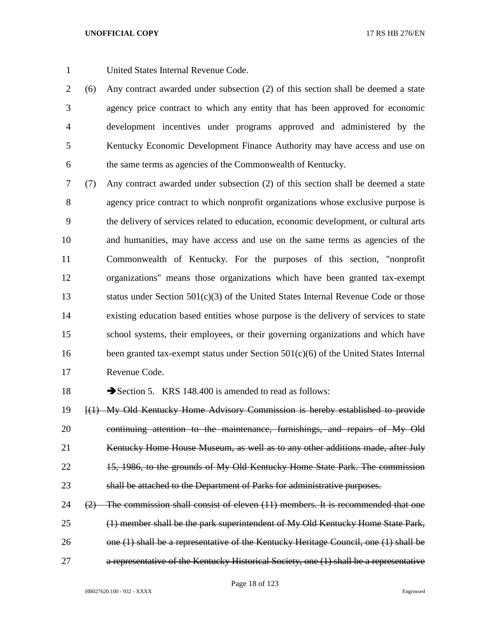United States Internal Revenue Code.

 (6) Any contract awarded under subsection (2) of this section shall be deemed a state agency price contract to which any entity that has been approved for economic development incentives under programs approved and administered by the Kentucky Economic Development Finance Authority may have access and use on the same terms as agencies of the Commonwealth of Kentucky.

 (7) Any contract awarded under subsection (2) of this section shall be deemed a state agency price contract to which nonprofit organizations whose exclusive purpose is the delivery of services related to education, economic development, or cultural arts and humanities, may have access and use on the same terms as agencies of the Commonwealth of Kentucky. For the purposes of this section, "nonprofit organizations" means those organizations which have been granted tax-exempt status under Section 501(c)(3) of the United States Internal Revenue Code or those existing education based entities whose purpose is the delivery of services to state school systems, their employees, or their governing organizations and which have 16 been granted tax-exempt status under Section 501(c)(6) of the United States Internal Revenue Code.

18 Section 5. KRS 148.400 is amended to read as follows:

 [(1) My Old Kentucky Home Advisory Commission is hereby established to provide 20 continuing attention to the maintenance, furnishings, and repairs of My Old 21 Kentucky Home House Museum, as well as to any other additions made, after July 15, 1986, to the grounds of My Old Kentucky Home State Park. The commission shall be attached to the Department of Parks for administrative purposes.

 ( $2$ ) The commission shall consist of eleven  $(11)$  members. It is recommended that one (1) member shall be the park superintendent of My Old Kentucky Home State Park, 26 one (1) shall be a representative of the Kentucky Heritage Council, one (1) shall be a representative of the Kentucky Historical Society, one (1) shall be a representative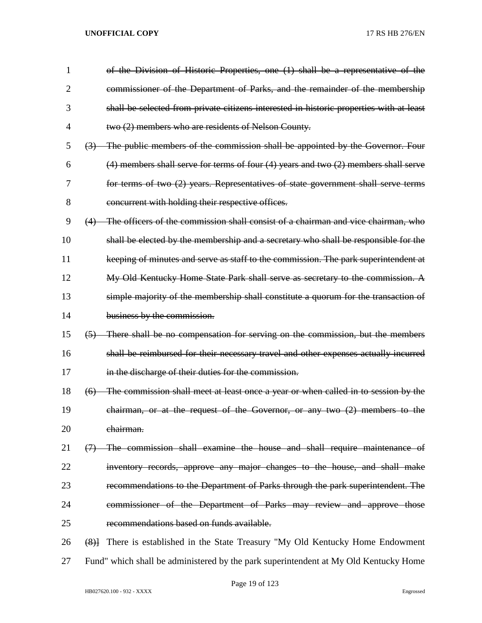| 1              | of the Division of Historic Properties, one (1) shall be a representative of the                |
|----------------|-------------------------------------------------------------------------------------------------|
| $\overline{2}$ | commissioner of the Department of Parks, and the remainder of the membership                    |
| 3              | shall be selected from private citizens interested in historic properties with at least         |
| 4              | two (2) members who are residents of Nelson County.                                             |
| 5              | (3) The public members of the commission shall be appointed by the Governor. Four               |
| 6              | $(4)$ members shall serve for terms of four $(4)$ years and two $(2)$ members shall serve       |
| 7              | for terms of two (2) years. Representatives of state government shall serve terms               |
| 8              | concurrent with holding their respective offices.                                               |
| 9              | (4) The officers of the commission shall consist of a chairman and vice chairman, who           |
| 10             | shall be elected by the membership and a secretary who shall be responsible for the             |
| 11             | keeping of minutes and serve as staff to the commission. The park superintendent at             |
| 12             | My Old Kentucky Home State Park shall serve as secretary to the commission. A                   |
| 13             | simple majority of the membership shall constitute a quorum for the transaction of              |
| 14             | business by the commission.                                                                     |
| 15             | (5) There shall be no compensation for serving on the commission, but the members               |
| 16             | shall be reimbursed for their necessary travel and other expenses actually incurred             |
| 17             | in the discharge of their duties for the commission.                                            |
| 18             | The commission shall meet at least once a year or when called in to session by the<br>(6)       |
| 19             | chairman, or at the request of the Governor, or any two $(2)$ members to the                    |
| 20             | chairman.                                                                                       |
| 21             | The commission shall examine the house and shall require maintenance of<br>$\leftrightarrow$    |
| 22             | inventory records, approve any major changes to the house, and shall make                       |
| 23             | recommendations to the Department of Parks through the park superintendent. The                 |
| 24             | commissioner of the Department of Parks may review and approve those                            |
| 25             | recommendations based on funds available.                                                       |
| 26             | There is established in the State Treasury "My Old Kentucky Home Endowment<br>$\left( 8\right)$ |
| 27             | Fund" which shall be administered by the park superintendent at My Old Kentucky Home            |

Page 19 of 123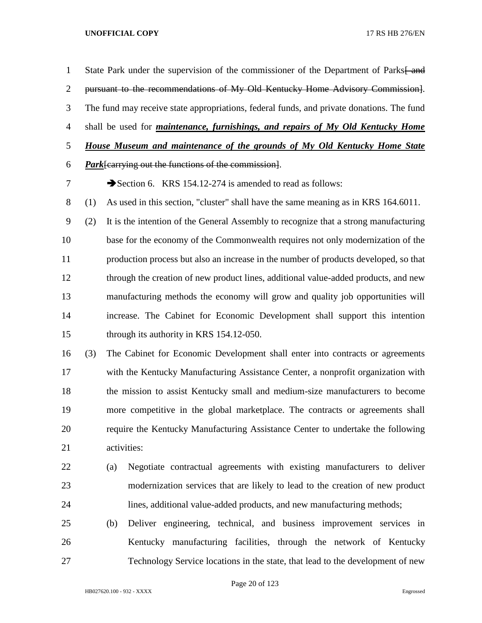1 State Park under the supervision of the commissioner of the Department of Parks—and pursuant to the recommendations of My Old Kentucky Home Advisory Commission]. The fund may receive state appropriations, federal funds, and private donations. The fund shall be used for *maintenance, furnishings, and repairs of My Old Kentucky Home House Museum and maintenance of the grounds of My Old Kentucky Home State Park*[carrying out the functions of the commission]. 7 Section 6. KRS 154.12-274 is amended to read as follows: (1) As used in this section, "cluster" shall have the same meaning as in KRS 164.6011. (2) It is the intention of the General Assembly to recognize that a strong manufacturing base for the economy of the Commonwealth requires not only modernization of the production process but also an increase in the number of products developed, so that through the creation of new product lines, additional value-added products, and new manufacturing methods the economy will grow and quality job opportunities will increase. The Cabinet for Economic Development shall support this intention through its authority in KRS 154.12-050. (3) The Cabinet for Economic Development shall enter into contracts or agreements with the Kentucky Manufacturing Assistance Center, a nonprofit organization with the mission to assist Kentucky small and medium-size manufacturers to become more competitive in the global marketplace. The contracts or agreements shall require the Kentucky Manufacturing Assistance Center to undertake the following activities: (a) Negotiate contractual agreements with existing manufacturers to deliver modernization services that are likely to lead to the creation of new product lines, additional value-added products, and new manufacturing methods; (b) Deliver engineering, technical, and business improvement services in Kentucky manufacturing facilities, through the network of Kentucky

Page 20 of 123

Technology Service locations in the state, that lead to the development of new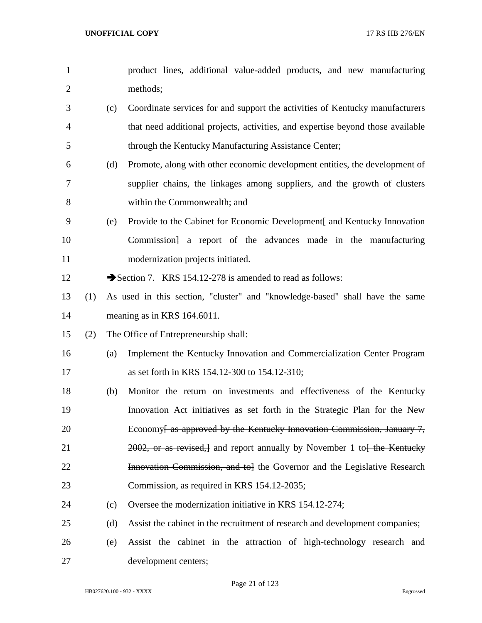| $\mathbf{1}$   |     |     | product lines, additional value-added products, and new manufacturing              |
|----------------|-----|-----|------------------------------------------------------------------------------------|
| $\overline{2}$ |     |     | methods;                                                                           |
| 3              |     | (c) | Coordinate services for and support the activities of Kentucky manufacturers       |
| $\overline{4}$ |     |     | that need additional projects, activities, and expertise beyond those available    |
| 5              |     |     | through the Kentucky Manufacturing Assistance Center;                              |
| 6              |     | (d) | Promote, along with other economic development entities, the development of        |
| 7              |     |     | supplier chains, the linkages among suppliers, and the growth of clusters          |
| 8              |     |     | within the Commonwealth; and                                                       |
| 9              |     | (e) | Provide to the Cabinet for Economic Development and Kentucky Innovation            |
| 10             |     |     | Commission] a report of the advances made in the manufacturing                     |
| 11             |     |     | modernization projects initiated.                                                  |
| 12             |     |     | Section 7. KRS 154.12-278 is amended to read as follows:                           |
| 13             | (1) |     | As used in this section, "cluster" and "knowledge-based" shall have the same       |
| 14             |     |     | meaning as in KRS 164.6011.                                                        |
| 15             | (2) |     | The Office of Entrepreneurship shall:                                              |
| 16             |     | (a) | Implement the Kentucky Innovation and Commercialization Center Program             |
| 17             |     |     | as set forth in KRS 154.12-300 to 154.12-310;                                      |
| 18             |     | (b) | Monitor the return on investments and effectiveness of the Kentucky                |
| 19             |     |     | Innovation Act initiatives as set forth in the Strategic Plan for the New          |
| 20             |     |     | Economy <del>[ as approved by the Kentucky Innovation Commission, January 7,</del> |
| 21             |     |     | 2002, or as revised, and report annually by November 1 to the Kentucky             |
| 22             |     |     | <b>Innovation Commission, and to</b> the Governor and the Legislative Research     |
| 23             |     |     | Commission, as required in KRS 154.12-2035;                                        |
| 24             |     | (c) | Oversee the modernization initiative in KRS 154.12-274;                            |
| 25             |     | (d) | Assist the cabinet in the recruitment of research and development companies;       |
| 26             |     | (e) | Assist the cabinet in the attraction of high-technology research and               |
| 27             |     |     | development centers;                                                               |

Page 21 of 123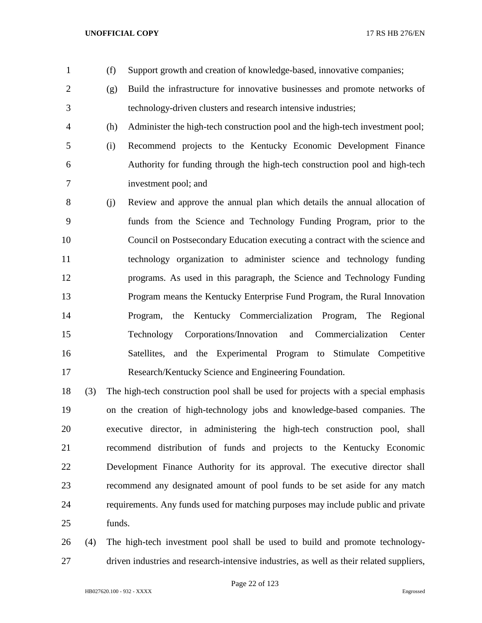- (f) Support growth and creation of knowledge-based, innovative companies;
- (g) Build the infrastructure for innovative businesses and promote networks of technology-driven clusters and research intensive industries;
- (h) Administer the high-tech construction pool and the high-tech investment pool;
- (i) Recommend projects to the Kentucky Economic Development Finance Authority for funding through the high-tech construction pool and high-tech investment pool; and
- (j) Review and approve the annual plan which details the annual allocation of funds from the Science and Technology Funding Program, prior to the Council on Postsecondary Education executing a contract with the science and technology organization to administer science and technology funding programs. As used in this paragraph, the Science and Technology Funding Program means the Kentucky Enterprise Fund Program, the Rural Innovation Program, the Kentucky Commercialization Program, The Regional Technology Corporations/Innovation and Commercialization Center Satellites, and the Experimental Program to Stimulate Competitive Research/Kentucky Science and Engineering Foundation.
- (3) The high-tech construction pool shall be used for projects with a special emphasis on the creation of high-technology jobs and knowledge-based companies. The executive director, in administering the high-tech construction pool, shall recommend distribution of funds and projects to the Kentucky Economic Development Finance Authority for its approval. The executive director shall recommend any designated amount of pool funds to be set aside for any match requirements. Any funds used for matching purposes may include public and private funds.
- (4) The high-tech investment pool shall be used to build and promote technology-driven industries and research-intensive industries, as well as their related suppliers,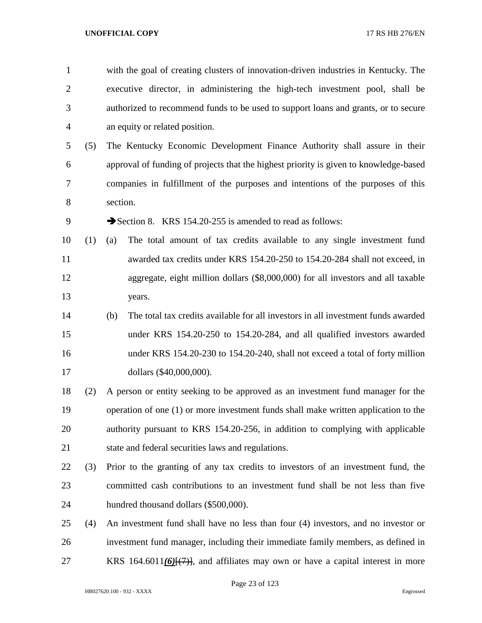with the goal of creating clusters of innovation-driven industries in Kentucky. The executive director, in administering the high-tech investment pool, shall be authorized to recommend funds to be used to support loans and grants, or to secure an equity or related position.

 (5) The Kentucky Economic Development Finance Authority shall assure in their approval of funding of projects that the highest priority is given to knowledge-based companies in fulfillment of the purposes and intentions of the purposes of this section.

9 Section 8. KRS 154.20-255 is amended to read as follows:

- (1) (a) The total amount of tax credits available to any single investment fund awarded tax credits under KRS 154.20-250 to 154.20-284 shall not exceed, in aggregate, eight million dollars (\$8,000,000) for all investors and all taxable years.
- (b) The total tax credits available for all investors in all investment funds awarded under KRS 154.20-250 to 154.20-284, and all qualified investors awarded under KRS 154.20-230 to 154.20-240, shall not exceed a total of forty million dollars (\$40,000,000).
- (2) A person or entity seeking to be approved as an investment fund manager for the operation of one (1) or more investment funds shall make written application to the authority pursuant to KRS 154.20-256, in addition to complying with applicable state and federal securities laws and regulations.
- (3) Prior to the granting of any tax credits to investors of an investment fund, the committed cash contributions to an investment fund shall be not less than five hundred thousand dollars (\$500,000).
- (4) An investment fund shall have no less than four (4) investors, and no investor or investment fund manager, including their immediate family members, as defined in KRS 164.6011*(6)*[(7)], and affiliates may own or have a capital interest in more

Page 23 of 123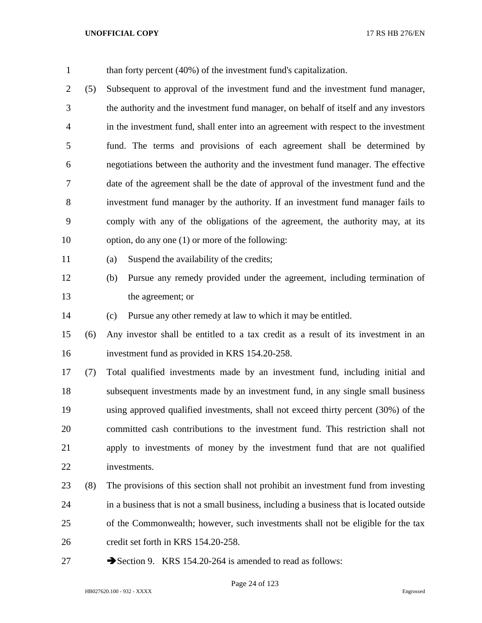| $\mathbf{1}$   |     | than forty percent (40%) of the investment fund's capitalization.                        |
|----------------|-----|------------------------------------------------------------------------------------------|
| $\overline{2}$ | (5) | Subsequent to approval of the investment fund and the investment fund manager,           |
| 3              |     | the authority and the investment fund manager, on behalf of itself and any investors     |
| $\overline{4}$ |     | in the investment fund, shall enter into an agreement with respect to the investment     |
| 5              |     | fund. The terms and provisions of each agreement shall be determined by                  |
| 6              |     | negotiations between the authority and the investment fund manager. The effective        |
| 7              |     | date of the agreement shall be the date of approval of the investment fund and the       |
| $8\,$          |     | investment fund manager by the authority. If an investment fund manager fails to         |
| 9              |     | comply with any of the obligations of the agreement, the authority may, at its           |
| 10             |     | option, do any one $(1)$ or more of the following:                                       |
| 11             |     | Suspend the availability of the credits;<br>(a)                                          |
| 12             |     | Pursue any remedy provided under the agreement, including termination of<br>(b)          |
| 13             |     | the agreement; or                                                                        |
| 14             |     | Pursue any other remedy at law to which it may be entitled.<br>(c)                       |
| 15             | (6) | Any investor shall be entitled to a tax credit as a result of its investment in an       |
| 16             |     | investment fund as provided in KRS 154.20-258.                                           |
| 17             | (7) | Total qualified investments made by an investment fund, including initial and            |
| 18             |     | subsequent investments made by an investment fund, in any single small business          |
| 19             |     | using approved qualified investments, shall not exceed thirty percent (30%) of the       |
| 20             |     | committed cash contributions to the investment fund. This restriction shall not          |
| 21             |     | apply to investments of money by the investment fund that are not qualified              |
| 22             |     | investments.                                                                             |
| 23             | (8) | The provisions of this section shall not prohibit an investment fund from investing      |
| 24             |     | in a business that is not a small business, including a business that is located outside |
| 25             |     | of the Commonwealth; however, such investments shall not be eligible for the tax         |
| 26             |     | credit set forth in KRS 154.20-258.                                                      |
| 27             |     | Section 9. KRS 154.20-264 is amended to read as follows:                                 |

Page 24 of 123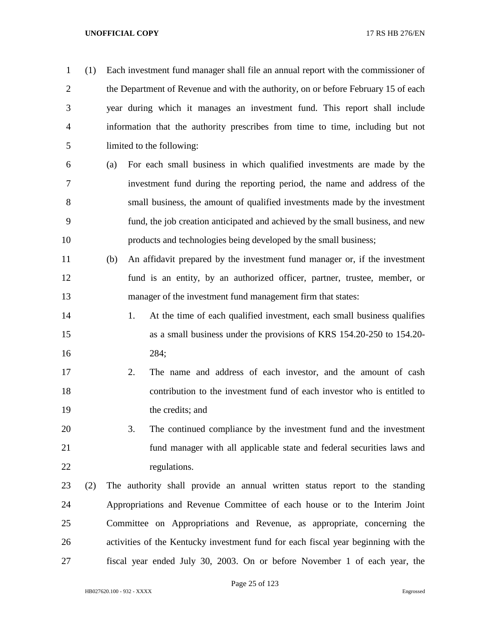(1) Each investment fund manager shall file an annual report with the commissioner of the Department of Revenue and with the authority, on or before February 15 of each year during which it manages an investment fund. This report shall include information that the authority prescribes from time to time, including but not limited to the following: (a) For each small business in which qualified investments are made by the investment fund during the reporting period, the name and address of the small business, the amount of qualified investments made by the investment fund, the job creation anticipated and achieved by the small business, and new products and technologies being developed by the small business; (b) An affidavit prepared by the investment fund manager or, if the investment fund is an entity, by an authorized officer, partner, trustee, member, or manager of the investment fund management firm that states: 14 1. At the time of each qualified investment, each small business qualifies as a small business under the provisions of KRS 154.20-250 to 154.20- 284; 2. The name and address of each investor, and the amount of cash contribution to the investment fund of each investor who is entitled to the credits; and 3. The continued compliance by the investment fund and the investment fund manager with all applicable state and federal securities laws and 22 regulations. (2) The authority shall provide an annual written status report to the standing Appropriations and Revenue Committee of each house or to the Interim Joint Committee on Appropriations and Revenue, as appropriate, concerning the activities of the Kentucky investment fund for each fiscal year beginning with the fiscal year ended July 30, 2003. On or before November 1 of each year, the

Page 25 of 123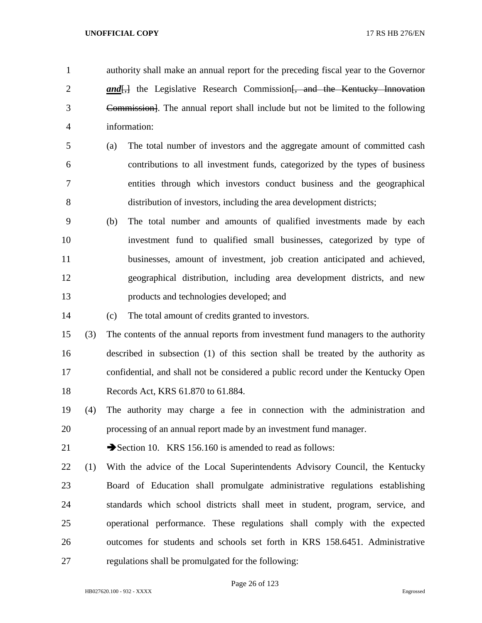authority shall make an annual report for the preceding fiscal year to the Governor **and**, the Legislative Research Commission, and the Kentucky Innovation Commission]. The annual report shall include but not be limited to the following information:

- (a) The total number of investors and the aggregate amount of committed cash contributions to all investment funds, categorized by the types of business entities through which investors conduct business and the geographical distribution of investors, including the area development districts;
- (b) The total number and amounts of qualified investments made by each investment fund to qualified small businesses, categorized by type of businesses, amount of investment, job creation anticipated and achieved, geographical distribution, including area development districts, and new products and technologies developed; and
- (c) The total amount of credits granted to investors.

 (3) The contents of the annual reports from investment fund managers to the authority described in subsection (1) of this section shall be treated by the authority as confidential, and shall not be considered a public record under the Kentucky Open Records Act, KRS 61.870 to 61.884.

 (4) The authority may charge a fee in connection with the administration and processing of an annual report made by an investment fund manager.

21 Section 10. KRS 156.160 is amended to read as follows:

 (1) With the advice of the Local Superintendents Advisory Council, the Kentucky Board of Education shall promulgate administrative regulations establishing standards which school districts shall meet in student, program, service, and operational performance. These regulations shall comply with the expected outcomes for students and schools set forth in KRS 158.6451. Administrative regulations shall be promulgated for the following:

Page 26 of 123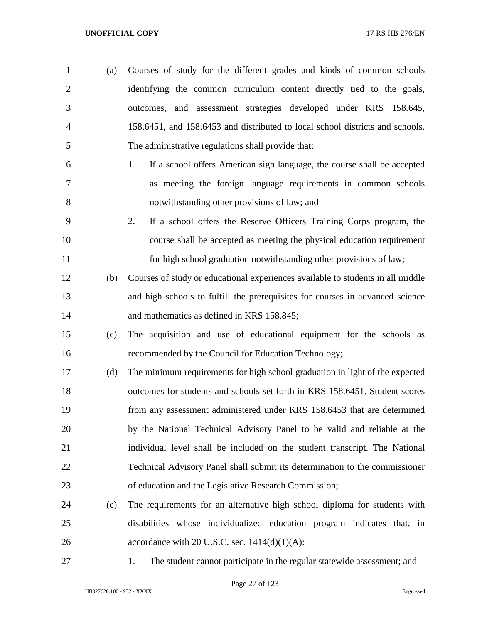- (a) Courses of study for the different grades and kinds of common schools identifying the common curriculum content directly tied to the goals, outcomes, and assessment strategies developed under KRS 158.645, 158.6451, and 158.6453 and distributed to local school districts and schools. The administrative regulations shall provide that:
- 1. If a school offers American sign language, the course shall be accepted as meeting the foreign language requirements in common schools notwithstanding other provisions of law; and
- 2. If a school offers the Reserve Officers Training Corps program, the course shall be accepted as meeting the physical education requirement for high school graduation notwithstanding other provisions of law;
- (b) Courses of study or educational experiences available to students in all middle and high schools to fulfill the prerequisites for courses in advanced science and mathematics as defined in KRS 158.845;
- (c) The acquisition and use of educational equipment for the schools as recommended by the Council for Education Technology;
- (d) The minimum requirements for high school graduation in light of the expected outcomes for students and schools set forth in KRS 158.6451. Student scores from any assessment administered under KRS 158.6453 that are determined by the National Technical Advisory Panel to be valid and reliable at the individual level shall be included on the student transcript. The National Technical Advisory Panel shall submit its determination to the commissioner of education and the Legislative Research Commission;
- (e) The requirements for an alternative high school diploma for students with disabilities whose individualized education program indicates that, in 26 accordance with 20 U.S.C. sec.  $1414(d)(1)(A)$ :
- 

1. The student cannot participate in the regular statewide assessment; and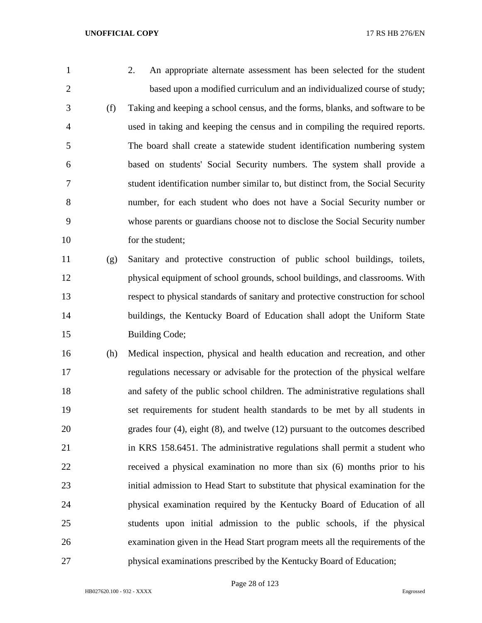- 
- 2. An appropriate alternate assessment has been selected for the student based upon a modified curriculum and an individualized course of study; (f) Taking and keeping a school census, and the forms, blanks, and software to be used in taking and keeping the census and in compiling the required reports. The board shall create a statewide student identification numbering system based on students' Social Security numbers. The system shall provide a student identification number similar to, but distinct from, the Social Security number, for each student who does not have a Social Security number or whose parents or guardians choose not to disclose the Social Security number 10 for the student;
- (g) Sanitary and protective construction of public school buildings, toilets, physical equipment of school grounds, school buildings, and classrooms. With respect to physical standards of sanitary and protective construction for school buildings, the Kentucky Board of Education shall adopt the Uniform State 15 Building Code;
- (h) Medical inspection, physical and health education and recreation, and other regulations necessary or advisable for the protection of the physical welfare and safety of the public school children. The administrative regulations shall set requirements for student health standards to be met by all students in grades four (4), eight (8), and twelve (12) pursuant to the outcomes described in KRS 158.6451. The administrative regulations shall permit a student who received a physical examination no more than six (6) months prior to his initial admission to Head Start to substitute that physical examination for the physical examination required by the Kentucky Board of Education of all students upon initial admission to the public schools, if the physical examination given in the Head Start program meets all the requirements of the physical examinations prescribed by the Kentucky Board of Education;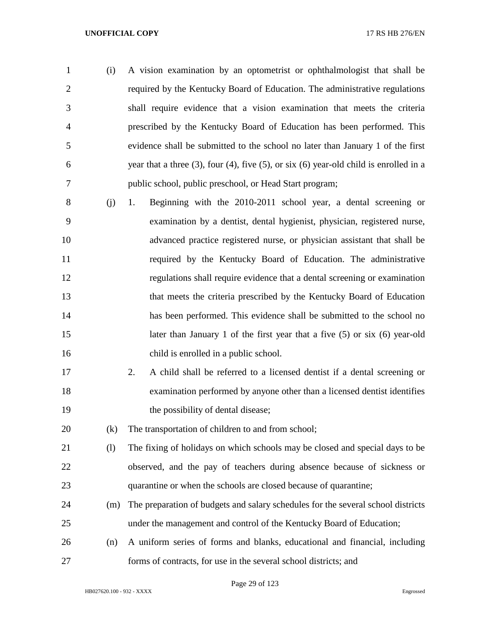- (i) A vision examination by an optometrist or ophthalmologist that shall be required by the Kentucky Board of Education. The administrative regulations shall require evidence that a vision examination that meets the criteria prescribed by the Kentucky Board of Education has been performed. This evidence shall be submitted to the school no later than January 1 of the first year that a three (3), four (4), five (5), or six (6) year-old child is enrolled in a public school, public preschool, or Head Start program;
- (j) 1. Beginning with the 2010-2011 school year, a dental screening or examination by a dentist, dental hygienist, physician, registered nurse, advanced practice registered nurse, or physician assistant that shall be required by the Kentucky Board of Education. The administrative regulations shall require evidence that a dental screening or examination that meets the criteria prescribed by the Kentucky Board of Education has been performed. This evidence shall be submitted to the school no later than January 1 of the first year that a five (5) or six (6) year-old child is enrolled in a public school.
- 2. A child shall be referred to a licensed dentist if a dental screening or examination performed by anyone other than a licensed dentist identifies 19 the possibility of dental disease;

(k) The transportation of children to and from school;

- (l) The fixing of holidays on which schools may be closed and special days to be observed, and the pay of teachers during absence because of sickness or quarantine or when the schools are closed because of quarantine;
- (m) The preparation of budgets and salary schedules for the several school districts under the management and control of the Kentucky Board of Education;
- (n) A uniform series of forms and blanks, educational and financial, including forms of contracts, for use in the several school districts; and

Page 29 of 123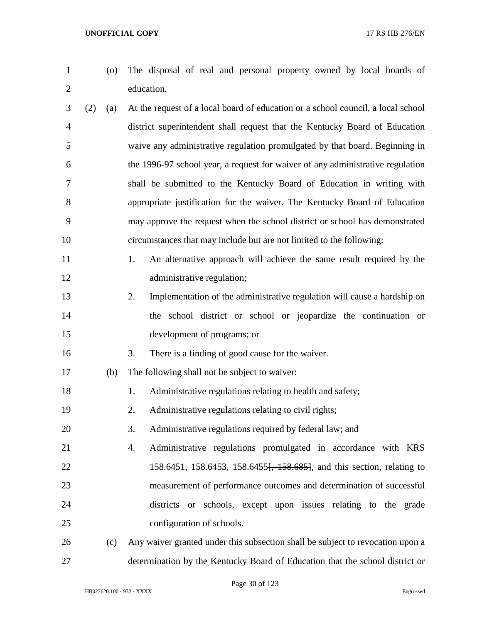- 
- (o) The disposal of real and personal property owned by local boards of education.
- (2) (a) At the request of a local board of education or a school council, a local school district superintendent shall request that the Kentucky Board of Education waive any administrative regulation promulgated by that board. Beginning in the 1996-97 school year, a request for waiver of any administrative regulation shall be submitted to the Kentucky Board of Education in writing with appropriate justification for the waiver. The Kentucky Board of Education may approve the request when the school district or school has demonstrated circumstances that may include but are not limited to the following:
- 11 1. An alternative approach will achieve the same result required by the 12 administrative regulation;
- 2. Implementation of the administrative regulation will cause a hardship on the school district or school or jeopardize the continuation or development of programs; or
- 3. There is a finding of good cause for the waiver.
- (b) The following shall not be subject to waiver:
- 18 1. Administrative regulations relating to health and safety;
- 2. Administrative regulations relating to civil rights;
- 3. Administrative regulations required by federal law; and
- 4. Administrative regulations promulgated in accordance with KRS 22 158.6451, 158.6453, 158.6455<del>, 158.685]</del>, and this section, relating to measurement of performance outcomes and determination of successful districts or schools, except upon issues relating to the grade configuration of schools.
- (c) Any waiver granted under this subsection shall be subject to revocation upon a determination by the Kentucky Board of Education that the school district or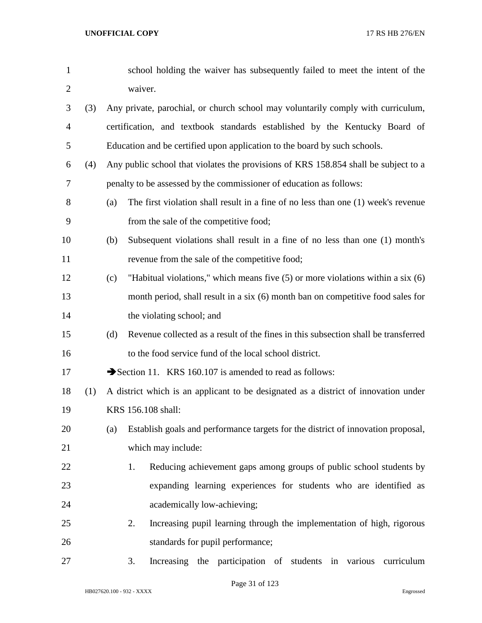| $\mathbf{1}$   |     |     | school holding the waiver has subsequently failed to meet the intent of the         |
|----------------|-----|-----|-------------------------------------------------------------------------------------|
| $\overline{2}$ |     |     | waiver.                                                                             |
| 3              | (3) |     | Any private, parochial, or church school may voluntarily comply with curriculum,    |
| 4              |     |     | certification, and textbook standards established by the Kentucky Board of          |
| 5              |     |     | Education and be certified upon application to the board by such schools.           |
| 6              | (4) |     | Any public school that violates the provisions of KRS 158.854 shall be subject to a |
| 7              |     |     | penalty to be assessed by the commissioner of education as follows:                 |
| 8              |     | (a) | The first violation shall result in a fine of no less than one (1) week's revenue   |
| 9              |     |     | from the sale of the competitive food;                                              |
| 10             |     | (b) | Subsequent violations shall result in a fine of no less than one (1) month's        |
| 11             |     |     | revenue from the sale of the competitive food;                                      |
| 12             |     | (c) | "Habitual violations," which means five $(5)$ or more violations within a six $(6)$ |
| 13             |     |     | month period, shall result in a six (6) month ban on competitive food sales for     |
| 14             |     |     | the violating school; and                                                           |
| 15             |     | (d) | Revenue collected as a result of the fines in this subsection shall be transferred  |
| 16             |     |     | to the food service fund of the local school district.                              |
| 17             |     |     | Section 11. KRS 160.107 is amended to read as follows:                              |
| 18             | (1) |     | A district which is an applicant to be designated as a district of innovation under |
| 19             |     |     | KRS 156.108 shall:                                                                  |
| 20             |     | (a) | Establish goals and performance targets for the district of innovation proposal,    |
| 21             |     |     | which may include:                                                                  |
| 22             |     |     | Reducing achievement gaps among groups of public school students by<br>1.           |
| 23             |     |     | expanding learning experiences for students who are identified as                   |
| 24             |     |     | academically low-achieving;                                                         |
| 25             |     |     | Increasing pupil learning through the implementation of high, rigorous<br>2.        |
| 26             |     |     | standards for pupil performance;                                                    |
| 27             |     |     | Increasing the participation of students in various<br>3.<br>curriculum             |

Page 31 of 123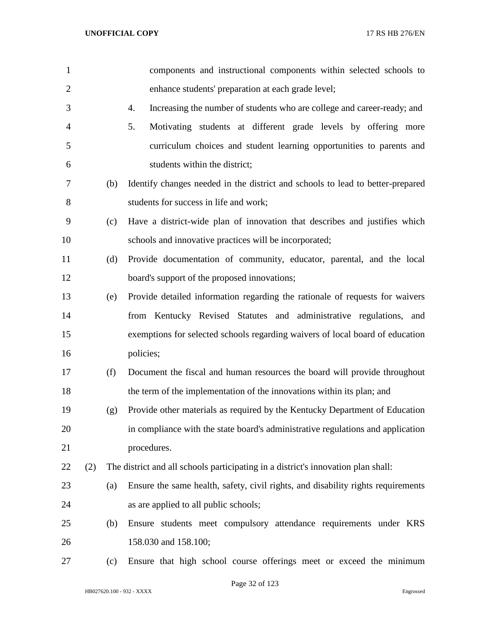| $\mathbf{1}$   |     |     | components and instructional components within selected schools to                |
|----------------|-----|-----|-----------------------------------------------------------------------------------|
| $\overline{2}$ |     |     | enhance students' preparation at each grade level;                                |
| 3              |     |     | 4.<br>Increasing the number of students who are college and career-ready; and     |
| $\overline{4}$ |     |     | 5.<br>Motivating students at different grade levels by offering more              |
| 5              |     |     | curriculum choices and student learning opportunities to parents and              |
| 6              |     |     | students within the district;                                                     |
| 7              |     | (b) | Identify changes needed in the district and schools to lead to better-prepared    |
| 8              |     |     | students for success in life and work;                                            |
| 9              |     | (c) | Have a district-wide plan of innovation that describes and justifies which        |
| 10             |     |     | schools and innovative practices will be incorporated;                            |
| 11             |     | (d) | Provide documentation of community, educator, parental, and the local             |
| 12             |     |     | board's support of the proposed innovations;                                      |
| 13             |     | (e) | Provide detailed information regarding the rationale of requests for waivers      |
| 14             |     |     | from Kentucky Revised Statutes and administrative regulations, and                |
| 15             |     |     | exemptions for selected schools regarding waivers of local board of education     |
| 16             |     |     | policies;                                                                         |
| 17             |     | (f) | Document the fiscal and human resources the board will provide throughout         |
| 18             |     |     | the term of the implementation of the innovations within its plan; and            |
| 19             |     | (g) | Provide other materials as required by the Kentucky Department of Education       |
| 20             |     |     | in compliance with the state board's administrative regulations and application   |
| 21             |     |     | procedures.                                                                       |
| 22             | (2) |     | The district and all schools participating in a district's innovation plan shall: |
| 23             |     | (a) | Ensure the same health, safety, civil rights, and disability rights requirements  |
| 24             |     |     | as are applied to all public schools;                                             |
| 25             |     | (b) | Ensure students meet compulsory attendance requirements under KRS                 |
| 26             |     |     | 158.030 and 158.100;                                                              |
| 27             |     | (c) | Ensure that high school course offerings meet or exceed the minimum               |

Page 32 of 123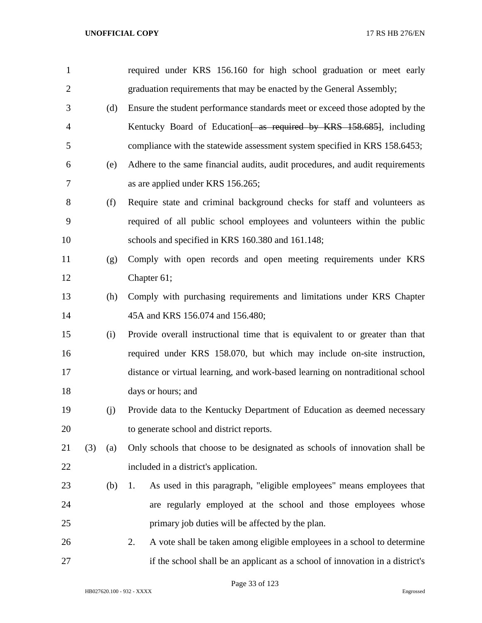| $\mathbf{1}$   |     |     | required under KRS 156.160 for high school graduation or meet early            |
|----------------|-----|-----|--------------------------------------------------------------------------------|
| $\overline{2}$ |     |     | graduation requirements that may be enacted by the General Assembly;           |
| 3              |     | (d) | Ensure the student performance standards meet or exceed those adopted by the   |
| $\overline{4}$ |     |     | Kentucky Board of Education as required by KRS 158.685, including              |
| 5              |     |     | compliance with the statewide assessment system specified in KRS 158.6453;     |
| 6              |     | (e) | Adhere to the same financial audits, audit procedures, and audit requirements  |
| $\tau$         |     |     | as are applied under KRS 156.265;                                              |
| 8              |     | (f) | Require state and criminal background checks for staff and volunteers as       |
| 9              |     |     | required of all public school employees and volunteers within the public       |
| 10             |     |     | schools and specified in KRS 160.380 and 161.148;                              |
| 11             |     | (g) | Comply with open records and open meeting requirements under KRS               |
| 12             |     |     | Chapter 61;                                                                    |
| 13             |     | (h) | Comply with purchasing requirements and limitations under KRS Chapter          |
| 14             |     |     | 45A and KRS 156.074 and 156.480;                                               |
| 15             |     | (i) | Provide overall instructional time that is equivalent to or greater than that  |
| 16             |     |     | required under KRS 158.070, but which may include on-site instruction,         |
| 17             |     |     | distance or virtual learning, and work-based learning on nontraditional school |
| 18             |     |     | days or hours; and                                                             |
| 19             |     | (j) | Provide data to the Kentucky Department of Education as deemed necessary       |
| 20             |     |     | to generate school and district reports.                                       |
| 21             | (3) | (a) | Only schools that choose to be designated as schools of innovation shall be    |
| 22             |     |     | included in a district's application.                                          |
| 23             |     | (b) | As used in this paragraph, "eligible employees" means employees that<br>1.     |
| 24             |     |     | are regularly employed at the school and those employees whose                 |
| 25             |     |     | primary job duties will be affected by the plan.                               |
| 26             |     |     | A vote shall be taken among eligible employees in a school to determine<br>2.  |
| 27             |     |     | if the school shall be an applicant as a school of innovation in a district's  |

Page 33 of 123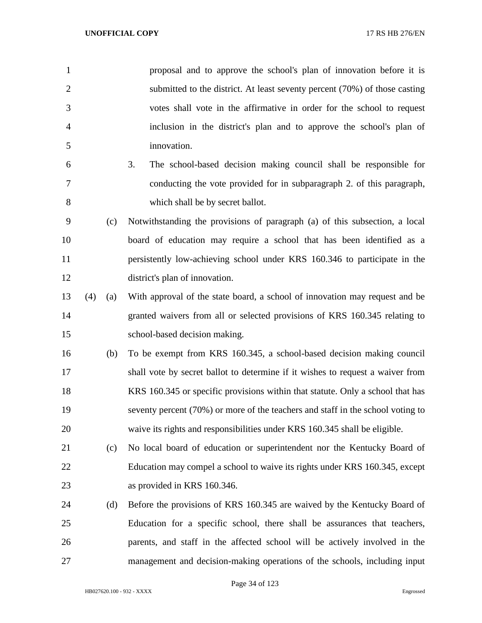| $\mathbf{1}$   |     |     | proposal and to approve the school's plan of innovation before it is           |
|----------------|-----|-----|--------------------------------------------------------------------------------|
| $\overline{2}$ |     |     | submitted to the district. At least seventy percent (70%) of those casting     |
| 3              |     |     | votes shall vote in the affirmative in order for the school to request         |
| 4              |     |     | inclusion in the district's plan and to approve the school's plan of           |
| 5              |     |     | innovation.                                                                    |
| 6              |     |     | 3.<br>The school-based decision making council shall be responsible for        |
| 7              |     |     | conducting the vote provided for in subparagraph 2. of this paragraph,         |
| 8              |     |     | which shall be by secret ballot.                                               |
| 9              |     | (c) | Notwithstanding the provisions of paragraph (a) of this subsection, a local    |
| 10             |     |     | board of education may require a school that has been identified as a          |
| 11             |     |     | persistently low-achieving school under KRS 160.346 to participate in the      |
| 12             |     |     | district's plan of innovation.                                                 |
| 13             | (4) | (a) | With approval of the state board, a school of innovation may request and be    |
| 14             |     |     | granted waivers from all or selected provisions of KRS 160.345 relating to     |
| 15             |     |     | school-based decision making.                                                  |
| 16             |     | (b) | To be exempt from KRS 160.345, a school-based decision making council          |
| 17             |     |     | shall vote by secret ballot to determine if it wishes to request a waiver from |
| 18             |     |     | KRS 160.345 or specific provisions within that statute. Only a school that has |

- 18 KRS 160.345 or specific provisions within that statute. Only a school that has seventy percent (70%) or more of the teachers and staff in the school voting to waive its rights and responsibilities under KRS 160.345 shall be eligible.
- (c) No local board of education or superintendent nor the Kentucky Board of Education may compel a school to waive its rights under KRS 160.345, except as provided in KRS 160.346.
- (d) Before the provisions of KRS 160.345 are waived by the Kentucky Board of Education for a specific school, there shall be assurances that teachers, parents, and staff in the affected school will be actively involved in the management and decision-making operations of the schools, including input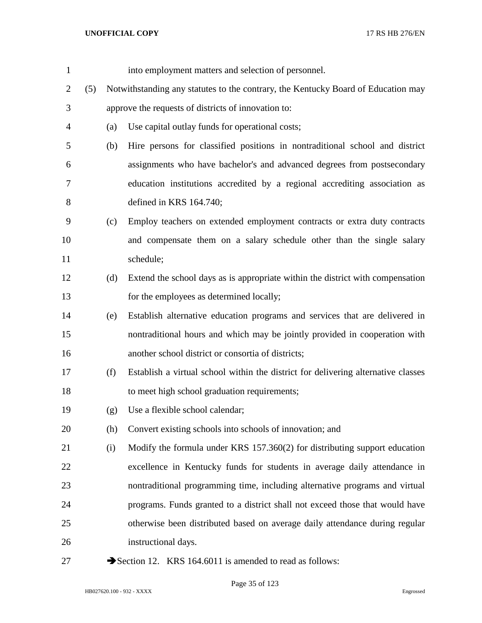| $\mathbf{1}$   |     |     | into employment matters and selection of personnel.                               |
|----------------|-----|-----|-----------------------------------------------------------------------------------|
| $\overline{2}$ | (5) |     | Notwithstanding any statutes to the contrary, the Kentucky Board of Education may |
| 3              |     |     | approve the requests of districts of innovation to:                               |
| $\overline{4}$ |     | (a) | Use capital outlay funds for operational costs;                                   |
| 5              |     | (b) | Hire persons for classified positions in nontraditional school and district       |
| 6              |     |     | assignments who have bachelor's and advanced degrees from postsecondary           |
| 7              |     |     | education institutions accredited by a regional accrediting association as        |
| 8              |     |     | defined in KRS 164.740;                                                           |
| 9              |     | (c) | Employ teachers on extended employment contracts or extra duty contracts          |
| 10             |     |     | and compensate them on a salary schedule other than the single salary             |
| 11             |     |     | schedule;                                                                         |
| 12             |     | (d) | Extend the school days as is appropriate within the district with compensation    |
| 13             |     |     | for the employees as determined locally;                                          |
| 14             |     | (e) | Establish alternative education programs and services that are delivered in       |
| 15             |     |     | nontraditional hours and which may be jointly provided in cooperation with        |
| 16             |     |     | another school district or consortia of districts;                                |
| 17             |     | (f) | Establish a virtual school within the district for delivering alternative classes |
| 18             |     |     | to meet high school graduation requirements;                                      |
| 19             |     | (g) | Use a flexible school calendar;                                                   |
| 20             |     | (h) | Convert existing schools into schools of innovation; and                          |
| 21             |     | (i) | Modify the formula under KRS 157.360(2) for distributing support education        |
| 22             |     |     | excellence in Kentucky funds for students in average daily attendance in          |
| 23             |     |     | nontraditional programming time, including alternative programs and virtual       |
| 24             |     |     | programs. Funds granted to a district shall not exceed those that would have      |
| 25             |     |     | otherwise been distributed based on average daily attendance during regular       |
| 26             |     |     | instructional days.                                                               |
| 27             |     |     | Section 12. KRS 164.6011 is amended to read as follows:                           |

HB027620.100 - 932 - XXXX Engrossed

Page 35 of 123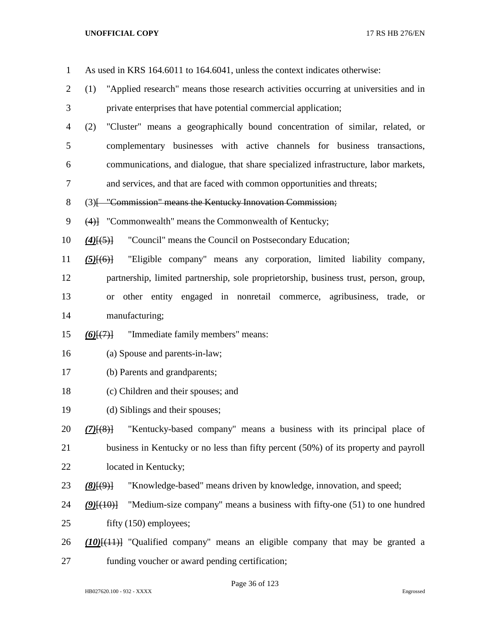| $\mathbf{1}$   | As used in KRS 164.6011 to 164.6041, unless the context indicates otherwise:               |
|----------------|--------------------------------------------------------------------------------------------|
| $\overline{2}$ | "Applied research" means those research activities occurring at universities and in<br>(1) |
| 3              | private enterprises that have potential commercial application;                            |
| $\overline{4}$ | "Cluster" means a geographically bound concentration of similar, related, or<br>(2)        |
| 5              | complementary businesses with active channels for business transactions,                   |
| 6              | communications, and dialogue, that share specialized infrastructure, labor markets,        |
| $\tau$         | and services, and that are faced with common opportunities and threats;                    |
| $8\,$          | (3) [ "Commission" means the Kentucky Innovation Commission;                               |
| 9              | (4)] "Commonwealth" means the Commonwealth of Kentucky;                                    |
| 10             | "Council" means the Council on Postsecondary Education;<br>$(4)$ [ $(5)$ ]                 |
| 11             | "Eligible company" means any corporation, limited liability company,<br>$(5)$ [(6)]        |
| 12             | partnership, limited partnership, sole proprietorship, business trust, person, group,      |
| 13             | other entity engaged in nonretail commerce, agribusiness, trade, or<br><b>or</b>           |
| 14             | manufacturing;                                                                             |
| 15             | "Immediate family members" means:<br>$(6)$ $(7)$                                           |
| 16             | (a) Spouse and parents-in-law;                                                             |
| 17             | (b) Parents and grandparents;                                                              |
| 18             | (c) Children and their spouses; and                                                        |
| 19             | (d) Siblings and their spouses;                                                            |
| 20             | "Kentucky-based company" means a business with its principal place of<br>$(7)$ $(8)$ }     |
| 21             | business in Kentucky or no less than fifty percent (50%) of its property and payroll       |
| 22             | located in Kentucky;                                                                       |
| 23             | "Knowledge-based" means driven by knowledge, innovation, and speed;<br>$(8)$ [ $(9)$ ]     |
| 24             | "Medium-size company" means a business with fifty-one (51) to one hundred<br>$(9)$ $(10)$  |
| 25             | fifty (150) employees;                                                                     |
| 26             | $(10)(+11)$ "Qualified company" means an eligible company that may be granted a            |
| 27             | funding voucher or award pending certification;                                            |

Page 36 of 123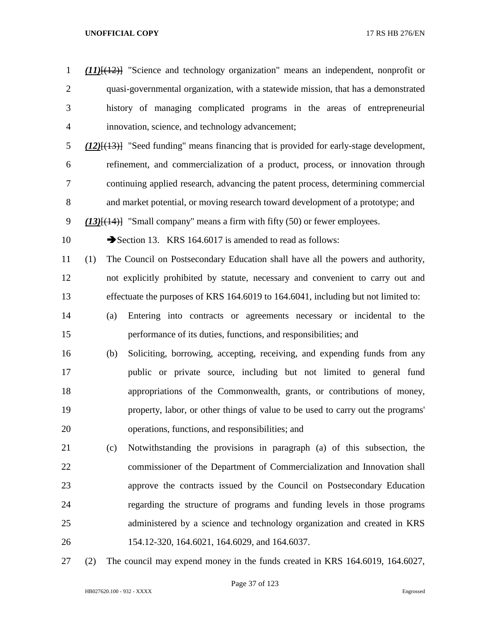*(11)*[(12)] "Science and technology organization" means an independent, nonprofit or quasi-governmental organization, with a statewide mission, that has a demonstrated history of managing complicated programs in the areas of entrepreneurial innovation, science, and technology advancement; *(12)*[(13)] "Seed funding" means financing that is provided for early-stage development, refinement, and commercialization of a product, process, or innovation through continuing applied research, advancing the patent process, determining commercial and market potential, or moving research toward development of a prototype; and *(13)*[(14)] "Small company" means a firm with fifty (50) or fewer employees. 10 Section 13. KRS 164.6017 is amended to read as follows: (1) The Council on Postsecondary Education shall have all the powers and authority, not explicitly prohibited by statute, necessary and convenient to carry out and effectuate the purposes of KRS 164.6019 to 164.6041, including but not limited to: (a) Entering into contracts or agreements necessary or incidental to the performance of its duties, functions, and responsibilities; and (b) Soliciting, borrowing, accepting, receiving, and expending funds from any public or private source, including but not limited to general fund appropriations of the Commonwealth, grants, or contributions of money, property, labor, or other things of value to be used to carry out the programs' operations, functions, and responsibilities; and (c) Notwithstanding the provisions in paragraph (a) of this subsection, the commissioner of the Department of Commercialization and Innovation shall approve the contracts issued by the Council on Postsecondary Education regarding the structure of programs and funding levels in those programs administered by a science and technology organization and created in KRS 154.12-320, 164.6021, 164.6029, and 164.6037. (2) The council may expend money in the funds created in KRS 164.6019, 164.6027,

Page 37 of 123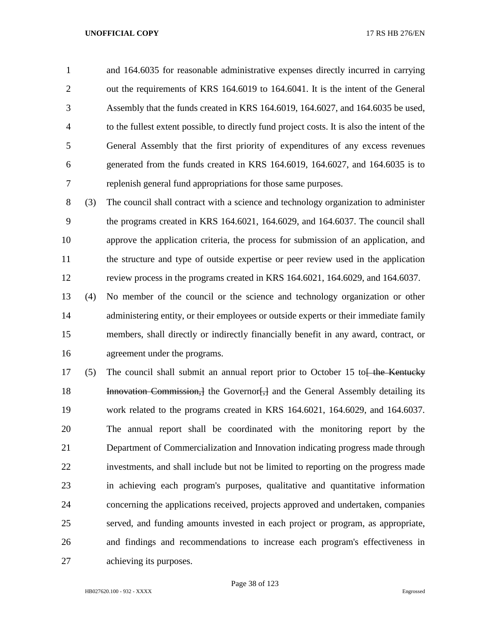and 164.6035 for reasonable administrative expenses directly incurred in carrying out the requirements of KRS 164.6019 to 164.6041. It is the intent of the General Assembly that the funds created in KRS 164.6019, 164.6027, and 164.6035 be used, to the fullest extent possible, to directly fund project costs. It is also the intent of the General Assembly that the first priority of expenditures of any excess revenues generated from the funds created in KRS 164.6019, 164.6027, and 164.6035 is to replenish general fund appropriations for those same purposes.

 (3) The council shall contract with a science and technology organization to administer the programs created in KRS 164.6021, 164.6029, and 164.6037. The council shall approve the application criteria, the process for submission of an application, and the structure and type of outside expertise or peer review used in the application review process in the programs created in KRS 164.6021, 164.6029, and 164.6037.

 (4) No member of the council or the science and technology organization or other 14 administering entity, or their employees or outside experts or their immediate family members, shall directly or indirectly financially benefit in any award, contract, or agreement under the programs.

17 (5) The council shall submit an annual report prior to October 15 to  $\frac{1}{16}$  the Kentucky **Innovation Commission,** I the Governor [, ] and the General Assembly detailing its work related to the programs created in KRS 164.6021, 164.6029, and 164.6037. The annual report shall be coordinated with the monitoring report by the Department of Commercialization and Innovation indicating progress made through investments, and shall include but not be limited to reporting on the progress made in achieving each program's purposes, qualitative and quantitative information concerning the applications received, projects approved and undertaken, companies served, and funding amounts invested in each project or program, as appropriate, and findings and recommendations to increase each program's effectiveness in achieving its purposes.

Page 38 of 123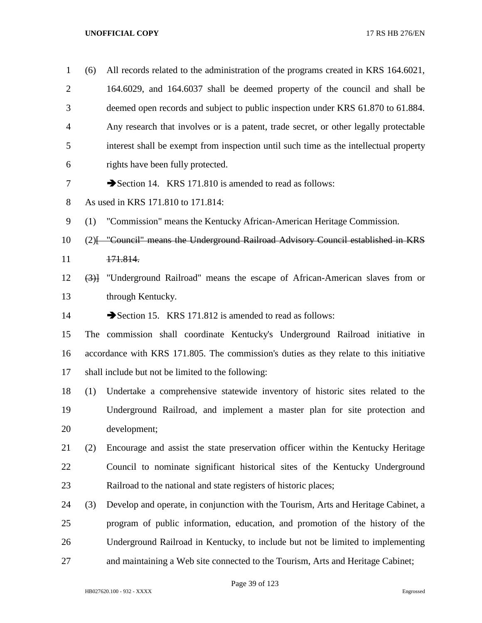| $\mathbf{1}$   | (6) | All records related to the administration of the programs created in KRS 164.6021,     |
|----------------|-----|----------------------------------------------------------------------------------------|
| $\overline{2}$ |     | 164.6029, and 164.6037 shall be deemed property of the council and shall be            |
| 3              |     | deemed open records and subject to public inspection under KRS 61.870 to 61.884.       |
| 4              |     | Any research that involves or is a patent, trade secret, or other legally protectable  |
| 5              |     | interest shall be exempt from inspection until such time as the intellectual property  |
| 6              |     | rights have been fully protected.                                                      |
| 7              |     | Section 14. KRS 171.810 is amended to read as follows:                                 |
| 8              |     | As used in KRS 171.810 to 171.814:                                                     |
| 9              | (1) | "Commission" means the Kentucky African-American Heritage Commission.                  |
| 10             |     | (2) [- "Council" means the Underground Railroad Advisory Council established in KRS    |
| 11             |     | 171.814.                                                                               |
| 12             |     | (3) "Underground Railroad" means the escape of African-American slaves from or         |
| 13             |     | through Kentucky.                                                                      |
| 14             |     | Section 15. KRS 171.812 is amended to read as follows:                                 |
| 15             |     | The commission shall coordinate Kentucky's Underground Railroad initiative in          |
| 16             |     | accordance with KRS 171.805. The commission's duties as they relate to this initiative |
| 17             |     | shall include but not be limited to the following:                                     |
| 18             | (1) | Undertake a comprehensive statewide inventory of historic sites related to the         |
| 19             |     | Underground Railroad, and implement a master plan for site protection and              |
| 20             |     | development;                                                                           |
| 21             | (2) | Encourage and assist the state preservation officer within the Kentucky Heritage       |
| 22             |     | Council to nominate significant historical sites of the Kentucky Underground           |
| 23             |     | Railroad to the national and state registers of historic places;                       |
| 24             | (3) | Develop and operate, in conjunction with the Tourism, Arts and Heritage Cabinet, a     |
| 25             |     | program of public information, education, and promotion of the history of the          |
| 26             |     | Underground Railroad in Kentucky, to include but not be limited to implementing        |
| 27             |     | and maintaining a Web site connected to the Tourism, Arts and Heritage Cabinet;        |

Page 39 of 123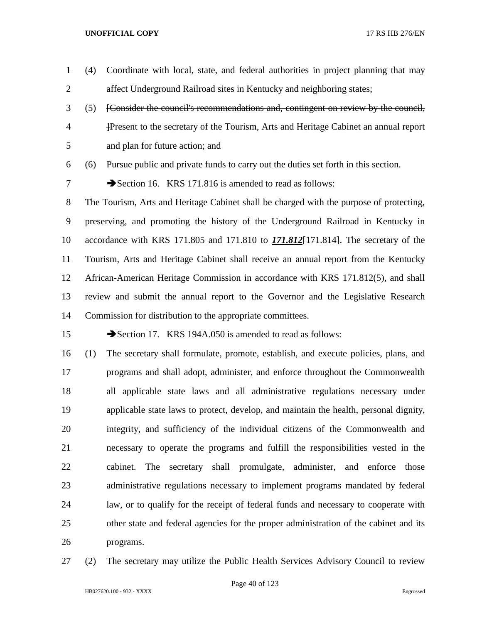- (4) Coordinate with local, state, and federal authorities in project planning that may affect Underground Railroad sites in Kentucky and neighboring states;
- (5) [Consider the council's recommendations and, contingent on review by the council, ]Present to the secretary of the Tourism, Arts and Heritage Cabinet an annual report and plan for future action; and

(6) Pursue public and private funds to carry out the duties set forth in this section.

7 Section 16. KRS 171.816 is amended to read as follows:

 The Tourism, Arts and Heritage Cabinet shall be charged with the purpose of protecting, preserving, and promoting the history of the Underground Railroad in Kentucky in accordance with KRS 171.805 and 171.810 to *171.812*[171.814]. The secretary of the Tourism, Arts and Heritage Cabinet shall receive an annual report from the Kentucky African-American Heritage Commission in accordance with KRS 171.812(5), and shall review and submit the annual report to the Governor and the Legislative Research Commission for distribution to the appropriate committees.

15 Section 17. KRS 194A.050 is amended to read as follows:

 (1) The secretary shall formulate, promote, establish, and execute policies, plans, and programs and shall adopt, administer, and enforce throughout the Commonwealth all applicable state laws and all administrative regulations necessary under applicable state laws to protect, develop, and maintain the health, personal dignity, integrity, and sufficiency of the individual citizens of the Commonwealth and necessary to operate the programs and fulfill the responsibilities vested in the cabinet. The secretary shall promulgate, administer, and enforce those administrative regulations necessary to implement programs mandated by federal law, or to qualify for the receipt of federal funds and necessary to cooperate with other state and federal agencies for the proper administration of the cabinet and its programs.

(2) The secretary may utilize the Public Health Services Advisory Council to review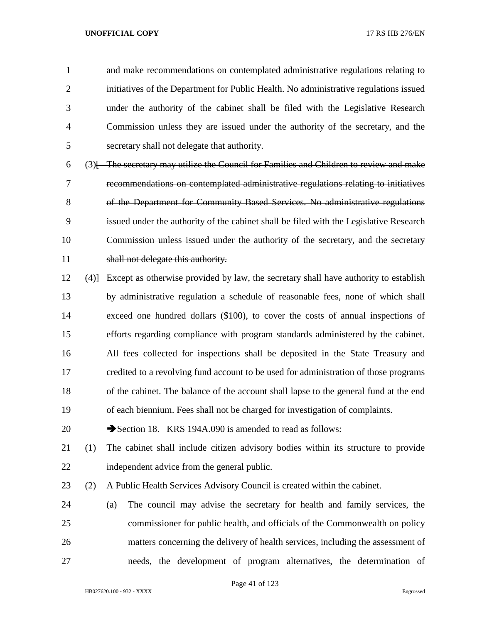and make recommendations on contemplated administrative regulations relating to initiatives of the Department for Public Health. No administrative regulations issued under the authority of the cabinet shall be filed with the Legislative Research Commission unless they are issued under the authority of the secretary, and the secretary shall not delegate that authority.

 (3)  $\overline{ }$  The secretary may utilize the Council for Families and Children to review and make recommendations on contemplated administrative regulations relating to initiatives of the Department for Community Based Services. No administrative regulations issued under the authority of the cabinet shall be filed with the Legislative Research Commission unless issued under the authority of the secretary, and the secretary 11 shall not delegate this authority.

 (4)] Except as otherwise provided by law, the secretary shall have authority to establish by administrative regulation a schedule of reasonable fees, none of which shall exceed one hundred dollars (\$100), to cover the costs of annual inspections of efforts regarding compliance with program standards administered by the cabinet. All fees collected for inspections shall be deposited in the State Treasury and credited to a revolving fund account to be used for administration of those programs of the cabinet. The balance of the account shall lapse to the general fund at the end of each biennium. Fees shall not be charged for investigation of complaints.

20 Section 18. KRS 194A.090 is amended to read as follows:

 (1) The cabinet shall include citizen advisory bodies within its structure to provide independent advice from the general public.

(2) A Public Health Services Advisory Council is created within the cabinet.

 (a) The council may advise the secretary for health and family services, the commissioner for public health, and officials of the Commonwealth on policy matters concerning the delivery of health services, including the assessment of needs, the development of program alternatives, the determination of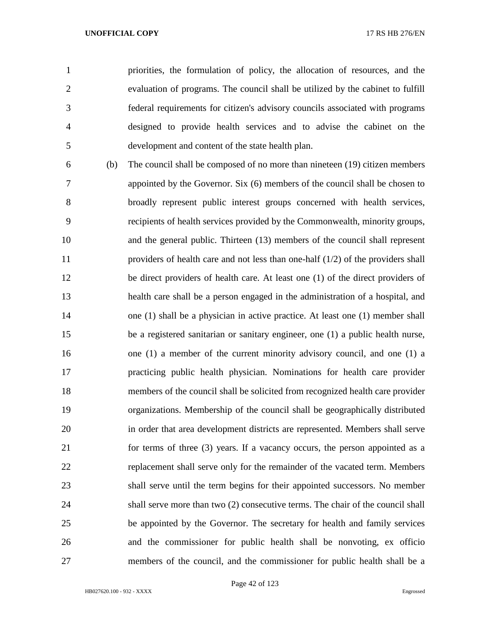priorities, the formulation of policy, the allocation of resources, and the evaluation of programs. The council shall be utilized by the cabinet to fulfill federal requirements for citizen's advisory councils associated with programs designed to provide health services and to advise the cabinet on the development and content of the state health plan.

 (b) The council shall be composed of no more than nineteen (19) citizen members appointed by the Governor. Six (6) members of the council shall be chosen to broadly represent public interest groups concerned with health services, recipients of health services provided by the Commonwealth, minority groups, and the general public. Thirteen (13) members of the council shall represent providers of health care and not less than one-half (1/2) of the providers shall be direct providers of health care. At least one (1) of the direct providers of health care shall be a person engaged in the administration of a hospital, and one (1) shall be a physician in active practice. At least one (1) member shall be a registered sanitarian or sanitary engineer, one (1) a public health nurse, one (1) a member of the current minority advisory council, and one (1) a practicing public health physician. Nominations for health care provider members of the council shall be solicited from recognized health care provider organizations. Membership of the council shall be geographically distributed in order that area development districts are represented. Members shall serve for terms of three (3) years. If a vacancy occurs, the person appointed as a replacement shall serve only for the remainder of the vacated term. Members shall serve until the term begins for their appointed successors. No member shall serve more than two (2) consecutive terms. The chair of the council shall be appointed by the Governor. The secretary for health and family services and the commissioner for public health shall be nonvoting, ex officio members of the council, and the commissioner for public health shall be a

Page 42 of 123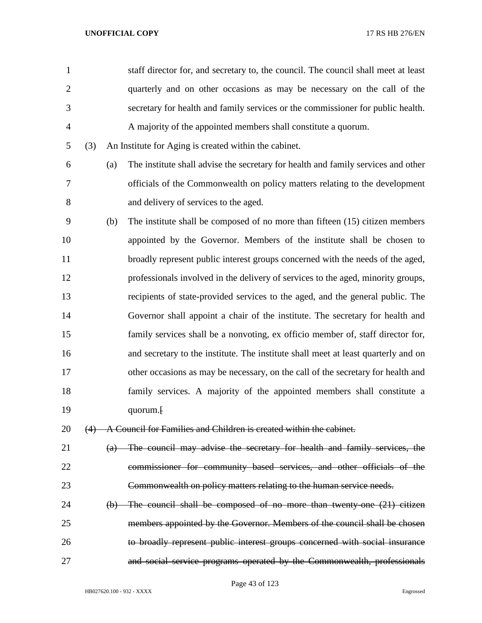| 1              |     |     | staff director for, and secretary to, the council. The council shall meet at least |
|----------------|-----|-----|------------------------------------------------------------------------------------|
| $\overline{2}$ |     |     | quarterly and on other occasions as may be necessary on the call of the            |
| 3              |     |     | secretary for health and family services or the commissioner for public health.    |
| $\overline{4}$ |     |     | A majority of the appointed members shall constitute a quorum.                     |
| 5              | (3) |     | An Institute for Aging is created within the cabinet.                              |
| 6              |     | (a) | The institute shall advise the secretary for health and family services and other  |
| 7              |     |     | officials of the Commonwealth on policy matters relating to the development        |
| 8              |     |     | and delivery of services to the aged.                                              |
| 9              |     | (b) | The institute shall be composed of no more than fifteen $(15)$ citizen members     |
| 10             |     |     | appointed by the Governor. Members of the institute shall be chosen to             |
| 11             |     |     | broadly represent public interest groups concerned with the needs of the aged,     |
| 12             |     |     | professionals involved in the delivery of services to the aged, minority groups,   |
| 13             |     |     | recipients of state-provided services to the aged, and the general public. The     |
| 14             |     |     | Governor shall appoint a chair of the institute. The secretary for health and      |
| 15             |     |     | family services shall be a nonvoting, ex officio member of, staff director for,    |
| 16             |     |     | and secretary to the institute. The institute shall meet at least quarterly and on |
| 17             |     |     | other occasions as may be necessary, on the call of the secretary for health and   |
| 18             |     |     | family services. A majority of the appointed members shall constitute a            |
| 19             |     |     | quorum. <sup>[</sup>                                                               |
| 20             |     |     | (4) A Council for Families and Children is created within the cabinet.             |
| 21             |     |     | (a) The council may advise the secretary for health and family services, the       |
| 22             |     |     | commissioner for community based services, and other officials of the              |
| 23             |     |     | Commonwealth on policy matters relating to the human service needs.                |
| 24             |     |     | (b) The council shall be composed of no more than twenty-one (21) citizen          |
| 25             |     |     | members appointed by the Governor. Members of the council shall be chosen          |
| 26             |     |     | to broadly represent public interest groups concerned with social insurance        |

and social service programs operated by the Commonwealth, professionals

Page 43 of 123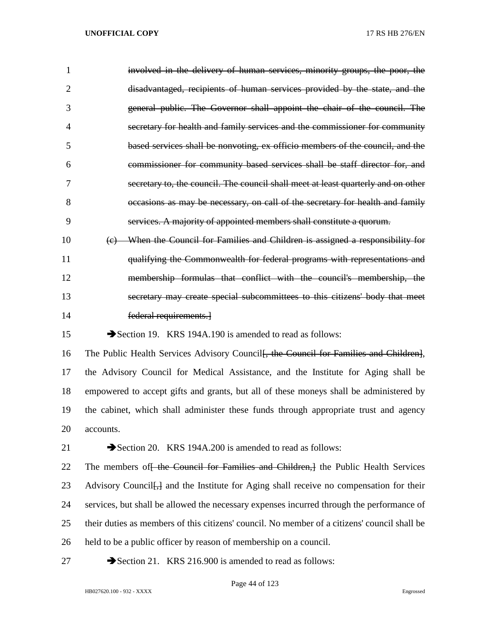| 1              | involved in the delivery of human services, minority groups, the poor, the                          |
|----------------|-----------------------------------------------------------------------------------------------------|
| $\overline{2}$ | disadvantaged, recipients of human services provided by the state, and the                          |
| 3              | general public. The Governor shall appoint the chair of the council. The                            |
| $\overline{4}$ | secretary for health and family services and the commissioner for community                         |
| 5              | based services shall be nonvoting, ex officio members of the council, and the                       |
| 6              | commissioner for community based services shall be staff director for, and                          |
| 7              | secretary to, the council. The council shall meet at least quarterly and on other                   |
| 8              | occasions as may be necessary, on call of the secretary for health and family                       |
| 9              | services. A majority of appointed members shall constitute a quorum.                                |
| 10             | When the Council for Families and Children is assigned a responsibility for<br>(e)                  |
| 11             | qualifying the Commonwealth for federal programs with representations and                           |
| 12             | membership formulas that conflict with the council's membership, the                                |
| 13             | secretary may create special subcommittees to this citizens' body that meet                         |
| 14             | federal requirements.                                                                               |
| 15             | Section 19. KRS 194A.190 is amended to read as follows:                                             |
| 16             | The Public Health Services Advisory Council <del>, the Council for Families and Children]</del> ,   |
| 17             | the Advisory Council for Medical Assistance, and the Institute for Aging shall be                   |
| 18             | empowered to accept gifts and grants, but all of these moneys shall be administered by              |
| 19             | the cabinet, which shall administer these funds through appropriate trust and agency                |
| 20             | accounts.                                                                                           |
| 21             | Section 20. KRS 194A.200 is amended to read as follows:                                             |
| 22             | The members of the Council for Families and Children, the Public Health Services                    |
| 23             | Advisory Council <del>, a</del> and the Institute for Aging shall receive no compensation for their |
| 24             | services, but shall be allowed the necessary expenses incurred through the performance of           |
| 25             | their duties as members of this citizens' council. No member of a citizens' council shall be        |

- held to be a public officer by reason of membership on a council.
- 

27 Section 21. KRS 216.900 is amended to read as follows: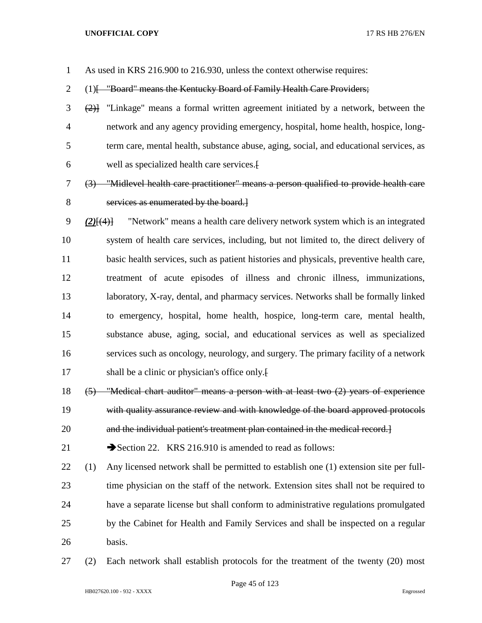As used in KRS 216.900 to 216.930, unless the context otherwise requires:

2 (1) [ "Board" means the Kentucky Board of Family Health Care Providers;

- (2)] "Linkage" means a formal written agreement initiated by a network, between the network and any agency providing emergency, hospital, home health, hospice, long- term care, mental health, substance abuse, aging, social, and educational services, as well as specialized health care services.[
- (3) "Midlevel health care practitioner" means a person qualified to provide health care services as enumerated by the board.]
- *(2)*[(4)] "Network" means a health care delivery network system which is an integrated system of health care services, including, but not limited to, the direct delivery of basic health services, such as patient histories and physicals, preventive health care, treatment of acute episodes of illness and chronic illness, immunizations, laboratory, X-ray, dental, and pharmacy services. Networks shall be formally linked to emergency, hospital, home health, hospice, long-term care, mental health, substance abuse, aging, social, and educational services as well as specialized services such as oncology, neurology, and surgery. The primary facility of a network 17 shall be a clinic or physician's office only.
- (5) "Medical chart auditor" means a person with at least two (2) years of experience with quality assurance review and with knowledge of the board approved protocols
- and the individual patient's treatment plan contained in the medical record.]

21 Section 22. KRS 216.910 is amended to read as follows:

- (1) Any licensed network shall be permitted to establish one (1) extension site per full- time physician on the staff of the network. Extension sites shall not be required to have a separate license but shall conform to administrative regulations promulgated by the Cabinet for Health and Family Services and shall be inspected on a regular basis.
- (2) Each network shall establish protocols for the treatment of the twenty (20) most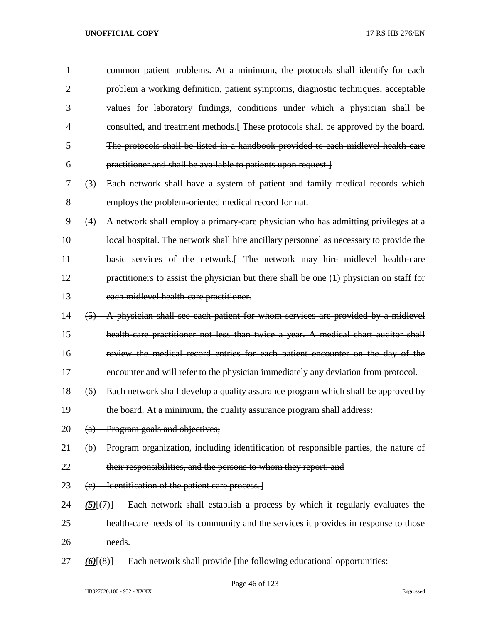| 1              |                                   | common patient problems. At a minimum, the protocols shall identify for each              |
|----------------|-----------------------------------|-------------------------------------------------------------------------------------------|
| $\overline{2}$ |                                   | problem a working definition, patient symptoms, diagnostic techniques, acceptable         |
| 3              |                                   | values for laboratory findings, conditions under which a physician shall be               |
| $\overline{4}$ |                                   | consulted, and treatment methods. These protocols shall be approved by the board.         |
| 5              |                                   | The protocols shall be listed in a handbook provided to each midlevel health-care         |
| 6              |                                   | practitioner and shall be available to patients upon request.                             |
| 7              | (3)                               | Each network shall have a system of patient and family medical records which              |
| 8              |                                   | employs the problem-oriented medical record format.                                       |
| 9              | (4)                               | A network shall employ a primary-care physician who has admitting privileges at a         |
| 10             |                                   | local hospital. The network shall hire ancillary personnel as necessary to provide the    |
| 11             |                                   | basic services of the network. <del> The network may hire midlevel health care</del>      |
| 12             |                                   | practitioners to assist the physician but there shall be one $(1)$ physician on staff for |
| 13             |                                   | each midlevel health care practitioner.                                                   |
| 14             |                                   | (5) A physician shall see each patient for whom services are provided by a midlevel       |
| 15             |                                   | health care practitioner not less than twice a year. A medical chart auditor shall        |
| 16             |                                   | review the medical record entries for each patient encounter on the day of the            |
| 17             |                                   | encounter and will refer to the physician immediately any deviation from protocol.        |
| 18             |                                   | (6) Each network shall develop a quality assurance program which shall be approved by     |
| 19             |                                   | the board. At a minimum, the quality assurance program shall address:                     |
| 20             |                                   | (a) Program goals and objectives;                                                         |
| 21             |                                   | (b) Program organization, including identification of responsible parties, the nature of  |
| 22             |                                   | their responsibilities, and the persons to whom they report; and                          |
| 23             |                                   | (c) Identification of the patient care process.]                                          |
| 24             | $(5)$ [ $(7)$ ]                   | Each network shall establish a process by which it regularly evaluates the                |
| 25             |                                   | health-care needs of its community and the services it provides in response to those      |
| 26             |                                   | needs.                                                                                    |
| 27             | $\underline{(6)}[\overline{(8)}]$ | Each network shall provide [the following educational opportunities:                      |

Page 46 of 123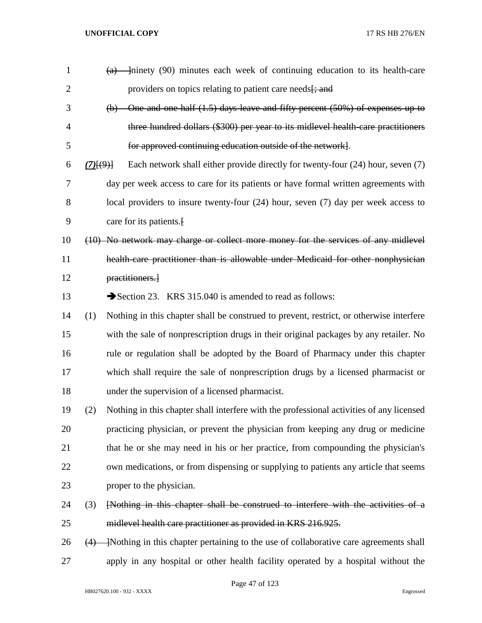| $\mathbf{1}$   |                                      |                                                                                          |
|----------------|--------------------------------------|------------------------------------------------------------------------------------------|
| $\overline{2}$ |                                      | providers on topics relating to patient care needs <del>[; and</del>                     |
| 3              | $\Theta$                             | One and one half (1.5) days leave and fifty percent (50%) of expenses up to              |
| 4              |                                      | three hundred dollars (\$300) per year to its midlevel health care practitioners         |
| 5              |                                      | for approved continuing education outside of the network.                                |
| 6              | $(7)$ <del><math>\{9\}</math>]</del> | Each network shall either provide directly for twenty-four (24) hour, seven (7)          |
| 7              |                                      | day per week access to care for its patients or have formal written agreements with      |
| 8              |                                      | local providers to insure twenty-four $(24)$ hour, seven $(7)$ day per week access to    |
| 9              |                                      | care for its patients.                                                                   |
| 10             |                                      | (10) No network may charge or collect more money for the services of any midlevel        |
| 11             |                                      | health care practitioner than is allowable under Medicaid for other nonphysician         |
| 12             |                                      | practitioners.                                                                           |
| 13             |                                      | Section 23. KRS 315.040 is amended to read as follows:                                   |
| 14             | (1)                                  | Nothing in this chapter shall be construed to prevent, restrict, or otherwise interfere  |
| 15             |                                      | with the sale of nonprescription drugs in their original packages by any retailer. No    |
| 16             |                                      | rule or regulation shall be adopted by the Board of Pharmacy under this chapter          |
| 17             |                                      | which shall require the sale of nonprescription drugs by a licensed pharmacist or        |
| 18             |                                      | under the supervision of a licensed pharmacist.                                          |
| 19             | (2)                                  | Nothing in this chapter shall interfere with the professional activities of any licensed |
| 20             |                                      | practicing physician, or prevent the physician from keeping any drug or medicine         |
| 21             |                                      | that he or she may need in his or her practice, from compounding the physician's         |
| 22             |                                      | own medications, or from dispensing or supplying to patients any article that seems      |
| 23             |                                      | proper to the physician.                                                                 |
| 24             | (3)                                  | [Nothing in this chapter shall be construed to interfere with the activities of a        |
| 25             |                                      | midlevel health care practitioner as provided in KRS 216.925.                            |
| 26             | (4)                                  | -Nothing in this chapter pertaining to the use of collaborative care agreements shall    |
| 27             |                                      | apply in any hospital or other health facility operated by a hospital without the        |

Page 47 of 123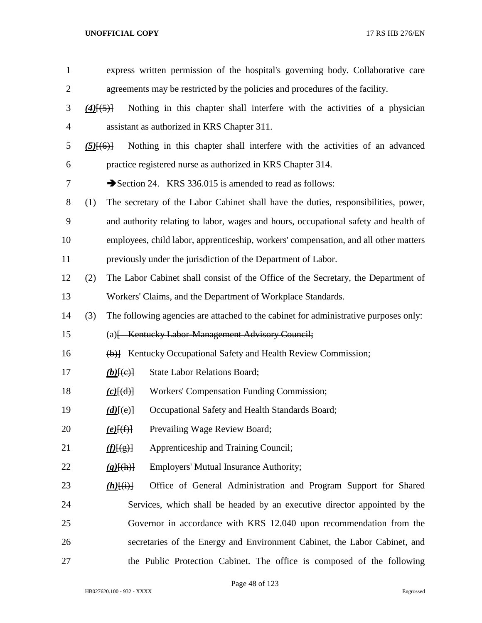| $\mathbf{1}$   | express written permission of the hospital's governing body. Collaborative care             |
|----------------|---------------------------------------------------------------------------------------------|
| $\overline{2}$ | agreements may be restricted by the policies and procedures of the facility.                |
| 3              | Nothing in this chapter shall interfere with the activities of a physician<br>$(4)$ [(5)]   |
| 4              | assistant as authorized in KRS Chapter 311.                                                 |
| 5              | Nothing in this chapter shall interfere with the activities of an advanced<br>$(5)$ $(6)$   |
| 6              | practice registered nurse as authorized in KRS Chapter 314.                                 |
| 7              | Section 24. KRS 336.015 is amended to read as follows:                                      |
| 8              | (1)<br>The secretary of the Labor Cabinet shall have the duties, responsibilities, power,   |
| 9              | and authority relating to labor, wages and hours, occupational safety and health of         |
| 10             | employees, child labor, apprenticeship, workers' compensation, and all other matters        |
| 11             | previously under the jurisdiction of the Department of Labor.                               |
| 12             | (2)<br>The Labor Cabinet shall consist of the Office of the Secretary, the Department of    |
| 13             | Workers' Claims, and the Department of Workplace Standards.                                 |
| 14             | (3)<br>The following agencies are attached to the cabinet for administrative purposes only: |
| 15             | (a) [Kentucky Labor-Management Advisory Council;                                            |
| 16             | (b)] Kentucky Occupational Safety and Health Review Commission;                             |
| 17             | <b>State Labor Relations Board;</b><br>$(b)$ [(e)]                                          |
| 18             | Workers' Compensation Funding Commission;<br>$(c)$ $(d)$                                    |
| 19             | Occupational Safety and Health Standards Board;<br>$(d)$ [(e)]                              |
| 20             | Prevailing Wage Review Board;<br>$(e)$ [(f)]                                                |
| 21             | Apprenticeship and Training Council;<br>$\langle f(f(g)) $                                  |
| 22             | <b>Employers' Mutual Insurance Authority;</b><br>$(g)$ [(h)]                                |
| 23             | Office of General Administration and Program Support for Shared<br>$(h)$ [(i)]              |
| 24             | Services, which shall be headed by an executive director appointed by the                   |
| 25             | Governor in accordance with KRS 12.040 upon recommendation from the                         |
| 26             | secretaries of the Energy and Environment Cabinet, the Labor Cabinet, and                   |
| 27             | the Public Protection Cabinet. The office is composed of the following                      |

Page 48 of 123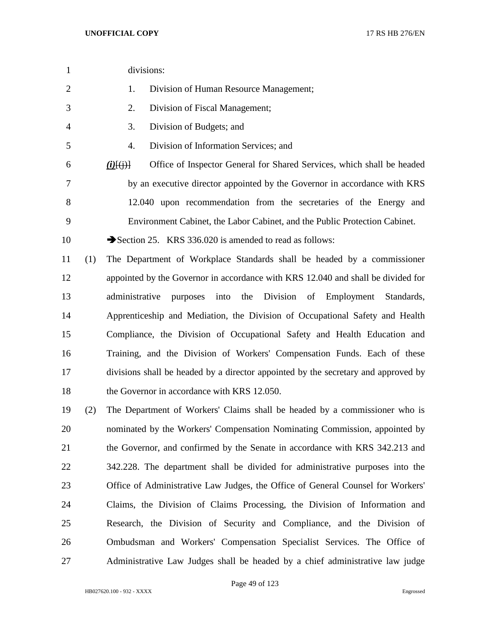| $\mathbf{1}$   |     | divisions:                                                                                        |
|----------------|-----|---------------------------------------------------------------------------------------------------|
| $\overline{c}$ |     | Division of Human Resource Management;<br>1.                                                      |
| 3              |     | Division of Fiscal Management;<br>2.                                                              |
| 4              |     | Division of Budgets; and<br>3.                                                                    |
| 5              |     | Division of Information Services; and<br>4.                                                       |
| 6              |     | Office of Inspector General for Shared Services, which shall be headed<br>$(i)$ $(i)$ $(i)$ $(i)$ |
| 7              |     | by an executive director appointed by the Governor in accordance with KRS                         |
| $8\,$          |     | 12.040 upon recommendation from the secretaries of the Energy and                                 |
| 9              |     | Environment Cabinet, the Labor Cabinet, and the Public Protection Cabinet.                        |
| 10             |     | Section 25. KRS 336.020 is amended to read as follows:                                            |
| 11             | (1) | The Department of Workplace Standards shall be headed by a commissioner                           |
| 12             |     | appointed by the Governor in accordance with KRS 12.040 and shall be divided for                  |
| 13             |     | administrative<br>purposes into the Division of Employment<br>Standards,                          |
| 14             |     | Apprenticeship and Mediation, the Division of Occupational Safety and Health                      |
| 15             |     | Compliance, the Division of Occupational Safety and Health Education and                          |
| 16             |     | Training, and the Division of Workers' Compensation Funds. Each of these                          |
| 17             |     | divisions shall be headed by a director appointed by the secretary and approved by                |
| 18             |     | the Governor in accordance with KRS 12.050.                                                       |
| 19             | (2) | The Department of Workers' Claims shall be headed by a commissioner who is                        |
| 20             |     | nominated by the Workers' Compensation Nominating Commission, appointed by                        |
| 21             |     | the Governor, and confirmed by the Senate in accordance with KRS 342.213 and                      |
| 22             |     | 342.228. The department shall be divided for administrative purposes into the                     |
| 23             |     | Office of Administrative Law Judges, the Office of General Counsel for Workers'                   |
| 24             |     | Claims, the Division of Claims Processing, the Division of Information and                        |

 Research, the Division of Security and Compliance, and the Division of Ombudsman and Workers' Compensation Specialist Services. The Office of Administrative Law Judges shall be headed by a chief administrative law judge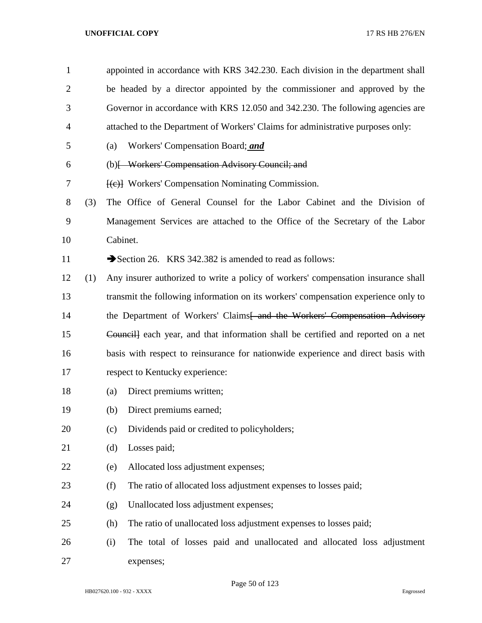appointed in accordance with KRS 342.230. Each division in the department shall be headed by a director appointed by the commissioner and approved by the Governor in accordance with KRS 12.050 and 342.230. The following agencies are attached to the Department of Workers' Claims for administrative purposes only:

- (a) Workers' Compensation Board; *and*
- (b)[ Workers' Compensation Advisory Council; and
- 7 [(e)] Workers' Compensation Nominating Commission.
- (3) The Office of General Counsel for the Labor Cabinet and the Division of Management Services are attached to the Office of the Secretary of the Labor Cabinet.
- 11 Section 26. KRS 342.382 is amended to read as follows:
- (1) Any insurer authorized to write a policy of workers' compensation insurance shall transmit the following information on its workers' compensation experience only to 14 the Department of Workers' Claims<del>[ and the Workers' Compensation Advisory</del> Council] each year, and that information shall be certified and reported on a net basis with respect to reinsurance for nationwide experience and direct basis with respect to Kentucky experience:
- (a) Direct premiums written;
- (b) Direct premiums earned;
- (c) Dividends paid or credited to policyholders;
- (d) Losses paid;
- (e) Allocated loss adjustment expenses;
- (f) The ratio of allocated loss adjustment expenses to losses paid;
- (g) Unallocated loss adjustment expenses;
- (h) The ratio of unallocated loss adjustment expenses to losses paid;
- (i) The total of losses paid and unallocated and allocated loss adjustment expenses;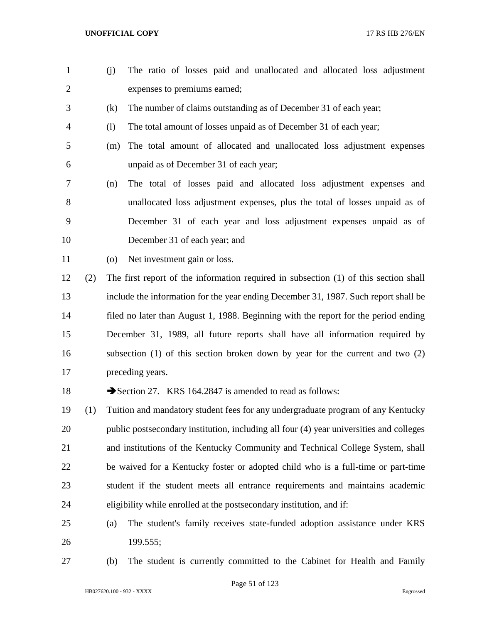- (j) The ratio of losses paid and unallocated and allocated loss adjustment expenses to premiums earned; (k) The number of claims outstanding as of December 31 of each year; (l) The total amount of losses unpaid as of December 31 of each year; (m) The total amount of allocated and unallocated loss adjustment expenses unpaid as of December 31 of each year; (n) The total of losses paid and allocated loss adjustment expenses and unallocated loss adjustment expenses, plus the total of losses unpaid as of December 31 of each year and loss adjustment expenses unpaid as of December 31 of each year; and (o) Net investment gain or loss. (2) The first report of the information required in subsection (1) of this section shall include the information for the year ending December 31, 1987. Such report shall be filed no later than August 1, 1988. Beginning with the report for the period ending December 31, 1989, all future reports shall have all information required by subsection (1) of this section broken down by year for the current and two (2) preceding years. 18 Section 27. KRS 164.2847 is amended to read as follows: (1) Tuition and mandatory student fees for any undergraduate program of any Kentucky public postsecondary institution, including all four (4) year universities and colleges and institutions of the Kentucky Community and Technical College System, shall be waived for a Kentucky foster or adopted child who is a full-time or part-time student if the student meets all entrance requirements and maintains academic
- (a) The student's family receives state-funded adoption assistance under KRS 199.555;

eligibility while enrolled at the postsecondary institution, and if:

(b) The student is currently committed to the Cabinet for Health and Family

Page 51 of 123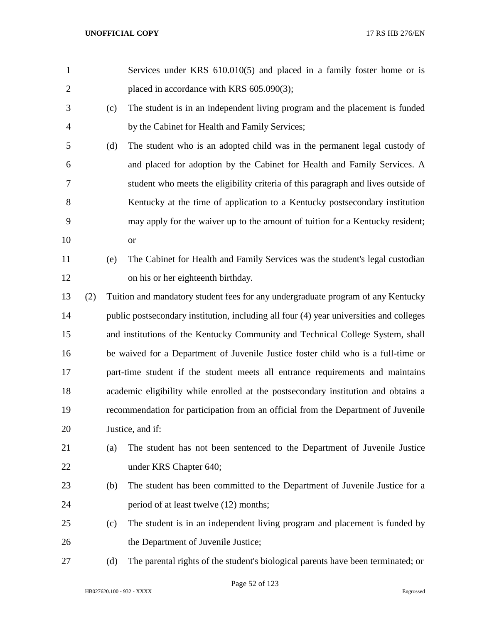| $\mathbf{1}$   |     |     | Services under KRS 610.010(5) and placed in a family foster home or is                  |
|----------------|-----|-----|-----------------------------------------------------------------------------------------|
| $\overline{2}$ |     |     | placed in accordance with KRS 605.090(3);                                               |
| 3              |     | (c) | The student is in an independent living program and the placement is funded             |
| $\overline{4}$ |     |     | by the Cabinet for Health and Family Services;                                          |
| 5              |     | (d) | The student who is an adopted child was in the permanent legal custody of               |
| 6              |     |     | and placed for adoption by the Cabinet for Health and Family Services. A                |
| 7              |     |     | student who meets the eligibility criteria of this paragraph and lives outside of       |
| 8              |     |     | Kentucky at the time of application to a Kentucky postsecondary institution             |
| 9              |     |     | may apply for the waiver up to the amount of tuition for a Kentucky resident;           |
| 10             |     |     | <b>or</b>                                                                               |
| 11             |     | (e) | The Cabinet for Health and Family Services was the student's legal custodian            |
| 12             |     |     | on his or her eighteenth birthday.                                                      |
| 13             | (2) |     | Tuition and mandatory student fees for any undergraduate program of any Kentucky        |
| 14             |     |     | public postsecondary institution, including all four (4) year universities and colleges |
| 15             |     |     | and institutions of the Kentucky Community and Technical College System, shall          |
| 16             |     |     | be waived for a Department of Juvenile Justice foster child who is a full-time or       |
| 17             |     |     | part-time student if the student meets all entrance requirements and maintains          |
| 18             |     |     | academic eligibility while enrolled at the postsecondary institution and obtains a      |
| 19             |     |     | recommendation for participation from an official from the Department of Juvenile       |
| 20             |     |     | Justice, and if:                                                                        |
| 21             |     | (a) | The student has not been sentenced to the Department of Juvenile Justice                |
| 22             |     |     | under KRS Chapter 640;                                                                  |
| 23             |     | (b) | The student has been committed to the Department of Juvenile Justice for a              |
| 24             |     |     | period of at least twelve (12) months;                                                  |
| 25             |     | (c) | The student is in an independent living program and placement is funded by              |
| 26             |     |     | the Department of Juvenile Justice;                                                     |
| 27             |     | (d) | The parental rights of the student's biological parents have been terminated; or        |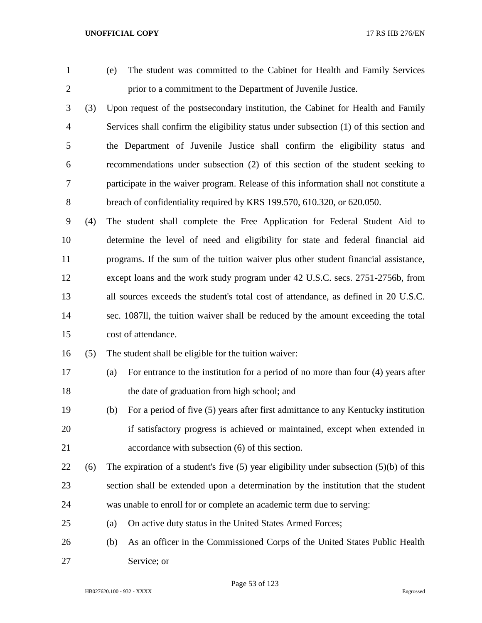(e) The student was committed to the Cabinet for Health and Family Services prior to a commitment to the Department of Juvenile Justice.

 (3) Upon request of the postsecondary institution, the Cabinet for Health and Family Services shall confirm the eligibility status under subsection (1) of this section and the Department of Juvenile Justice shall confirm the eligibility status and recommendations under subsection (2) of this section of the student seeking to participate in the waiver program. Release of this information shall not constitute a breach of confidentiality required by KRS 199.570, 610.320, or 620.050.

 (4) The student shall complete the Free Application for Federal Student Aid to determine the level of need and eligibility for state and federal financial aid programs. If the sum of the tuition waiver plus other student financial assistance, except loans and the work study program under 42 U.S.C. secs. 2751-2756b, from all sources exceeds the student's total cost of attendance, as defined in 20 U.S.C. sec. 1087ll, the tuition waiver shall be reduced by the amount exceeding the total cost of attendance.

(5) The student shall be eligible for the tuition waiver:

- (a) For entrance to the institution for a period of no more than four (4) years after the date of graduation from high school; and
- (b) For a period of five (5) years after first admittance to any Kentucky institution if satisfactory progress is achieved or maintained, except when extended in accordance with subsection (6) of this section.
- 22 (6) The expiration of a student's five (5) year eligibility under subsection (5)(b) of this section shall be extended upon a determination by the institution that the student was unable to enroll for or complete an academic term due to serving:
- (a) On active duty status in the United States Armed Forces;
- (b) As an officer in the Commissioned Corps of the United States Public Health Service; or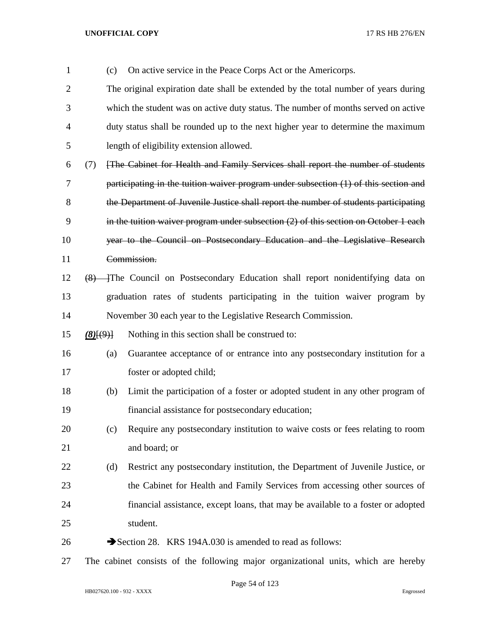| $\mathbf{1}$   |               | (c) | On active service in the Peace Corps Act or the Americorps.                            |
|----------------|---------------|-----|----------------------------------------------------------------------------------------|
| $\overline{2}$ |               |     | The original expiration date shall be extended by the total number of years during     |
| 3              |               |     | which the student was on active duty status. The number of months served on active     |
| 4              |               |     | duty status shall be rounded up to the next higher year to determine the maximum       |
| 5              |               |     | length of eligibility extension allowed.                                               |
| 6              | (7)           |     | [The Cabinet for Health and Family Services shall report the number of students        |
| 7              |               |     | participating in the tuition waiver program under subsection (1) of this section and   |
| 8              |               |     | the Department of Juvenile Justice shall report the number of students participating   |
| 9              |               |     | in the tuition waiver program under subsection $(2)$ of this section on October 1 each |
| 10             |               |     | year to the Council on Postsecondary Education and the Legislative Research            |
| 11             |               |     | Commission.                                                                            |
| 12             | (8)           |     | The Council on Postsecondary Education shall report nonidentifying data on             |
| 13             |               |     | graduation rates of students participating in the tuition waiver program by            |
| 14             |               |     | November 30 each year to the Legislative Research Commission.                          |
| 15             | $(8)$ $(9)$ } |     | Nothing in this section shall be construed to:                                         |
| 16             |               | (a) | Guarantee acceptance of or entrance into any postsecondary institution for a           |
| 17             |               |     | foster or adopted child;                                                               |
| 18             |               | (b) | Limit the participation of a foster or adopted student in any other program of         |
| 19             |               |     | financial assistance for postsecondary education;                                      |
| 20             |               | (c) | Require any postsecondary institution to waive costs or fees relating to room          |
| 21             |               |     | and board; or                                                                          |
| 22             |               | (d) | Restrict any postsecondary institution, the Department of Juvenile Justice, or         |
| 23             |               |     | the Cabinet for Health and Family Services from accessing other sources of             |
| 24             |               |     | financial assistance, except loans, that may be available to a foster or adopted       |
| 25             |               |     | student.                                                                               |
| 26             |               |     | Section 28. KRS 194A.030 is amended to read as follows:                                |
|                |               |     |                                                                                        |

The cabinet consists of the following major organizational units, which are hereby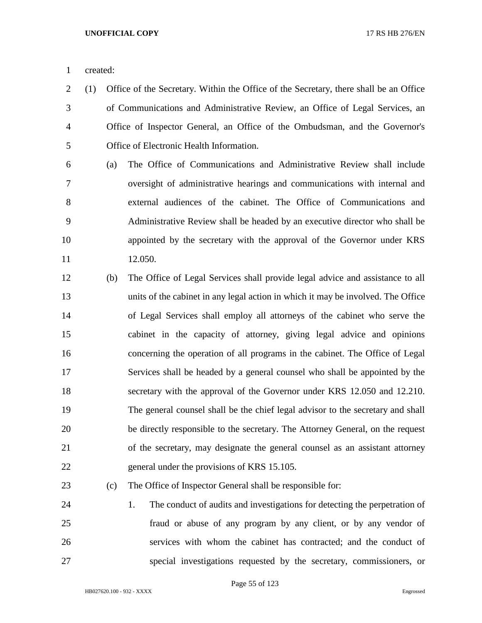created:

- (1) Office of the Secretary. Within the Office of the Secretary, there shall be an Office of Communications and Administrative Review, an Office of Legal Services, an Office of Inspector General, an Office of the Ombudsman, and the Governor's Office of Electronic Health Information.
- (a) The Office of Communications and Administrative Review shall include oversight of administrative hearings and communications with internal and external audiences of the cabinet. The Office of Communications and Administrative Review shall be headed by an executive director who shall be appointed by the secretary with the approval of the Governor under KRS 12.050.
- (b) The Office of Legal Services shall provide legal advice and assistance to all units of the cabinet in any legal action in which it may be involved. The Office of Legal Services shall employ all attorneys of the cabinet who serve the cabinet in the capacity of attorney, giving legal advice and opinions concerning the operation of all programs in the cabinet. The Office of Legal Services shall be headed by a general counsel who shall be appointed by the secretary with the approval of the Governor under KRS 12.050 and 12.210. The general counsel shall be the chief legal advisor to the secretary and shall be directly responsible to the secretary. The Attorney General, on the request of the secretary, may designate the general counsel as an assistant attorney general under the provisions of KRS 15.105.

# (c) The Office of Inspector General shall be responsible for:

 1. The conduct of audits and investigations for detecting the perpetration of fraud or abuse of any program by any client, or by any vendor of services with whom the cabinet has contracted; and the conduct of special investigations requested by the secretary, commissioners, or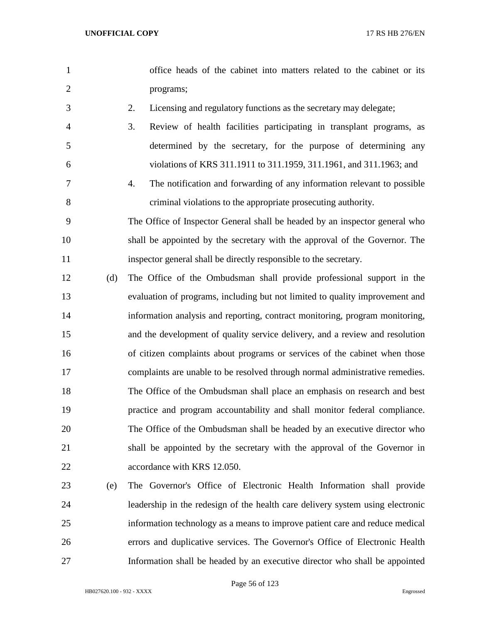- office heads of the cabinet into matters related to the cabinet or its programs;
- 
- 2. Licensing and regulatory functions as the secretary may delegate;
- 3. Review of health facilities participating in transplant programs, as determined by the secretary, for the purpose of determining any violations of KRS 311.1911 to 311.1959, 311.1961, and 311.1963; and
- 4. The notification and forwarding of any information relevant to possible criminal violations to the appropriate prosecuting authority.
- The Office of Inspector General shall be headed by an inspector general who shall be appointed by the secretary with the approval of the Governor. The inspector general shall be directly responsible to the secretary.
- (d) The Office of the Ombudsman shall provide professional support in the evaluation of programs, including but not limited to quality improvement and information analysis and reporting, contract monitoring, program monitoring, and the development of quality service delivery, and a review and resolution of citizen complaints about programs or services of the cabinet when those complaints are unable to be resolved through normal administrative remedies. The Office of the Ombudsman shall place an emphasis on research and best practice and program accountability and shall monitor federal compliance. The Office of the Ombudsman shall be headed by an executive director who shall be appointed by the secretary with the approval of the Governor in 22 accordance with KRS 12.050.
- (e) The Governor's Office of Electronic Health Information shall provide leadership in the redesign of the health care delivery system using electronic information technology as a means to improve patient care and reduce medical errors and duplicative services. The Governor's Office of Electronic Health Information shall be headed by an executive director who shall be appointed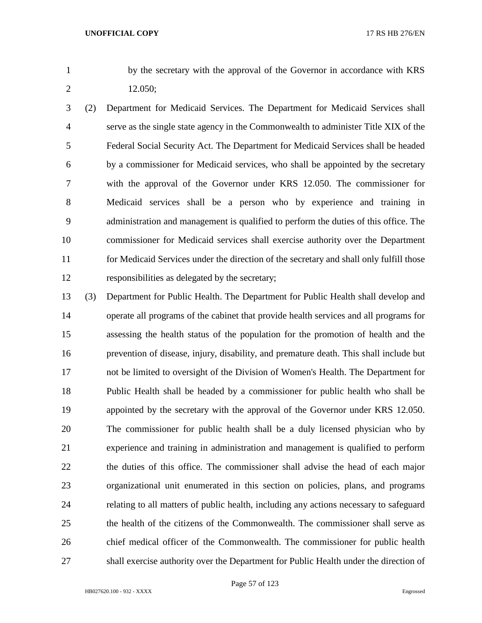by the secretary with the approval of the Governor in accordance with KRS 12.050;

- (2) Department for Medicaid Services. The Department for Medicaid Services shall serve as the single state agency in the Commonwealth to administer Title XIX of the Federal Social Security Act. The Department for Medicaid Services shall be headed by a commissioner for Medicaid services, who shall be appointed by the secretary with the approval of the Governor under KRS 12.050. The commissioner for Medicaid services shall be a person who by experience and training in administration and management is qualified to perform the duties of this office. The commissioner for Medicaid services shall exercise authority over the Department for Medicaid Services under the direction of the secretary and shall only fulfill those responsibilities as delegated by the secretary;
- (3) Department for Public Health. The Department for Public Health shall develop and operate all programs of the cabinet that provide health services and all programs for assessing the health status of the population for the promotion of health and the prevention of disease, injury, disability, and premature death. This shall include but not be limited to oversight of the Division of Women's Health. The Department for Public Health shall be headed by a commissioner for public health who shall be appointed by the secretary with the approval of the Governor under KRS 12.050. The commissioner for public health shall be a duly licensed physician who by experience and training in administration and management is qualified to perform the duties of this office. The commissioner shall advise the head of each major organizational unit enumerated in this section on policies, plans, and programs relating to all matters of public health, including any actions necessary to safeguard the health of the citizens of the Commonwealth. The commissioner shall serve as chief medical officer of the Commonwealth. The commissioner for public health shall exercise authority over the Department for Public Health under the direction of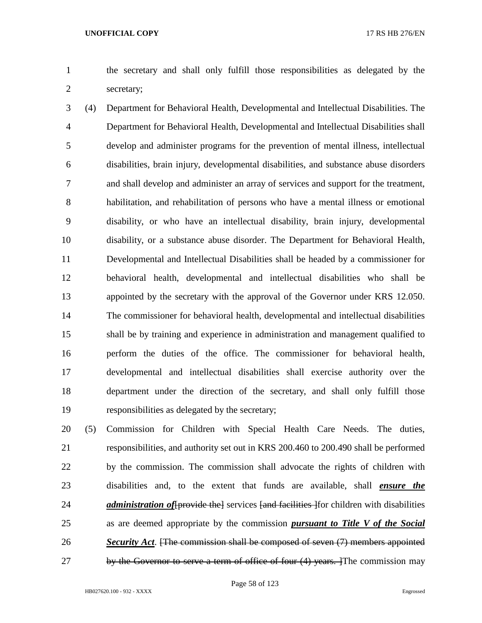the secretary and shall only fulfill those responsibilities as delegated by the secretary;

 (4) Department for Behavioral Health, Developmental and Intellectual Disabilities. The Department for Behavioral Health, Developmental and Intellectual Disabilities shall develop and administer programs for the prevention of mental illness, intellectual disabilities, brain injury, developmental disabilities, and substance abuse disorders and shall develop and administer an array of services and support for the treatment, habilitation, and rehabilitation of persons who have a mental illness or emotional disability, or who have an intellectual disability, brain injury, developmental disability, or a substance abuse disorder. The Department for Behavioral Health, Developmental and Intellectual Disabilities shall be headed by a commissioner for behavioral health, developmental and intellectual disabilities who shall be appointed by the secretary with the approval of the Governor under KRS 12.050. The commissioner for behavioral health, developmental and intellectual disabilities shall be by training and experience in administration and management qualified to perform the duties of the office. The commissioner for behavioral health, developmental and intellectual disabilities shall exercise authority over the department under the direction of the secretary, and shall only fulfill those responsibilities as delegated by the secretary;

 (5) Commission for Children with Special Health Care Needs. The duties, responsibilities, and authority set out in KRS 200.460 to 200.490 shall be performed by the commission. The commission shall advocate the rights of children with disabilities and, to the extent that funds are available, shall *ensure the administration of* [provide the] services [and facilities ] for children with disabilities as are deemed appropriate by the commission *pursuant to Title V of the Social Security Act*. [The commission shall be composed of seven (7) members appointed 27 by the Governor to serve a term of office of four (4) years. The commission may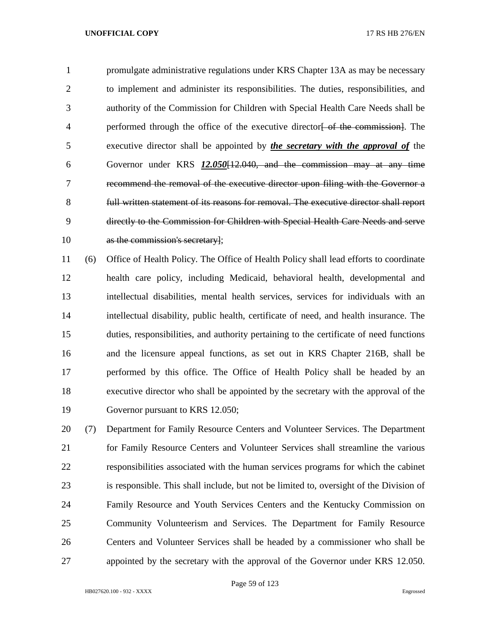promulgate administrative regulations under KRS Chapter 13A as may be necessary to implement and administer its responsibilities. The duties, responsibilities, and authority of the Commission for Children with Special Health Care Needs shall be 4 performed through the office of the executive director of the commission. The executive director shall be appointed by *the secretary with the approval of* the Governor under KRS *12.050*[12.040, and the commission may at any time recommend the removal of the executive director upon filing with the Governor a full written statement of its reasons for removal. The executive director shall report directly to the Commission for Children with Special Health Care Needs and serve 10 as the commission's secretary];

 (6) Office of Health Policy. The Office of Health Policy shall lead efforts to coordinate health care policy, including Medicaid, behavioral health, developmental and intellectual disabilities, mental health services, services for individuals with an intellectual disability, public health, certificate of need, and health insurance. The duties, responsibilities, and authority pertaining to the certificate of need functions and the licensure appeal functions, as set out in KRS Chapter 216B, shall be performed by this office. The Office of Health Policy shall be headed by an executive director who shall be appointed by the secretary with the approval of the Governor pursuant to KRS 12.050;

 (7) Department for Family Resource Centers and Volunteer Services. The Department for Family Resource Centers and Volunteer Services shall streamline the various responsibilities associated with the human services programs for which the cabinet is responsible. This shall include, but not be limited to, oversight of the Division of Family Resource and Youth Services Centers and the Kentucky Commission on Community Volunteerism and Services. The Department for Family Resource Centers and Volunteer Services shall be headed by a commissioner who shall be appointed by the secretary with the approval of the Governor under KRS 12.050.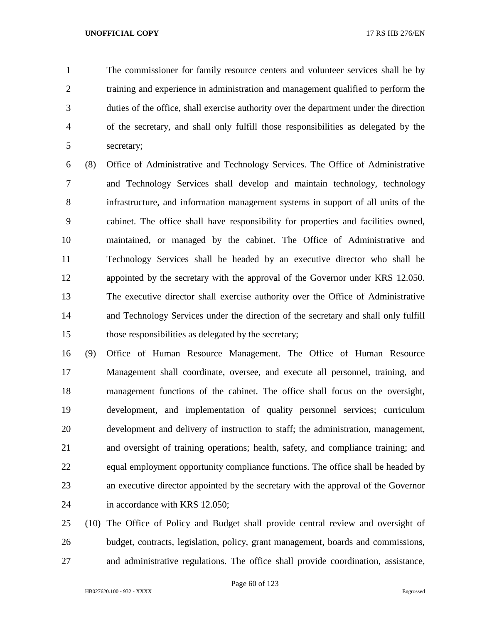The commissioner for family resource centers and volunteer services shall be by training and experience in administration and management qualified to perform the duties of the office, shall exercise authority over the department under the direction of the secretary, and shall only fulfill those responsibilities as delegated by the secretary;

 (8) Office of Administrative and Technology Services. The Office of Administrative and Technology Services shall develop and maintain technology, technology infrastructure, and information management systems in support of all units of the cabinet. The office shall have responsibility for properties and facilities owned, maintained, or managed by the cabinet. The Office of Administrative and Technology Services shall be headed by an executive director who shall be appointed by the secretary with the approval of the Governor under KRS 12.050. The executive director shall exercise authority over the Office of Administrative and Technology Services under the direction of the secretary and shall only fulfill those responsibilities as delegated by the secretary;

 (9) Office of Human Resource Management. The Office of Human Resource Management shall coordinate, oversee, and execute all personnel, training, and management functions of the cabinet. The office shall focus on the oversight, development, and implementation of quality personnel services; curriculum development and delivery of instruction to staff; the administration, management, and oversight of training operations; health, safety, and compliance training; and equal employment opportunity compliance functions. The office shall be headed by an executive director appointed by the secretary with the approval of the Governor in accordance with KRS 12.050;

 (10) The Office of Policy and Budget shall provide central review and oversight of budget, contracts, legislation, policy, grant management, boards and commissions, and administrative regulations. The office shall provide coordination, assistance,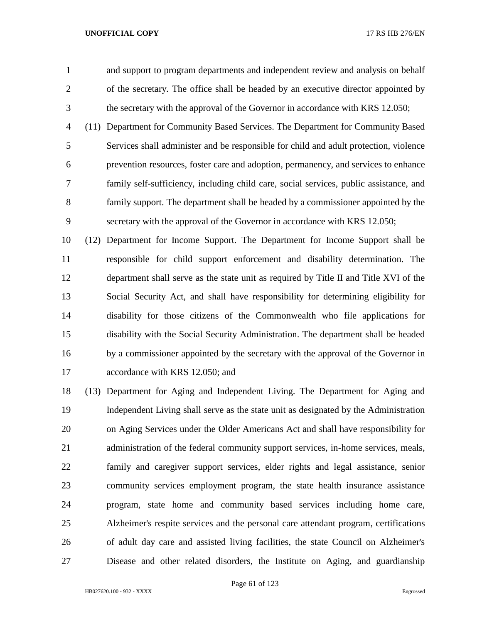and support to program departments and independent review and analysis on behalf of the secretary. The office shall be headed by an executive director appointed by the secretary with the approval of the Governor in accordance with KRS 12.050;

 (11) Department for Community Based Services. The Department for Community Based Services shall administer and be responsible for child and adult protection, violence prevention resources, foster care and adoption, permanency, and services to enhance family self-sufficiency, including child care, social services, public assistance, and family support. The department shall be headed by a commissioner appointed by the secretary with the approval of the Governor in accordance with KRS 12.050;

 (12) Department for Income Support. The Department for Income Support shall be responsible for child support enforcement and disability determination. The department shall serve as the state unit as required by Title II and Title XVI of the Social Security Act, and shall have responsibility for determining eligibility for disability for those citizens of the Commonwealth who file applications for disability with the Social Security Administration. The department shall be headed by a commissioner appointed by the secretary with the approval of the Governor in 17 accordance with KRS 12.050; and

 (13) Department for Aging and Independent Living. The Department for Aging and Independent Living shall serve as the state unit as designated by the Administration on Aging Services under the Older Americans Act and shall have responsibility for administration of the federal community support services, in-home services, meals, family and caregiver support services, elder rights and legal assistance, senior community services employment program, the state health insurance assistance program, state home and community based services including home care, Alzheimer's respite services and the personal care attendant program, certifications of adult day care and assisted living facilities, the state Council on Alzheimer's Disease and other related disorders, the Institute on Aging, and guardianship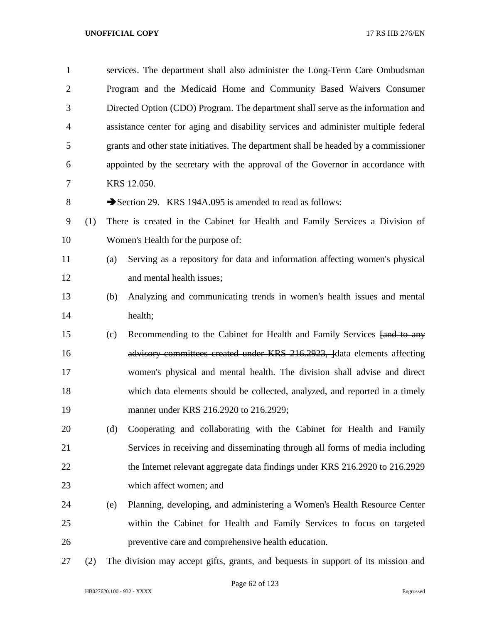| $\mathbf{1}$   |     |     | services. The department shall also administer the Long-Term Care Ombudsman          |
|----------------|-----|-----|--------------------------------------------------------------------------------------|
| $\overline{2}$ |     |     | Program and the Medicaid Home and Community Based Waivers Consumer                   |
| 3              |     |     | Directed Option (CDO) Program. The department shall serve as the information and     |
| 4              |     |     | assistance center for aging and disability services and administer multiple federal  |
| 5              |     |     | grants and other state initiatives. The department shall be headed by a commissioner |
| 6              |     |     | appointed by the secretary with the approval of the Governor in accordance with      |
| 7              |     |     | KRS 12.050.                                                                          |
| $8\,$          |     |     | Section 29. KRS 194A.095 is amended to read as follows:                              |
| 9              | (1) |     | There is created in the Cabinet for Health and Family Services a Division of         |
| 10             |     |     | Women's Health for the purpose of:                                                   |
| 11             |     | (a) | Serving as a repository for data and information affecting women's physical          |
| 12             |     |     | and mental health issues;                                                            |
| 13             |     | (b) | Analyzing and communicating trends in women's health issues and mental               |
| 14             |     |     | health;                                                                              |
| 15             |     | (c) | Recommending to the Cabinet for Health and Family Services [and to any               |
| 16             |     |     | advisory committees created under KRS 216.2923, ldata elements affecting             |
| 17             |     |     | women's physical and mental health. The division shall advise and direct             |
| 18             |     |     | which data elements should be collected, analyzed, and reported in a timely          |
| 19             |     |     | manner under KRS 216.2920 to 216.2929;                                               |
| 20             |     | (d) | Cooperating and collaborating with the Cabinet for Health and Family                 |
| 21             |     |     | Services in receiving and disseminating through all forms of media including         |
| 22             |     |     | the Internet relevant aggregate data findings under KRS 216.2920 to 216.2929         |
| 23             |     |     | which affect women; and                                                              |
| 24             |     | (e) | Planning, developing, and administering a Women's Health Resource Center             |
| 25             |     |     | within the Cabinet for Health and Family Services to focus on targeted               |
| 26             |     |     | preventive care and comprehensive health education.                                  |
| 27             | (2) |     | The division may accept gifts, grants, and bequests in support of its mission and    |

HB027620.100 - 932 - XXXX Engrossed

Page 62 of 123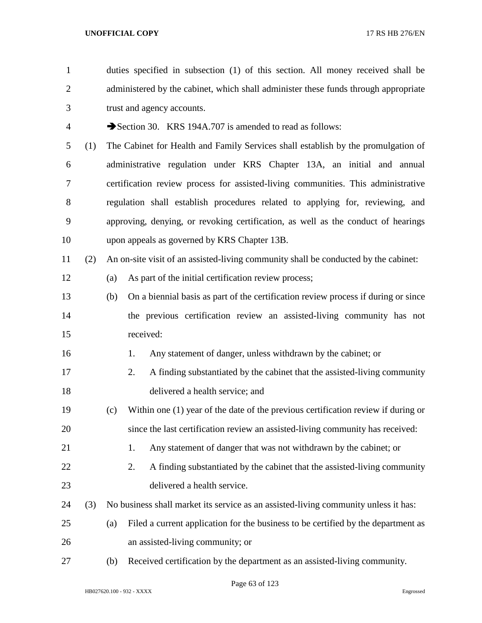duties specified in subsection (1) of this section. All money received shall be 2 administered by the cabinet, which shall administer these funds through appropriate trust and agency accounts. 4 Section 30. KRS 194A.707 is amended to read as follows: (1) The Cabinet for Health and Family Services shall establish by the promulgation of administrative regulation under KRS Chapter 13A, an initial and annual certification review process for assisted-living communities. This administrative regulation shall establish procedures related to applying for, reviewing, and approving, denying, or revoking certification, as well as the conduct of hearings upon appeals as governed by KRS Chapter 13B. (2) An on-site visit of an assisted-living community shall be conducted by the cabinet: (a) As part of the initial certification review process; (b) On a biennial basis as part of the certification review process if during or since the previous certification review an assisted-living community has not received: 16 1. Any statement of danger, unless withdrawn by the cabinet; or 2. A finding substantiated by the cabinet that the assisted-living community delivered a health service; and (c) Within one (1) year of the date of the previous certification review if during or since the last certification review an assisted-living community has received: 21 1. Any statement of danger that was not withdrawn by the cabinet; or 22 2. A finding substantiated by the cabinet that the assisted-living community delivered a health service. (3) No business shall market its service as an assisted-living community unless it has: (a) Filed a current application for the business to be certified by the department as an assisted-living community; or (b) Received certification by the department as an assisted-living community.

Page 63 of 123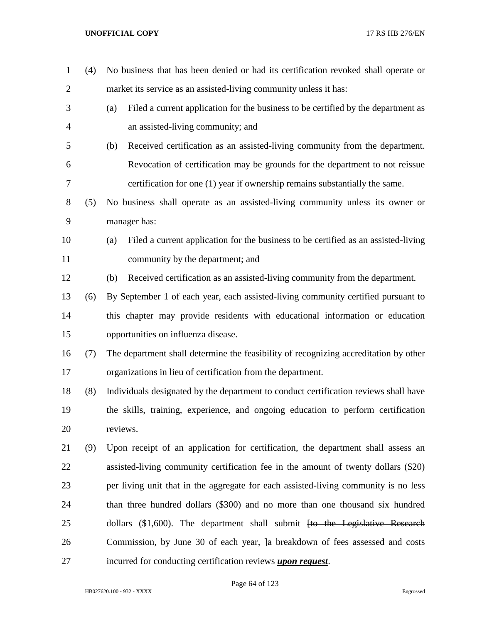| $\mathbf{1}$   | (4) | No business that has been denied or had its certification revoked shall operate or        |
|----------------|-----|-------------------------------------------------------------------------------------------|
| $\overline{2}$ |     | market its service as an assisted-living community unless it has:                         |
| 3              |     | Filed a current application for the business to be certified by the department as<br>(a)  |
| $\overline{4}$ |     | an assisted-living community; and                                                         |
| 5              |     | (b)<br>Received certification as an assisted-living community from the department.        |
| 6              |     | Revocation of certification may be grounds for the department to not reissue              |
| 7              |     | certification for one (1) year if ownership remains substantially the same.               |
| 8              | (5) | No business shall operate as an assisted-living community unless its owner or             |
| 9              |     | manager has:                                                                              |
| 10             |     | Filed a current application for the business to be certified as an assisted-living<br>(a) |
| 11             |     | community by the department; and                                                          |
| 12             |     | Received certification as an assisted-living community from the department.<br>(b)        |
| 13             | (6) | By September 1 of each year, each assisted-living community certified pursuant to         |
| 14             |     | this chapter may provide residents with educational information or education              |
| 15             |     | opportunities on influenza disease.                                                       |
| 16             | (7) | The department shall determine the feasibility of recognizing accreditation by other      |
| 17             |     | organizations in lieu of certification from the department.                               |
| 18             | (8) | Individuals designated by the department to conduct certification reviews shall have      |
| 19             |     | the skills, training, experience, and ongoing education to perform certification          |
| 20             |     | reviews.                                                                                  |
| 21             | (9) | Upon receipt of an application for certification, the department shall assess an          |
| 22             |     | assisted-living community certification fee in the amount of twenty dollars (\$20)        |
| 23             |     | per living unit that in the aggregate for each assisted-living community is no less       |
| 24             |     | than three hundred dollars (\$300) and no more than one thousand six hundred              |
| 25             |     | dollars $(\$1,600)$ . The department shall submit <del>[to the Legislative Research</del> |
| 26             |     | Commission, by June 30 of each year, Ja breakdown of fees assessed and costs              |
| 27             |     | incurred for conducting certification reviews upon request.                               |

# Page 64 of 123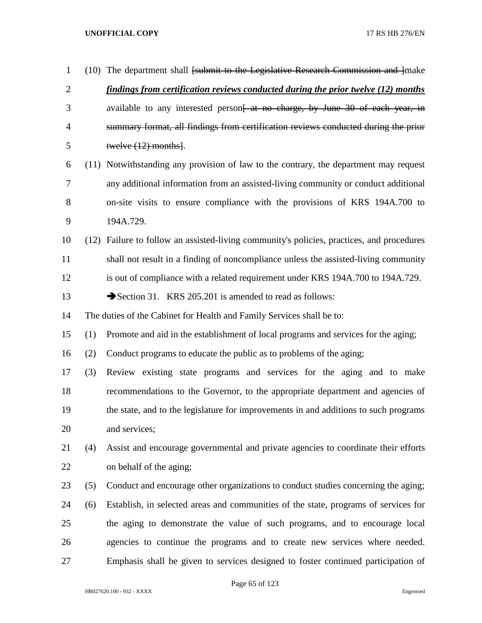| $\mathbf{1}$   |      | $(10)$ The department shall <del>[submit to the Legislative Research Commission and ]</del> make |
|----------------|------|--------------------------------------------------------------------------------------------------|
| $\overline{2}$ |      | findings from certification reviews conducted during the prior twelve (12) months                |
| 3              |      | available to any interested person <del>[ at no charge, by June 30 of each year, in</del>        |
| 4              |      | summary format, all findings from certification reviews conducted during the prior               |
| 5              |      | twelve $(12)$ months.                                                                            |
| 6              | (11) | Notwithstanding any provision of law to the contrary, the department may request                 |
| 7              |      | any additional information from an assisted-living community or conduct additional               |
| 8              |      | on-site visits to ensure compliance with the provisions of KRS 194A.700 to                       |
| 9              |      | 194A.729.                                                                                        |
| 10             | (12) | Failure to follow an assisted-living community's policies, practices, and procedures             |
| 11             |      | shall not result in a finding of noncompliance unless the assisted-living community              |
| 12             |      | is out of compliance with a related requirement under KRS 194A.700 to 194A.729.                  |
| 13             |      | Section 31. KRS 205.201 is amended to read as follows:                                           |
| 14             |      | The duties of the Cabinet for Health and Family Services shall be to:                            |
| 15             | (1)  | Promote and aid in the establishment of local programs and services for the aging;               |
| 16             | (2)  | Conduct programs to educate the public as to problems of the aging;                              |
| 17             | (3)  | Review existing state programs and services for the aging and to make                            |
| 18             |      | recommendations to the Governor, to the appropriate department and agencies of                   |
| 19             |      | the state, and to the legislature for improvements in and additions to such programs             |
| 20             |      | and services;                                                                                    |
| 21             | (4)  | Assist and encourage governmental and private agencies to coordinate their efforts               |
| 22             |      | on behalf of the aging;                                                                          |
| 23             | (5)  | Conduct and encourage other organizations to conduct studies concerning the aging;               |
| 24             | (6)  | Establish, in selected areas and communities of the state, programs of services for              |
| 25             |      | the aging to demonstrate the value of such programs, and to encourage local                      |
| 26             |      | agencies to continue the programs and to create new services where needed.                       |
| 27             |      | Emphasis shall be given to services designed to foster continued participation of                |

Page 65 of 123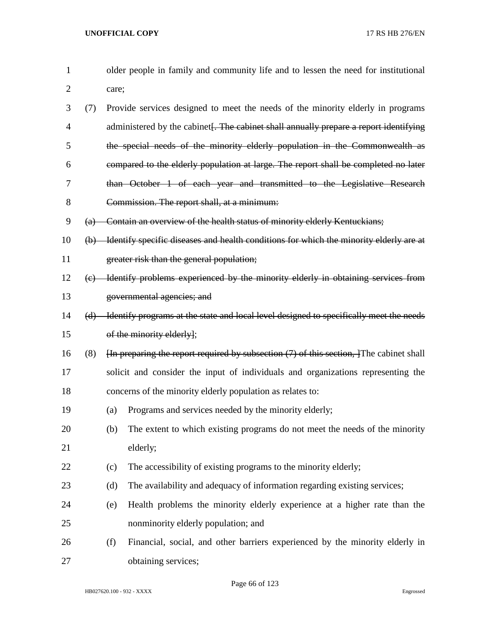| 1              |             |       | older people in family and community life and to lessen the need for institutional                                                                                                                                                                                                                                                                  |
|----------------|-------------|-------|-----------------------------------------------------------------------------------------------------------------------------------------------------------------------------------------------------------------------------------------------------------------------------------------------------------------------------------------------------|
| $\overline{2}$ |             | care; |                                                                                                                                                                                                                                                                                                                                                     |
| 3              | (7)         |       | Provide services designed to meet the needs of the minority elderly in programs                                                                                                                                                                                                                                                                     |
| $\overline{4}$ |             |       | administered by the cabinet. The cabinet shall annually prepare a report identifying                                                                                                                                                                                                                                                                |
| 5              |             |       | the special needs of the minority elderly population in the Commonwealth as                                                                                                                                                                                                                                                                         |
| 6              |             |       | compared to the elderly population at large. The report shall be completed no later                                                                                                                                                                                                                                                                 |
| 7              |             |       | than October 1 of each year and transmitted to the Legislative Research                                                                                                                                                                                                                                                                             |
| 8              |             |       | Commission. The report shall, at a minimum:                                                                                                                                                                                                                                                                                                         |
| 9              |             |       | (a) Contain an overview of the health status of minority elderly Kentuckians;                                                                                                                                                                                                                                                                       |
| 10             | $\bigoplus$ |       | Identify specific diseases and health conditions for which the minority elderly are at                                                                                                                                                                                                                                                              |
| 11             |             |       | greater risk than the general population;                                                                                                                                                                                                                                                                                                           |
| 12             |             |       | (c) Identify problems experienced by the minority elderly in obtaining services from                                                                                                                                                                                                                                                                |
| 13             |             |       | governmental agencies; and                                                                                                                                                                                                                                                                                                                          |
| 14             |             |       | (d) Identify programs at the state and local level designed to specifically meet the needs                                                                                                                                                                                                                                                          |
| 15             |             |       | of the minority elderly];                                                                                                                                                                                                                                                                                                                           |
| 16             | (8)         |       | $\overline{f}$ + $\overline{f}$ + $\overline{f}$ + $\overline{f}$ + $\overline{f}$ + $\overline{f}$ + $\overline{f}$ + $\overline{f}$ + $\overline{f}$ + $\overline{f}$ + $\overline{f}$ + $\overline{f}$ + $\overline{f}$ + $\overline{f}$ + $\overline{f}$ + $\overline{f}$ + $\overline{f}$ + $\overline{f}$ + $\overline{f}$ + $\overline{f}$ + |
| 17             |             |       | solicit and consider the input of individuals and organizations representing the                                                                                                                                                                                                                                                                    |
| 18             |             |       | concerns of the minority elderly population as relates to:                                                                                                                                                                                                                                                                                          |
| 19             |             | (a)   | Programs and services needed by the minority elderly;                                                                                                                                                                                                                                                                                               |
| 20             |             | (b)   | The extent to which existing programs do not meet the needs of the minority                                                                                                                                                                                                                                                                         |
| 21             |             |       | elderly;                                                                                                                                                                                                                                                                                                                                            |
| 22             |             | (c)   | The accessibility of existing programs to the minority elderly;                                                                                                                                                                                                                                                                                     |
| 23             |             | (d)   | The availability and adequacy of information regarding existing services;                                                                                                                                                                                                                                                                           |
| 24             |             | (e)   | Health problems the minority elderly experience at a higher rate than the                                                                                                                                                                                                                                                                           |
| 25             |             |       | nonminority elderly population; and                                                                                                                                                                                                                                                                                                                 |
| 26             |             | (f)   | Financial, social, and other barriers experienced by the minority elderly in                                                                                                                                                                                                                                                                        |
| 27             |             |       | obtaining services;                                                                                                                                                                                                                                                                                                                                 |

Page 66 of 123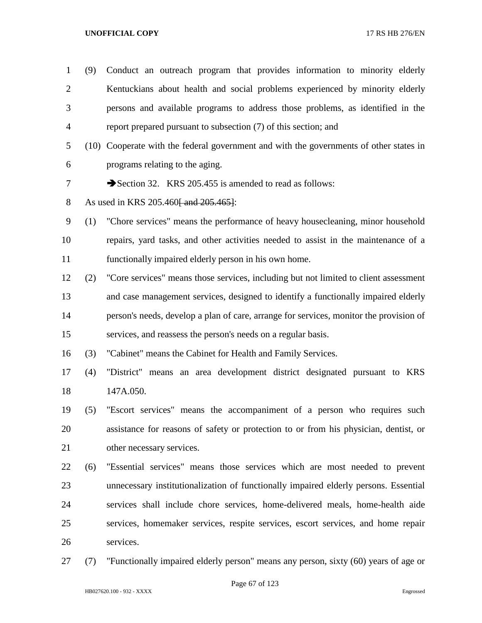| $\mathbf{1}$   | (9) | Conduct an outreach program that provides information to minority elderly              |
|----------------|-----|----------------------------------------------------------------------------------------|
| $\overline{2}$ |     | Kentuckians about health and social problems experienced by minority elderly           |
| 3              |     | persons and available programs to address those problems, as identified in the         |
| 4              |     | report prepared pursuant to subsection (7) of this section; and                        |
| 5              |     | (10) Cooperate with the federal government and with the governments of other states in |
| 6              |     | programs relating to the aging.                                                        |
| 7              |     | Section 32. KRS 205.455 is amended to read as follows:                                 |
| 8              |     | As used in KRS 205.460 and 205.465.                                                    |
| 9              | (1) | "Chore services" means the performance of heavy housecleaning, minor household         |
| 10             |     | repairs, yard tasks, and other activities needed to assist in the maintenance of a     |
| 11             |     | functionally impaired elderly person in his own home.                                  |
| 12             | (2) | "Core services" means those services, including but not limited to client assessment   |
| 13             |     | and case management services, designed to identify a functionally impaired elderly     |
| 14             |     | person's needs, develop a plan of care, arrange for services, monitor the provision of |
| 15             |     | services, and reassess the person's needs on a regular basis.                          |
| 16             | (3) | "Cabinet" means the Cabinet for Health and Family Services.                            |
| 17             | (4) | "District" means an area development district designated pursuant to KRS               |
| 18             |     | 147A.050.                                                                              |
| 19             | (5) | "Escort services" means the accompaniment of a person who requires such                |
| 20             |     | assistance for reasons of safety or protection to or from his physician, dentist, or   |
| 21             |     | other necessary services.                                                              |
| 22             | (6) | "Essential services" means those services which are most needed to prevent             |
| 23             |     | unnecessary institutionalization of functionally impaired elderly persons. Essential   |
| 24             |     | services shall include chore services, home-delivered meals, home-health aide          |
| 25             |     | services, homemaker services, respite services, escort services, and home repair       |
| 26             |     | services.                                                                              |

(7) "Functionally impaired elderly person" means any person, sixty (60) years of age or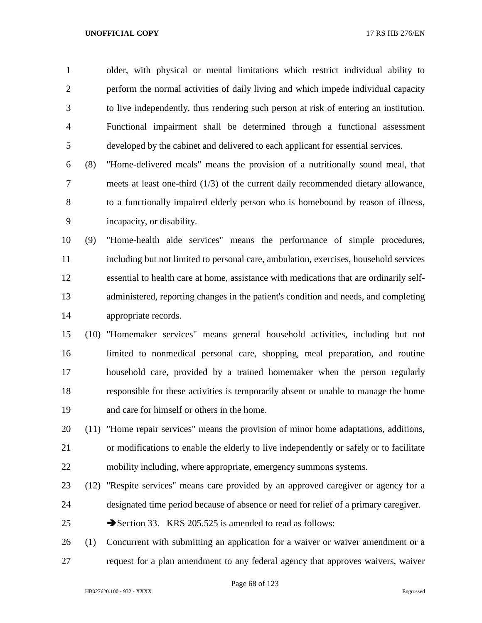older, with physical or mental limitations which restrict individual ability to perform the normal activities of daily living and which impede individual capacity to live independently, thus rendering such person at risk of entering an institution. Functional impairment shall be determined through a functional assessment developed by the cabinet and delivered to each applicant for essential services.

 (8) "Home-delivered meals" means the provision of a nutritionally sound meal, that meets at least one-third (1/3) of the current daily recommended dietary allowance, to a functionally impaired elderly person who is homebound by reason of illness, incapacity, or disability.

 (9) "Home-health aide services" means the performance of simple procedures, including but not limited to personal care, ambulation, exercises, household services essential to health care at home, assistance with medications that are ordinarily self- administered, reporting changes in the patient's condition and needs, and completing appropriate records.

 (10) "Homemaker services" means general household activities, including but not limited to nonmedical personal care, shopping, meal preparation, and routine household care, provided by a trained homemaker when the person regularly responsible for these activities is temporarily absent or unable to manage the home and care for himself or others in the home.

 (11) "Home repair services" means the provision of minor home adaptations, additions, or modifications to enable the elderly to live independently or safely or to facilitate mobility including, where appropriate, emergency summons systems.

- (12) "Respite services" means care provided by an approved caregiver or agency for a designated time period because of absence or need for relief of a primary caregiver.
- 25 Section 33. KRS 205.525 is amended to read as follows:

 (1) Concurrent with submitting an application for a waiver or waiver amendment or a request for a plan amendment to any federal agency that approves waivers, waiver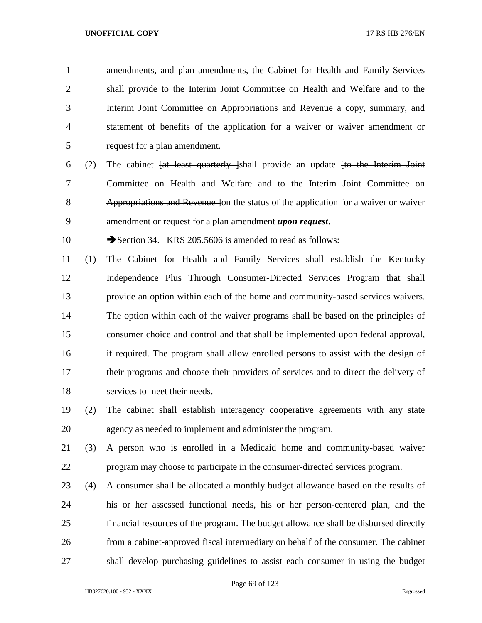amendments, and plan amendments, the Cabinet for Health and Family Services shall provide to the Interim Joint Committee on Health and Welfare and to the Interim Joint Committee on Appropriations and Revenue a copy, summary, and statement of benefits of the application for a waiver or waiver amendment or request for a plan amendment.

 (2) The cabinet [at least quarterly ]shall provide an update [to the Interim Joint Committee on Health and Welfare and to the Interim Joint Committee on Appropriations and Revenue ]on the status of the application for a waiver or waiver amendment or request for a plan amendment *upon request*.

10 Section 34. KRS 205.5606 is amended to read as follows:

 (1) The Cabinet for Health and Family Services shall establish the Kentucky Independence Plus Through Consumer-Directed Services Program that shall provide an option within each of the home and community-based services waivers. The option within each of the waiver programs shall be based on the principles of consumer choice and control and that shall be implemented upon federal approval, if required. The program shall allow enrolled persons to assist with the design of their programs and choose their providers of services and to direct the delivery of services to meet their needs.

- (2) The cabinet shall establish interagency cooperative agreements with any state agency as needed to implement and administer the program.
- (3) A person who is enrolled in a Medicaid home and community-based waiver program may choose to participate in the consumer-directed services program.
- (4) A consumer shall be allocated a monthly budget allowance based on the results of his or her assessed functional needs, his or her person-centered plan, and the financial resources of the program. The budget allowance shall be disbursed directly from a cabinet-approved fiscal intermediary on behalf of the consumer. The cabinet shall develop purchasing guidelines to assist each consumer in using the budget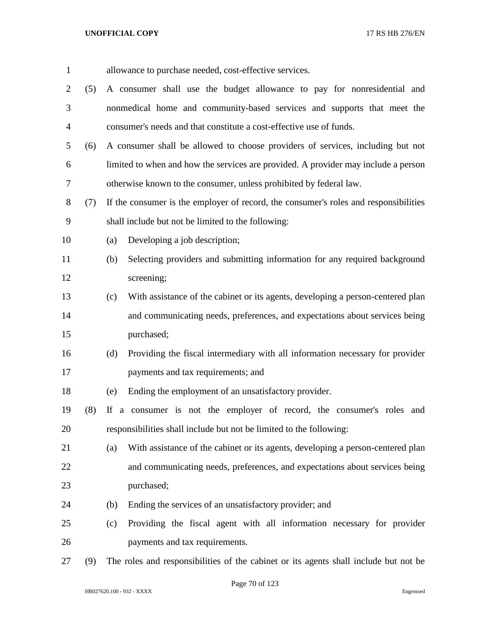| $\mathbf{1}$   |     | allowance to purchase needed, cost-effective services.                                 |
|----------------|-----|----------------------------------------------------------------------------------------|
| $\overline{2}$ | (5) | A consumer shall use the budget allowance to pay for nonresidential and                |
| 3              |     | nonmedical home and community-based services and supports that meet the                |
| $\overline{4}$ |     | consumer's needs and that constitute a cost-effective use of funds.                    |
| 5              | (6) | A consumer shall be allowed to choose providers of services, including but not         |
| 6              |     | limited to when and how the services are provided. A provider may include a person     |
| $\overline{7}$ |     | otherwise known to the consumer, unless prohibited by federal law.                     |
| $8\,$          | (7) | If the consumer is the employer of record, the consumer's roles and responsibilities   |
| 9              |     | shall include but not be limited to the following:                                     |
| 10             |     | Developing a job description;<br>(a)                                                   |
| 11             |     | Selecting providers and submitting information for any required background<br>(b)      |
| 12             |     | screening;                                                                             |
|                |     |                                                                                        |
| 13             |     | With assistance of the cabinet or its agents, developing a person-centered plan<br>(c) |
| 14             |     | and communicating needs, preferences, and expectations about services being            |
| 15             |     | purchased;                                                                             |
| 16             |     | Providing the fiscal intermediary with all information necessary for provider<br>(d)   |
| 17             |     | payments and tax requirements; and                                                     |
| 18             |     | Ending the employment of an unsatisfactory provider.<br>(e)                            |
| 19             | (8) | If a consumer is not the employer of record, the consumer's roles and                  |
| 20             |     | responsibilities shall include but not be limited to the following:                    |
| 21             |     | With assistance of the cabinet or its agents, developing a person-centered plan<br>(a) |
| 22             |     | and communicating needs, preferences, and expectations about services being            |
| 23             |     | purchased;                                                                             |
| 24             |     | Ending the services of an unsatisfactory provider; and<br>(b)                          |
| 25             |     | Providing the fiscal agent with all information necessary for provider<br>(c)          |
| 26             |     | payments and tax requirements.                                                         |
| 27             | (9) | The roles and responsibilities of the cabinet or its agents shall include but not be   |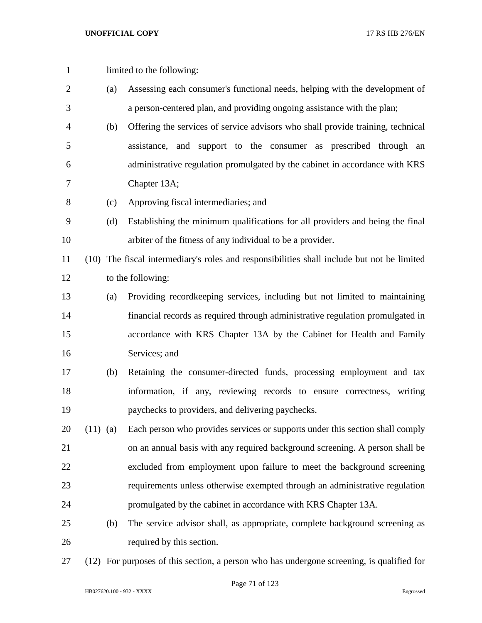| $\mathbf{1}$ |            |     | limited to the following:                                                                  |
|--------------|------------|-----|--------------------------------------------------------------------------------------------|
| 2            |            | (a) | Assessing each consumer's functional needs, helping with the development of                |
| 3            |            |     | a person-centered plan, and providing ongoing assistance with the plan;                    |
| 4            |            | (b) | Offering the services of service advisors who shall provide training, technical            |
| 5            |            |     | assistance, and support to the consumer as prescribed through an                           |
| 6            |            |     | administrative regulation promulgated by the cabinet in accordance with KRS                |
| 7            |            |     | Chapter 13A;                                                                               |
| 8            |            | (c) | Approving fiscal intermediaries; and                                                       |
| 9            |            | (d) | Establishing the minimum qualifications for all providers and being the final              |
| 10           |            |     | arbiter of the fitness of any individual to be a provider.                                 |
| 11           |            |     | (10) The fiscal intermediary's roles and responsibilities shall include but not be limited |
| 12           |            |     | to the following:                                                                          |
| 13           |            | (a) | Providing recordkeeping services, including but not limited to maintaining                 |
| 14           |            |     | financial records as required through administrative regulation promulgated in             |
| 15           |            |     | accordance with KRS Chapter 13A by the Cabinet for Health and Family                       |
| 16           |            |     | Services; and                                                                              |
| 17           |            | (b) | Retaining the consumer-directed funds, processing employment and tax                       |
| 18           |            |     | information, if any, reviewing records to ensure correctness, writing                      |
| 19           |            |     | paychecks to providers, and delivering paychecks.                                          |
| 20           | $(11)$ (a) |     | Each person who provides services or supports under this section shall comply              |
| 21           |            |     | on an annual basis with any required background screening. A person shall be               |
| 22           |            |     | excluded from employment upon failure to meet the background screening                     |
| 23           |            |     | requirements unless otherwise exempted through an administrative regulation                |
| 24           |            |     | promulgated by the cabinet in accordance with KRS Chapter 13A.                             |
| 25           |            | (b) | The service advisor shall, as appropriate, complete background screening as                |
| 26           |            |     | required by this section.                                                                  |
|              |            |     |                                                                                            |

(12) For purposes of this section, a person who has undergone screening, is qualified for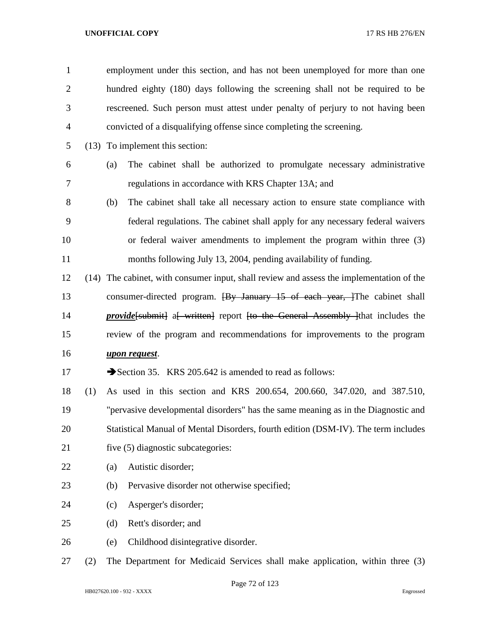| 1              |     | employment under this section, and has not been unemployed for more than one                  |
|----------------|-----|-----------------------------------------------------------------------------------------------|
| $\overline{2}$ |     | hundred eighty (180) days following the screening shall not be required to be                 |
| 3              |     | rescreened. Such person must attest under penalty of perjury to not having been               |
| $\overline{4}$ |     | convicted of a disqualifying offense since completing the screening.                          |
| 5              |     | (13) To implement this section:                                                               |
| 6              |     | The cabinet shall be authorized to promulgate necessary administrative<br>(a)                 |
| 7              |     | regulations in accordance with KRS Chapter 13A; and                                           |
| 8              |     | The cabinet shall take all necessary action to ensure state compliance with<br>(b)            |
| 9              |     | federal regulations. The cabinet shall apply for any necessary federal waivers                |
| 10             |     | or federal waiver amendments to implement the program within three (3)                        |
| 11             |     | months following July 13, 2004, pending availability of funding.                              |
| 12             |     | (14) The cabinet, with consumer input, shall review and assess the implementation of the      |
| 13             |     | consumer-directed program. <del>[By January 15 of each year, ]</del> The cabinet shall        |
| 14             |     | <i>provide</i> [submit] a written general content for the General Assembly linat includes the |
| 15             |     | review of the program and recommendations for improvements to the program                     |
| 16             |     | upon request.                                                                                 |
| 17             |     | Section 35. KRS 205.642 is amended to read as follows:                                        |
| 18             | (1) | As used in this section and KRS 200.654, 200.660, 347.020, and 387.510,                       |
| 19             |     | "pervasive developmental disorders" has the same meaning as in the Diagnostic and             |
| 20             |     | Statistical Manual of Mental Disorders, fourth edition (DSM-IV). The term includes            |
| 21             |     | five (5) diagnostic subcategories:                                                            |
| 22             |     | Autistic disorder;<br>(a)                                                                     |
| 23             |     | Pervasive disorder not otherwise specified;<br>(b)                                            |
| 24             |     | Asperger's disorder;<br>(c)                                                                   |
| 25             |     | Rett's disorder; and<br>(d)                                                                   |
| 26             |     | Childhood disintegrative disorder.<br>(e)                                                     |
| 27             | (2) | The Department for Medicaid Services shall make application, within three (3)                 |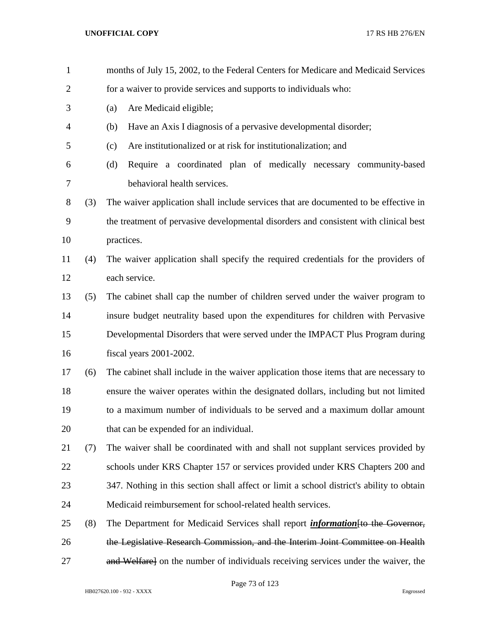| $\mathbf{1}$   |     | months of July 15, 2002, to the Federal Centers for Medicare and Medicaid Services       |
|----------------|-----|------------------------------------------------------------------------------------------|
| $\overline{c}$ |     | for a waiver to provide services and supports to individuals who:                        |
| 3              |     | Are Medicaid eligible;<br>(a)                                                            |
| 4              |     | Have an Axis I diagnosis of a pervasive developmental disorder;<br>(b)                   |
| 5              |     | Are institutionalized or at risk for institutionalization; and<br>(c)                    |
| 6              |     | Require a coordinated plan of medically necessary community-based<br>(d)                 |
| 7              |     | behavioral health services.                                                              |
| 8              | (3) | The waiver application shall include services that are documented to be effective in     |
| 9              |     | the treatment of pervasive developmental disorders and consistent with clinical best     |
| 10             |     | practices.                                                                               |
| 11             | (4) | The waiver application shall specify the required credentials for the providers of       |
| 12             |     | each service.                                                                            |
| 13             | (5) | The cabinet shall cap the number of children served under the waiver program to          |
| 14             |     | insure budget neutrality based upon the expenditures for children with Pervasive         |
| 15             |     | Developmental Disorders that were served under the IMPACT Plus Program during            |
| 16             |     | fiscal years 2001-2002.                                                                  |
| 17             | (6) | The cabinet shall include in the waiver application those items that are necessary to    |
| 18             |     | ensure the waiver operates within the designated dollars, including but not limited      |
| 19             |     | to a maximum number of individuals to be served and a maximum dollar amount              |
| 20             |     | that can be expended for an individual.                                                  |
| 21             | (7) | The waiver shall be coordinated with and shall not supplant services provided by         |
| 22             |     | schools under KRS Chapter 157 or services provided under KRS Chapters 200 and            |
| 23             |     | 347. Nothing in this section shall affect or limit a school district's ability to obtain |
| 24             |     | Medicaid reimbursement for school-related health services.                               |
| 25             | (8) | The Department for Medicaid Services shall report <i>information</i> [to the Governor,   |
| 26             |     | the Legislative Research Commission, and the Interim Joint Committee on Health           |
| 27             |     | and Welfare] on the number of individuals receiving services under the waiver, the       |

Page 73 of 123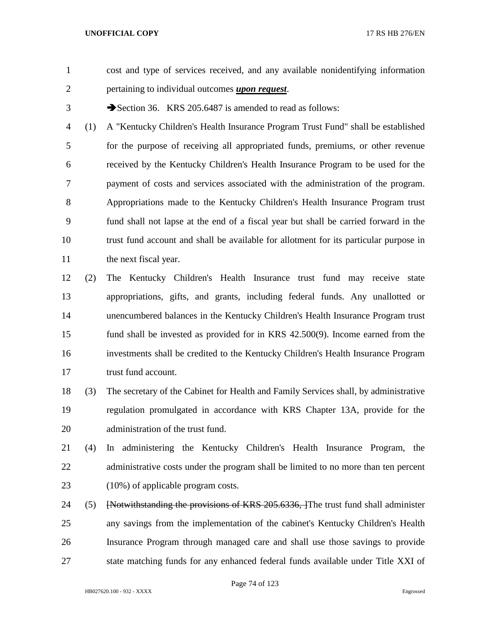- cost and type of services received, and any available nonidentifying information pertaining to individual outcomes *upon request*.
- 

3 Section 36. KRS 205.6487 is amended to read as follows:

 (1) A "Kentucky Children's Health Insurance Program Trust Fund" shall be established for the purpose of receiving all appropriated funds, premiums, or other revenue received by the Kentucky Children's Health Insurance Program to be used for the payment of costs and services associated with the administration of the program. Appropriations made to the Kentucky Children's Health Insurance Program trust fund shall not lapse at the end of a fiscal year but shall be carried forward in the trust fund account and shall be available for allotment for its particular purpose in 11 the next fiscal year.

 (2) The Kentucky Children's Health Insurance trust fund may receive state appropriations, gifts, and grants, including federal funds. Any unallotted or unencumbered balances in the Kentucky Children's Health Insurance Program trust fund shall be invested as provided for in KRS 42.500(9). Income earned from the investments shall be credited to the Kentucky Children's Health Insurance Program 17 trust fund account.

 (3) The secretary of the Cabinet for Health and Family Services shall, by administrative regulation promulgated in accordance with KRS Chapter 13A, provide for the administration of the trust fund.

- (4) In administering the Kentucky Children's Health Insurance Program, the 22 administrative costs under the program shall be limited to no more than ten percent 23 (10%) of applicable program costs.
- 24 (5) [Notwithstanding the provisions of KRS 205.6336, ] The trust fund shall administer any savings from the implementation of the cabinet's Kentucky Children's Health Insurance Program through managed care and shall use those savings to provide state matching funds for any enhanced federal funds available under Title XXI of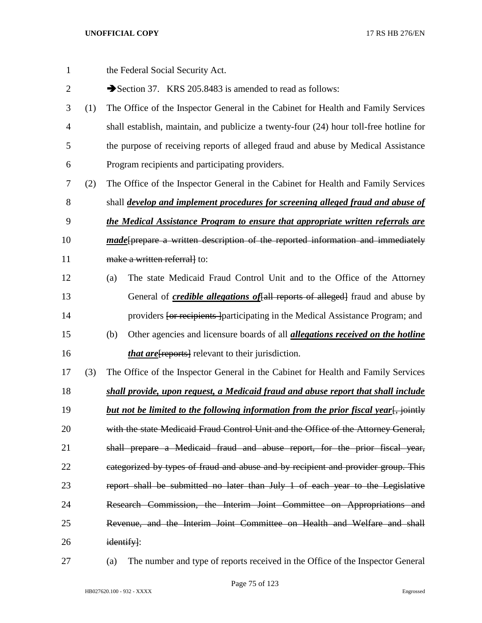| $\mathbf{1}$   |     | the Federal Social Security Act.                                                             |
|----------------|-----|----------------------------------------------------------------------------------------------|
| $\overline{2}$ |     | Section 37. KRS 205.8483 is amended to read as follows:                                      |
| 3              | (1) | The Office of the Inspector General in the Cabinet for Health and Family Services            |
| $\overline{4}$ |     | shall establish, maintain, and publicize a twenty-four (24) hour toll-free hotline for       |
| 5              |     | the purpose of receiving reports of alleged fraud and abuse by Medical Assistance            |
| 6              |     | Program recipients and participating providers.                                              |
| 7              | (2) | The Office of the Inspector General in the Cabinet for Health and Family Services            |
| 8              |     | shall <i>develop and implement procedures for screening alleged fraud and abuse of</i>       |
| 9              |     | the Medical Assistance Program to ensure that appropriate written referrals are              |
| 10             |     | <i>made</i> [prepare a written description of the reported information and immediately       |
| 11             |     | make a written referrall to:                                                                 |
| 12             |     | The state Medicaid Fraud Control Unit and to the Office of the Attorney<br>(a)               |
| 13             |     | General of <i>credible allegations of</i> [all reports of alleged] fraud and abuse by        |
| 14             |     | providers for recipients participating in the Medical Assistance Program; and                |
| 15             |     | Other agencies and licensure boards of all <i>allegations received on the hotline</i><br>(b) |
| 16             |     | <i>that are</i> [reports] relevant to their jurisdiction.                                    |
| 17             | (3) | The Office of the Inspector General in the Cabinet for Health and Family Services            |
| 18             |     | shall provide, upon request, a Medicaid fraud and abuse report that shall include            |
| 19             |     | but not be limited to the following information from the prior fiscal year. in sointly       |
| 20             |     | with the state Medicaid Fraud Control Unit and the Office of the Attorney General,           |
| 21             |     | shall prepare a Medicaid fraud and abuse report, for the prior fiscal year,                  |
| 22             |     | eategorized by types of fraud and abuse and by recipient and provider group. This            |
| 23             |     | report shall be submitted no later than July 1 of each year to the Legislative               |
| 24             |     | Research Commission, the Interim Joint Committee on Appropriations and                       |
| 25             |     | Revenue, and the Interim Joint Committee on Health and Welfare and shall                     |
| 26             |     | identify]:                                                                                   |

(a) The number and type of reports received in the Office of the Inspector General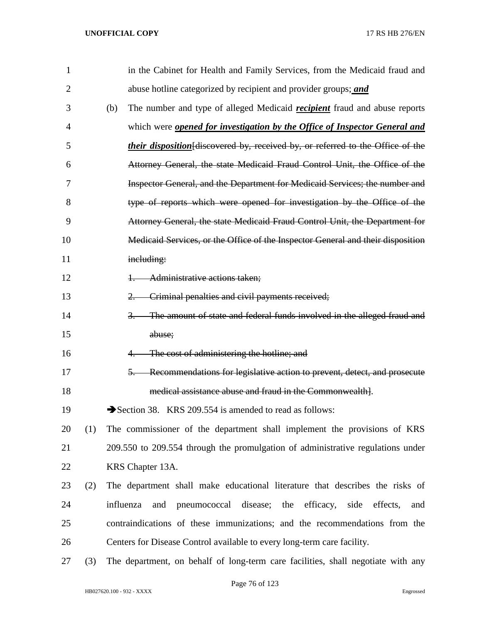| $\mathbf{1}$   |     | in the Cabinet for Health and Family Services, from the Medicaid fraud and                  |
|----------------|-----|---------------------------------------------------------------------------------------------|
| $\overline{2}$ |     | abuse hotline categorized by recipient and provider groups; and                             |
| 3              |     | The number and type of alleged Medicaid <i>recipient</i> fraud and abuse reports<br>(b)     |
| 4              |     | which were <b>opened for investigation by the Office of Inspector General and</b>           |
| 5              |     | <i>their disposition</i> [discovered by, received by, or referred to the Office of the      |
| 6              |     | Attorney General, the state Medicaid Fraud Control Unit, the Office of the                  |
| 7              |     | Inspector General, and the Department for Medicaid Services; the number and                 |
| 8              |     | type of reports which were opened for investigation by the Office of the                    |
| 9              |     | Attorney General, the state Medicaid Fraud Control Unit, the Department for                 |
| 10             |     | Medicaid Services, or the Office of the Inspector General and their disposition             |
| 11             |     | including:                                                                                  |
| 12             |     | Administrative actions taken;                                                               |
| 13             |     | Criminal penalties and civil payments received;<br>$2 -$                                    |
| 14             |     | The amount of state and federal funds involved in the alleged fraud and<br>$\overline{3}$ . |
| 15             |     | abuse;                                                                                      |
| 16             |     | The cost of administering the hotline; and                                                  |
| 17             |     | Recommendations for legislative action to prevent, detect, and prosecute<br>$5-$            |
| 18             |     | medical assistance abuse and fraud in the Commonwealth].                                    |
| 19             |     | Section 38. KRS 209.554 is amended to read as follows:                                      |
| 20             | (1) | The commissioner of the department shall implement the provisions of KRS                    |
| 21             |     | 209.550 to 209.554 through the promulgation of administrative regulations under             |
| 22             |     | KRS Chapter 13A.                                                                            |
| 23             | (2) | The department shall make educational literature that describes the risks of                |
| 24             |     | disease;<br>influenza<br>pneumococcal<br>the<br>efficacy,<br>side<br>effects,<br>and<br>and |
| 25             |     | contraindications of these immunizations; and the recommendations from the                  |
| 26             |     | Centers for Disease Control available to every long-term care facility.                     |
| 27             | (3) | The department, on behalf of long-term care facilities, shall negotiate with any            |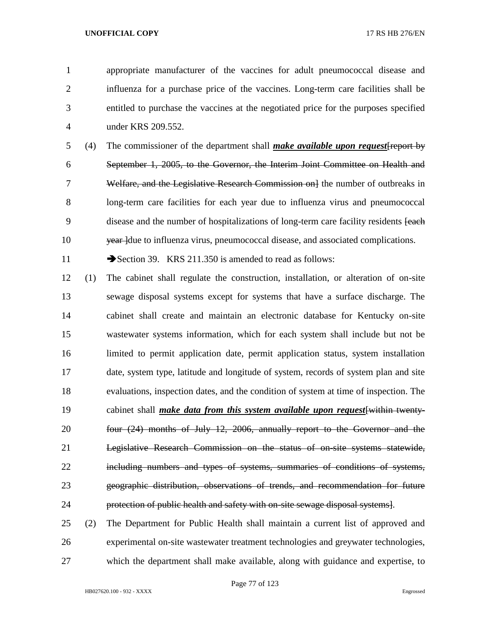appropriate manufacturer of the vaccines for adult pneumococcal disease and influenza for a purchase price of the vaccines. Long-term care facilities shall be entitled to purchase the vaccines at the negotiated price for the purposes specified under KRS 209.552.

 (4) The commissioner of the department shall *make available upon request*[report by September 1, 2005, to the Governor, the Interim Joint Committee on Health and 7 Welfare, and the Legislative Research Commission on lthe number of outbreaks in long-term care facilities for each year due to influenza virus and pneumococcal 9 disease and the number of hospitalizations of long-term care facility residents [each] 10 year due to influenza virus, pneumococcal disease, and associated complications.

11 Section 39. KRS 211.350 is amended to read as follows:

 (1) The cabinet shall regulate the construction, installation, or alteration of on-site sewage disposal systems except for systems that have a surface discharge. The cabinet shall create and maintain an electronic database for Kentucky on-site wastewater systems information, which for each system shall include but not be limited to permit application date, permit application status, system installation date, system type, latitude and longitude of system, records of system plan and site evaluations, inspection dates, and the condition of system at time of inspection. The cabinet shall *make data from this system available upon request*[within twenty- four (24) months of July 12, 2006, annually report to the Governor and the Legislative Research Commission on the status of on-site systems statewide, including numbers and types of systems, summaries of conditions of systems, geographic distribution, observations of trends, and recommendation for future protection of public health and safety with on-site sewage disposal systems].

 (2) The Department for Public Health shall maintain a current list of approved and experimental on-site wastewater treatment technologies and greywater technologies, which the department shall make available, along with guidance and expertise, to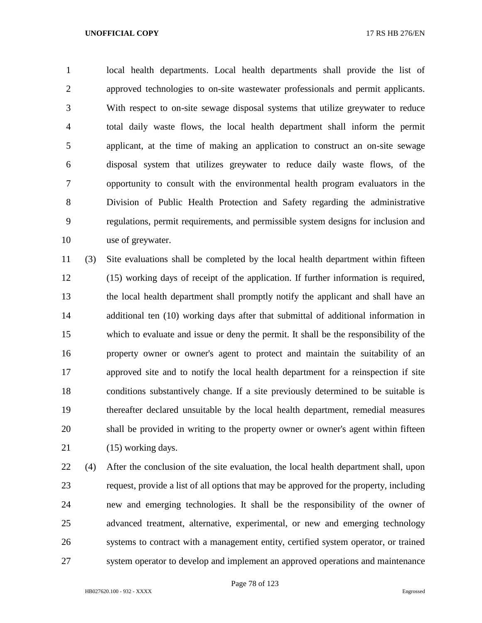local health departments. Local health departments shall provide the list of approved technologies to on-site wastewater professionals and permit applicants. With respect to on-site sewage disposal systems that utilize greywater to reduce total daily waste flows, the local health department shall inform the permit applicant, at the time of making an application to construct an on-site sewage disposal system that utilizes greywater to reduce daily waste flows, of the opportunity to consult with the environmental health program evaluators in the Division of Public Health Protection and Safety regarding the administrative regulations, permit requirements, and permissible system designs for inclusion and use of greywater.

 (3) Site evaluations shall be completed by the local health department within fifteen (15) working days of receipt of the application. If further information is required, the local health department shall promptly notify the applicant and shall have an additional ten (10) working days after that submittal of additional information in which to evaluate and issue or deny the permit. It shall be the responsibility of the property owner or owner's agent to protect and maintain the suitability of an approved site and to notify the local health department for a reinspection if site conditions substantively change. If a site previously determined to be suitable is thereafter declared unsuitable by the local health department, remedial measures shall be provided in writing to the property owner or owner's agent within fifteen 21 (15) working days.

 (4) After the conclusion of the site evaluation, the local health department shall, upon request, provide a list of all options that may be approved for the property, including new and emerging technologies. It shall be the responsibility of the owner of advanced treatment, alternative, experimental, or new and emerging technology systems to contract with a management entity, certified system operator, or trained system operator to develop and implement an approved operations and maintenance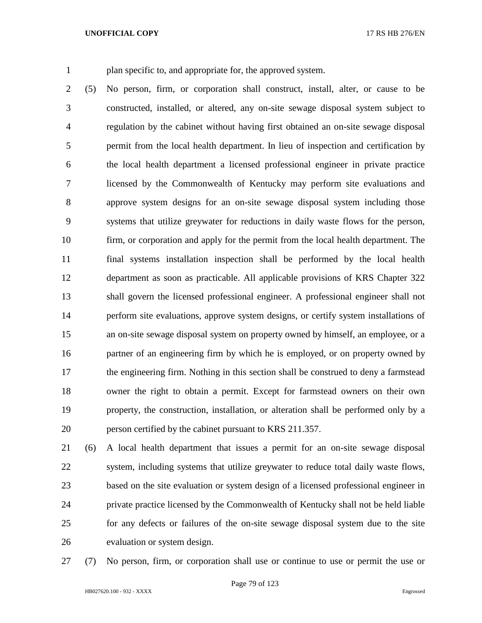plan specific to, and appropriate for, the approved system.

 (5) No person, firm, or corporation shall construct, install, alter, or cause to be constructed, installed, or altered, any on-site sewage disposal system subject to regulation by the cabinet without having first obtained an on-site sewage disposal permit from the local health department. In lieu of inspection and certification by the local health department a licensed professional engineer in private practice licensed by the Commonwealth of Kentucky may perform site evaluations and approve system designs for an on-site sewage disposal system including those systems that utilize greywater for reductions in daily waste flows for the person, firm, or corporation and apply for the permit from the local health department. The final systems installation inspection shall be performed by the local health department as soon as practicable. All applicable provisions of KRS Chapter 322 shall govern the licensed professional engineer. A professional engineer shall not perform site evaluations, approve system designs, or certify system installations of an on-site sewage disposal system on property owned by himself, an employee, or a partner of an engineering firm by which he is employed, or on property owned by 17 the engineering firm. Nothing in this section shall be construed to deny a farmstead owner the right to obtain a permit. Except for farmstead owners on their own property, the construction, installation, or alteration shall be performed only by a person certified by the cabinet pursuant to KRS 211.357.

 (6) A local health department that issues a permit for an on-site sewage disposal system, including systems that utilize greywater to reduce total daily waste flows, based on the site evaluation or system design of a licensed professional engineer in private practice licensed by the Commonwealth of Kentucky shall not be held liable for any defects or failures of the on-site sewage disposal system due to the site evaluation or system design.

(7) No person, firm, or corporation shall use or continue to use or permit the use or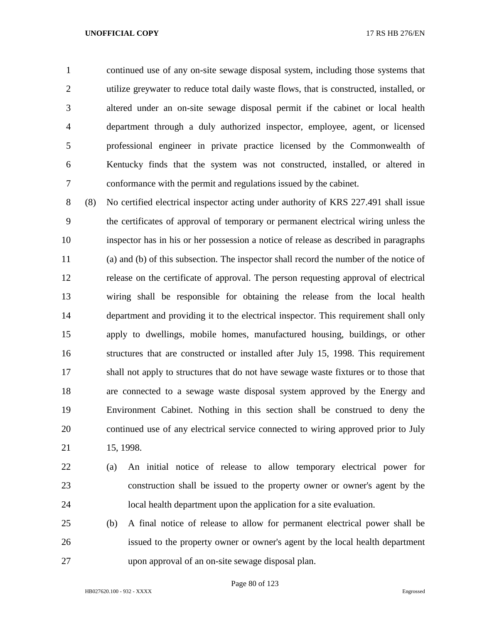continued use of any on-site sewage disposal system, including those systems that utilize greywater to reduce total daily waste flows, that is constructed, installed, or altered under an on-site sewage disposal permit if the cabinet or local health department through a duly authorized inspector, employee, agent, or licensed professional engineer in private practice licensed by the Commonwealth of Kentucky finds that the system was not constructed, installed, or altered in conformance with the permit and regulations issued by the cabinet.

 (8) No certified electrical inspector acting under authority of KRS 227.491 shall issue the certificates of approval of temporary or permanent electrical wiring unless the inspector has in his or her possession a notice of release as described in paragraphs (a) and (b) of this subsection. The inspector shall record the number of the notice of release on the certificate of approval. The person requesting approval of electrical wiring shall be responsible for obtaining the release from the local health department and providing it to the electrical inspector. This requirement shall only apply to dwellings, mobile homes, manufactured housing, buildings, or other structures that are constructed or installed after July 15, 1998. This requirement shall not apply to structures that do not have sewage waste fixtures or to those that are connected to a sewage waste disposal system approved by the Energy and Environment Cabinet. Nothing in this section shall be construed to deny the continued use of any electrical service connected to wiring approved prior to July 15, 1998.

 (a) An initial notice of release to allow temporary electrical power for construction shall be issued to the property owner or owner's agent by the local health department upon the application for a site evaluation.

 (b) A final notice of release to allow for permanent electrical power shall be issued to the property owner or owner's agent by the local health department upon approval of an on-site sewage disposal plan.

Page 80 of 123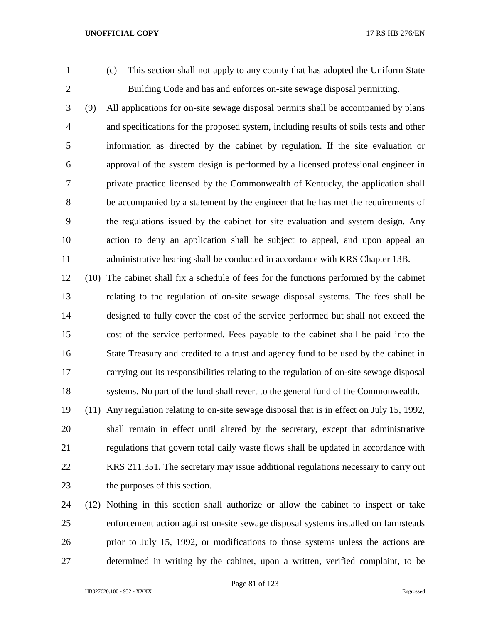(c) This section shall not apply to any county that has adopted the Uniform State Building Code and has and enforces on-site sewage disposal permitting.

 (9) All applications for on-site sewage disposal permits shall be accompanied by plans and specifications for the proposed system, including results of soils tests and other information as directed by the cabinet by regulation. If the site evaluation or approval of the system design is performed by a licensed professional engineer in private practice licensed by the Commonwealth of Kentucky, the application shall be accompanied by a statement by the engineer that he has met the requirements of the regulations issued by the cabinet for site evaluation and system design. Any action to deny an application shall be subject to appeal, and upon appeal an administrative hearing shall be conducted in accordance with KRS Chapter 13B.

 (10) The cabinet shall fix a schedule of fees for the functions performed by the cabinet relating to the regulation of on-site sewage disposal systems. The fees shall be designed to fully cover the cost of the service performed but shall not exceed the cost of the service performed. Fees payable to the cabinet shall be paid into the State Treasury and credited to a trust and agency fund to be used by the cabinet in carrying out its responsibilities relating to the regulation of on-site sewage disposal systems. No part of the fund shall revert to the general fund of the Commonwealth.

 (11) Any regulation relating to on-site sewage disposal that is in effect on July 15, 1992, shall remain in effect until altered by the secretary, except that administrative regulations that govern total daily waste flows shall be updated in accordance with KRS 211.351. The secretary may issue additional regulations necessary to carry out the purposes of this section.

 (12) Nothing in this section shall authorize or allow the cabinet to inspect or take enforcement action against on-site sewage disposal systems installed on farmsteads prior to July 15, 1992, or modifications to those systems unless the actions are determined in writing by the cabinet, upon a written, verified complaint, to be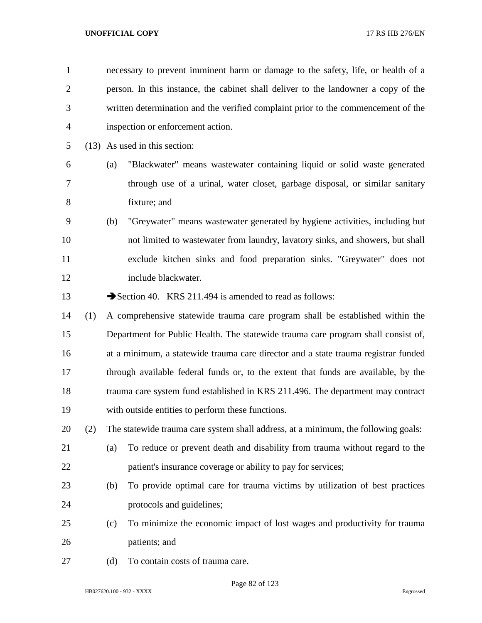| $\mathbf{1}$   |     |     | necessary to prevent imminent harm or damage to the safety, life, or health of a   |
|----------------|-----|-----|------------------------------------------------------------------------------------|
| $\overline{2}$ |     |     | person. In this instance, the cabinet shall deliver to the landowner a copy of the |
| 3              |     |     | written determination and the verified complaint prior to the commencement of the  |
| 4              |     |     | inspection or enforcement action.                                                  |
| 5              |     |     | (13) As used in this section:                                                      |
| 6              |     | (a) | "Blackwater" means wastewater containing liquid or solid waste generated           |
| 7              |     |     | through use of a urinal, water closet, garbage disposal, or similar sanitary       |
| 8              |     |     | fixture; and                                                                       |
| 9              |     | (b) | "Greywater" means wastewater generated by hygiene activities, including but        |
| 10             |     |     | not limited to wastewater from laundry, lavatory sinks, and showers, but shall     |
| 11             |     |     | exclude kitchen sinks and food preparation sinks. "Greywater" does not             |
| 12             |     |     | include blackwater.                                                                |
| 13             |     |     | Section 40. KRS 211.494 is amended to read as follows:                             |
| 14             | (1) |     | A comprehensive statewide trauma care program shall be established within the      |
| 15             |     |     | Department for Public Health. The statewide trauma care program shall consist of,  |
| 16             |     |     | at a minimum, a statewide trauma care director and a state trauma registrar funded |
| 17             |     |     | through available federal funds or, to the extent that funds are available, by the |
| 18             |     |     | trauma care system fund established in KRS 211.496. The department may contract    |
| 19             |     |     | with outside entities to perform these functions.                                  |
| 20             | (2) |     | The statewide trauma care system shall address, at a minimum, the following goals: |
| 21             |     | (a) | To reduce or prevent death and disability from trauma without regard to the        |
| 22             |     |     | patient's insurance coverage or ability to pay for services;                       |
| 23             |     | (b) | To provide optimal care for trauma victims by utilization of best practices        |
| 24             |     |     | protocols and guidelines;                                                          |
| 25             |     | (c) | To minimize the economic impact of lost wages and productivity for trauma          |
| 26             |     |     | patients; and                                                                      |
| 27             |     | (d) | To contain costs of trauma care.                                                   |

Page 82 of 123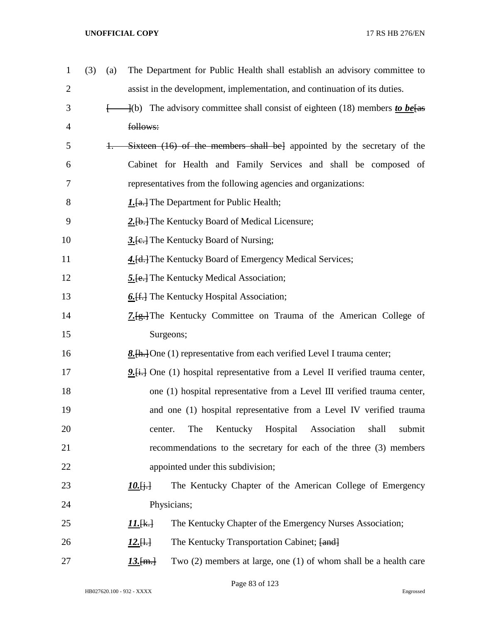| $\mathbf{1}$ | (3) | (a)      | The Department for Public Health shall establish an advisory committee to              |
|--------------|-----|----------|----------------------------------------------------------------------------------------|
| 2            |     |          | assist in the development, implementation, and continuation of its duties.             |
| 3            |     | $\vdash$ | $\frac{1}{10}$ The advisory committee shall consist of eighteen (18) members to be fas |
| 4            |     |          | follows:                                                                               |
| 5            |     | $+$      | Sixteen (16) of the members shall bel appointed by the secretary of the                |
| 6            |     |          | Cabinet for Health and Family Services and shall be composed of                        |
| 7            |     |          | representatives from the following agencies and organizations:                         |
| 8            |     |          | <b>1.</b> [a.] The Department for Public Health;                                       |
| 9            |     |          | 2. [b.] The Kentucky Board of Medical Licensure;                                       |
| 10           |     |          | 3. [e.] The Kentucky Board of Nursing;                                                 |
| 11           |     |          | 4. [d.] The Kentucky Board of Emergency Medical Services;                              |
| 12           |     |          | <b>5.</b> [e.] The Kentucky Medical Association;                                       |
| 13           |     |          | <b>6.</b> [f.] The Kentucky Hospital Association;                                      |
| 14           |     |          | 7. [g.] The Kentucky Committee on Trauma of the American College of                    |
| 15           |     |          | Surgeons;                                                                              |
| 16           |     |          | <b>8.</b> [h. ] One (1) representative from each verified Level I trauma center;       |
| 17           |     |          | $9.4 + 1$ One (1) hospital representative from a Level II verified trauma center,      |
| 18           |     |          | one (1) hospital representative from a Level III verified trauma center,               |
| 19           |     |          | and one (1) hospital representative from a Level IV verified trauma                    |
| 20           |     |          | Kentucky Hospital<br>The<br>Association<br>shall<br>submit<br>center.                  |
| 21           |     |          | recommendations to the secretary for each of the three (3) members                     |
| 22           |     |          | appointed under this subdivision;                                                      |
| 23           |     |          | The Kentucky Chapter of the American College of Emergency<br>$10.6 +$                  |
| 24           |     |          | Physicians;                                                                            |
| 25           |     |          | The Kentucky Chapter of the Emergency Nurses Association;<br><u> 11.[k.]</u>           |
| 26           |     |          | The Kentucky Transportation Cabinet; [and]<br>$12.[\frac{1}{2}]$                       |
| 27           |     |          | Two $(2)$ members at large, one $(1)$ of whom shall be a health care<br>$13.$ [m.]     |

Page 83 of 123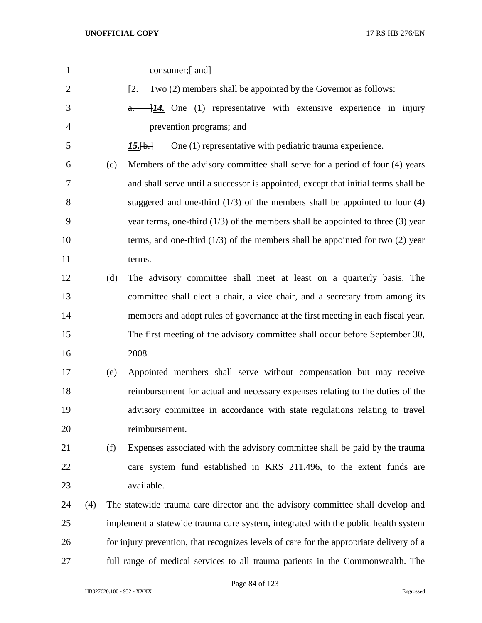| $\mathbf{1}$   |     |     | consumer; [-and]                                                                        |
|----------------|-----|-----|-----------------------------------------------------------------------------------------|
| $\overline{2}$ |     |     | [2. Two (2) members shall be appointed by the Governor as follows:                      |
| 3              |     |     | $\frac{1}{4}$ . One (1) representative with extensive experience in injury<br>a.        |
| 4              |     |     | prevention programs; and                                                                |
| 5              |     |     | One (1) representative with pediatric trauma experience.<br>$15.$ [b.]                  |
| 6              |     | (c) | Members of the advisory committee shall serve for a period of four (4) years            |
| 7              |     |     | and shall serve until a successor is appointed, except that initial terms shall be      |
| 8              |     |     | staggered and one-third $(1/3)$ of the members shall be appointed to four $(4)$         |
| 9              |     |     | year terms, one-third $(1/3)$ of the members shall be appointed to three $(3)$ year     |
| 10             |     |     | terms, and one-third $(1/3)$ of the members shall be appointed for two $(2)$ year       |
| 11             |     |     | terms.                                                                                  |
| 12             |     | (d) | The advisory committee shall meet at least on a quarterly basis. The                    |
| 13             |     |     | committee shall elect a chair, a vice chair, and a secretary from among its             |
| 14             |     |     | members and adopt rules of governance at the first meeting in each fiscal year.         |
| 15             |     |     | The first meeting of the advisory committee shall occur before September 30,            |
| 16             |     |     | 2008.                                                                                   |
| 17             |     | (e) | Appointed members shall serve without compensation but may receive                      |
| 18             |     |     | reimbursement for actual and necessary expenses relating to the duties of the           |
| 19             |     |     | advisory committee in accordance with state regulations relating to travel              |
| 20             |     |     | reimbursement.                                                                          |
| 21             |     | (f) | Expenses associated with the advisory committee shall be paid by the trauma             |
| 22             |     |     | care system fund established in KRS 211.496, to the extent funds are                    |
| 23             |     |     | available.                                                                              |
| 24             | (4) |     | The statewide trauma care director and the advisory committee shall develop and         |
| 25             |     |     | implement a statewide trauma care system, integrated with the public health system      |
| 26             |     |     | for injury prevention, that recognizes levels of care for the appropriate delivery of a |
| 27             |     |     | full range of medical services to all trauma patients in the Commonwealth. The          |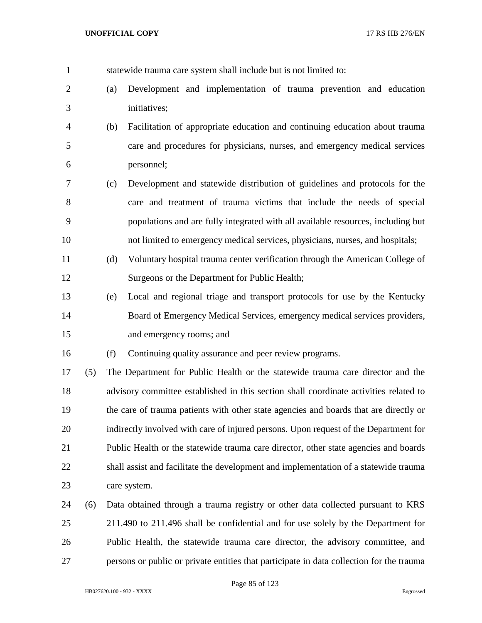statewide trauma care system shall include but is not limited to:

- (a) Development and implementation of trauma prevention and education initiatives;
- (b) Facilitation of appropriate education and continuing education about trauma care and procedures for physicians, nurses, and emergency medical services personnel;
- (c) Development and statewide distribution of guidelines and protocols for the care and treatment of trauma victims that include the needs of special populations and are fully integrated with all available resources, including but not limited to emergency medical services, physicians, nurses, and hospitals;
- (d) Voluntary hospital trauma center verification through the American College of Surgeons or the Department for Public Health;
- (e) Local and regional triage and transport protocols for use by the Kentucky Board of Emergency Medical Services, emergency medical services providers, and emergency rooms; and

(f) Continuing quality assurance and peer review programs.

 (5) The Department for Public Health or the statewide trauma care director and the advisory committee established in this section shall coordinate activities related to the care of trauma patients with other state agencies and boards that are directly or indirectly involved with care of injured persons. Upon request of the Department for Public Health or the statewide trauma care director, other state agencies and boards shall assist and facilitate the development and implementation of a statewide trauma care system.

 (6) Data obtained through a trauma registry or other data collected pursuant to KRS 211.490 to 211.496 shall be confidential and for use solely by the Department for Public Health, the statewide trauma care director, the advisory committee, and persons or public or private entities that participate in data collection for the trauma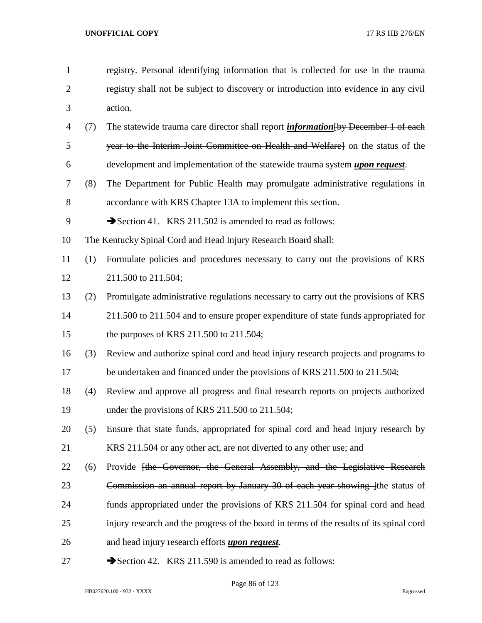- registry. Personal identifying information that is collected for use in the trauma registry shall not be subject to discovery or introduction into evidence in any civil action. (7) The statewide trauma care director shall report *information*[by December 1 of each year to the Interim Joint Committee on Health and Welfare] on the status of the development and implementation of the statewide trauma system *upon request*. (8) The Department for Public Health may promulgate administrative regulations in accordance with KRS Chapter 13A to implement this section. 9 Section 41. KRS 211.502 is amended to read as follows: The Kentucky Spinal Cord and Head Injury Research Board shall: (1) Formulate policies and procedures necessary to carry out the provisions of KRS 211.500 to 211.504; (2) Promulgate administrative regulations necessary to carry out the provisions of KRS 211.500 to 211.504 and to ensure proper expenditure of state funds appropriated for the purposes of KRS 211.500 to 211.504; (3) Review and authorize spinal cord and head injury research projects and programs to 17 be undertaken and financed under the provisions of KRS 211.500 to 211.504; (4) Review and approve all progress and final research reports on projects authorized 19 under the provisions of KRS 211.500 to 211.504; (5) Ensure that state funds, appropriated for spinal cord and head injury research by KRS 211.504 or any other act, are not diverted to any other use; and 22 (6) Provide <del>[the Governor, the General Assembly, and the Legislative Research</del> 23 Commission an annual report by January 30 of each year showing lthe status of funds appropriated under the provisions of KRS 211.504 for spinal cord and head injury research and the progress of the board in terms of the results of its spinal cord and head injury research efforts *upon request*.
- 27 Section 42. KRS 211.590 is amended to read as follows:

Page 86 of 123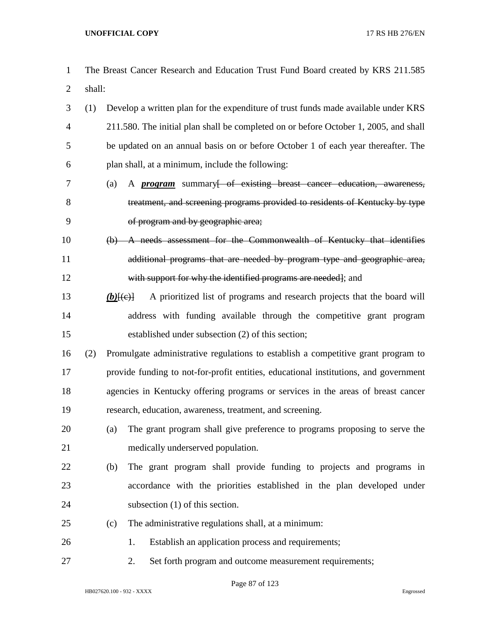- The Breast Cancer Research and Education Trust Fund Board created by KRS 211.585 shall:
- (1) Develop a written plan for the expenditure of trust funds made available under KRS 211.580. The initial plan shall be completed on or before October 1, 2005, and shall be updated on an annual basis on or before October 1 of each year thereafter. The plan shall, at a minimum, include the following:
- (a) A *program* summary[ of existing breast cancer education, awareness, treatment, and screening programs provided to residents of Kentucky by type of program and by geographic area;
- (b) A needs assessment for the Commonwealth of Kentucky that identifies additional programs that are needed by program type and geographic area, with support for why the identified programs are needed]; and
- 13 *(b)* $(\epsilon)$  A prioritized list of programs and research projects that the board will address with funding available through the competitive grant program established under subsection (2) of this section;
- (2) Promulgate administrative regulations to establish a competitive grant program to provide funding to not-for-profit entities, educational institutions, and government agencies in Kentucky offering programs or services in the areas of breast cancer research, education, awareness, treatment, and screening.
- (a) The grant program shall give preference to programs proposing to serve the medically underserved population.
- (b) The grant program shall provide funding to projects and programs in accordance with the priorities established in the plan developed under subsection (1) of this section.
- (c) The administrative regulations shall, at a minimum:
- 26 1. Establish an application process and requirements;
- 2. Set forth program and outcome measurement requirements;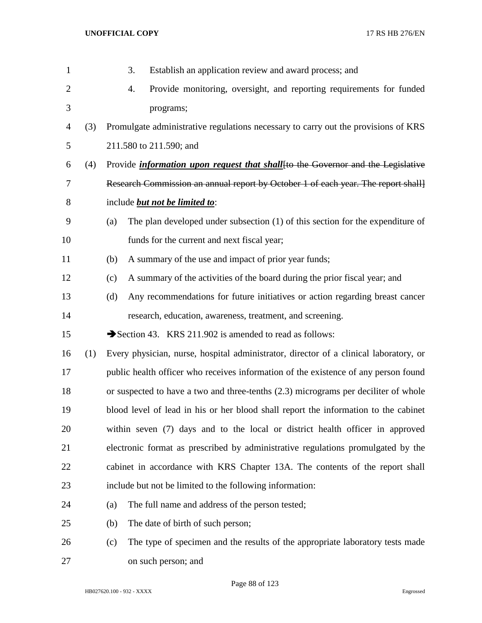| $\mathbf{1}$   |     | Establish an application review and award process; and<br>3.                            |
|----------------|-----|-----------------------------------------------------------------------------------------|
| $\overline{2}$ |     | Provide monitoring, oversight, and reporting requirements for funded<br>4.              |
| 3              |     | programs;                                                                               |
| 4              | (3) | Promulgate administrative regulations necessary to carry out the provisions of KRS      |
| 5              |     | 211.580 to 211.590; and                                                                 |
| 6              | (4) | Provide <i>information upon request that shall</i> [to the Governor and the Legislative |
| 7              |     | Research Commission an annual report by October 1 of each year. The report shall        |
| 8              |     | include but not be limited to:                                                          |
| 9              |     | The plan developed under subsection (1) of this section for the expenditure of<br>(a)   |
| 10             |     | funds for the current and next fiscal year;                                             |
| 11             |     | A summary of the use and impact of prior year funds;<br>(b)                             |
| 12             |     | A summary of the activities of the board during the prior fiscal year; and<br>(c)       |
| 13             |     | Any recommendations for future initiatives or action regarding breast cancer<br>(d)     |
| 14             |     | research, education, awareness, treatment, and screening.                               |
| 15             |     | Section 43. KRS 211.902 is amended to read as follows:                                  |
| 16             | (1) | Every physician, nurse, hospital administrator, director of a clinical laboratory, or   |
| 17             |     | public health officer who receives information of the existence of any person found     |
| 18             |     | or suspected to have a two and three-tenths (2.3) micrograms per deciliter of whole     |
| 19             |     | blood level of lead in his or her blood shall report the information to the cabinet     |
| 20             |     | within seven (7) days and to the local or district health officer in approved           |
| 21             |     | electronic format as prescribed by administrative regulations promulgated by the        |
| 22             |     | cabinet in accordance with KRS Chapter 13A. The contents of the report shall            |
| 23             |     | include but not be limited to the following information:                                |
| 24             |     | The full name and address of the person tested;<br>(a)                                  |
| 25             |     | The date of birth of such person;<br>(b)                                                |
| 26             |     | The type of specimen and the results of the appropriate laboratory tests made<br>(c)    |
| 27             |     | on such person; and                                                                     |

Page 88 of 123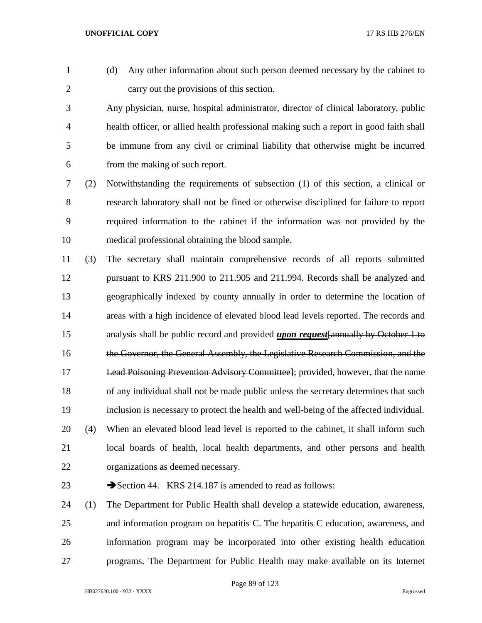- 
- (d) Any other information about such person deemed necessary by the cabinet to carry out the provisions of this section.

 Any physician, nurse, hospital administrator, director of clinical laboratory, public health officer, or allied health professional making such a report in good faith shall be immune from any civil or criminal liability that otherwise might be incurred from the making of such report.

 (2) Notwithstanding the requirements of subsection (1) of this section, a clinical or research laboratory shall not be fined or otherwise disciplined for failure to report required information to the cabinet if the information was not provided by the medical professional obtaining the blood sample.

 (3) The secretary shall maintain comprehensive records of all reports submitted pursuant to KRS 211.900 to 211.905 and 211.994. Records shall be analyzed and geographically indexed by county annually in order to determine the location of areas with a high incidence of elevated blood lead levels reported. The records and analysis shall be public record and provided *upon request*[annually by October 1 to the Governor, the General Assembly, the Legislative Research Commission, and the Lead Poisoning Prevention Advisory Committee]; provided, however, that the name of any individual shall not be made public unless the secretary determines that such inclusion is necessary to protect the health and well-being of the affected individual. (4) When an elevated blood lead level is reported to the cabinet, it shall inform such local boards of health, local health departments, and other persons and health organizations as deemed necessary.

23 Section 44. KRS 214.187 is amended to read as follows:

 (1) The Department for Public Health shall develop a statewide education, awareness, and information program on hepatitis C. The hepatitis C education, awareness, and information program may be incorporated into other existing health education programs. The Department for Public Health may make available on its Internet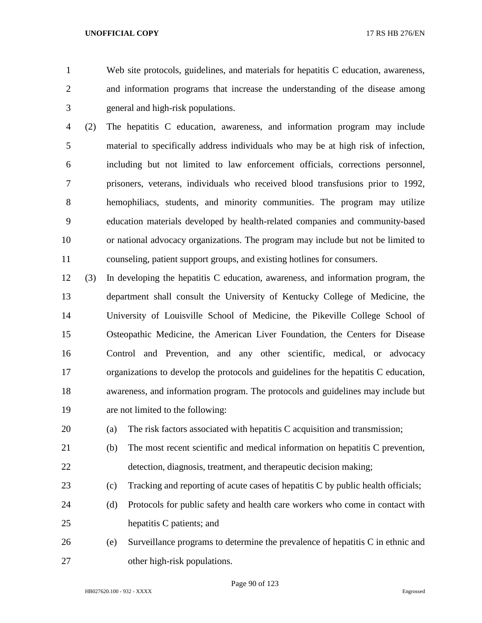Web site protocols, guidelines, and materials for hepatitis C education, awareness, and information programs that increase the understanding of the disease among general and high-risk populations.

 (2) The hepatitis C education, awareness, and information program may include material to specifically address individuals who may be at high risk of infection, including but not limited to law enforcement officials, corrections personnel, prisoners, veterans, individuals who received blood transfusions prior to 1992, hemophiliacs, students, and minority communities. The program may utilize education materials developed by health-related companies and community-based or national advocacy organizations. The program may include but not be limited to counseling, patient support groups, and existing hotlines for consumers.

 (3) In developing the hepatitis C education, awareness, and information program, the department shall consult the University of Kentucky College of Medicine, the University of Louisville School of Medicine, the Pikeville College School of Osteopathic Medicine, the American Liver Foundation, the Centers for Disease Control and Prevention, and any other scientific, medical, or advocacy organizations to develop the protocols and guidelines for the hepatitis C education, awareness, and information program. The protocols and guidelines may include but are not limited to the following:

(a) The risk factors associated with hepatitis C acquisition and transmission;

- (b) The most recent scientific and medical information on hepatitis C prevention, detection, diagnosis, treatment, and therapeutic decision making;
- (c) Tracking and reporting of acute cases of hepatitis C by public health officials;
- (d) Protocols for public safety and health care workers who come in contact with hepatitis C patients; and
- (e) Surveillance programs to determine the prevalence of hepatitis C in ethnic and other high-risk populations.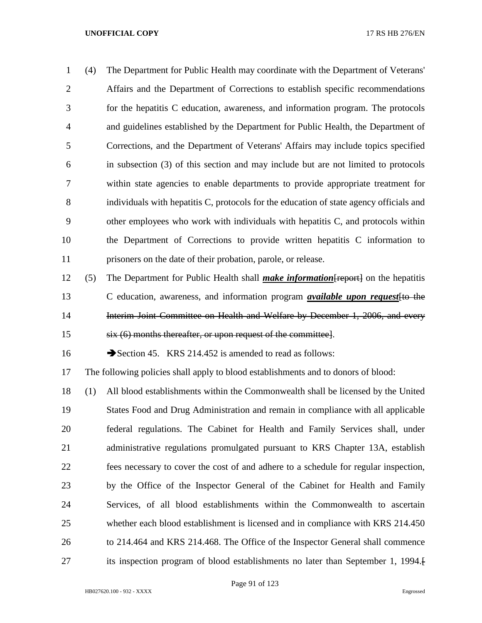| 1              | (4) | The Department for Public Health may coordinate with the Department of Veterans'        |
|----------------|-----|-----------------------------------------------------------------------------------------|
| 2              |     | Affairs and the Department of Corrections to establish specific recommendations         |
| 3              |     | for the hepatitis C education, awareness, and information program. The protocols        |
| $\overline{4}$ |     | and guidelines established by the Department for Public Health, the Department of       |
| 5              |     | Corrections, and the Department of Veterans' Affairs may include topics specified       |
| 6              |     | in subsection (3) of this section and may include but are not limited to protocols      |
| 7              |     | within state agencies to enable departments to provide appropriate treatment for        |
| 8              |     | individuals with hepatitis C, protocols for the education of state agency officials and |
| 9              |     | other employees who work with individuals with hepatitis C, and protocols within        |
| 10             |     | the Department of Corrections to provide written hepatitis C information to             |
| 11             |     | prisoners on the date of their probation, parole, or release.                           |
|                |     |                                                                                         |

 (5) The Department for Public Health shall *make information*[report] on the hepatitis C education, awareness, and information program *available upon request*[to the 14 Interim Joint Committee on Health and Welfare by December 1, 2006, and every six (6) months thereafter, or upon request of the committee].

16 Section 45. KRS 214.452 is amended to read as follows:

The following policies shall apply to blood establishments and to donors of blood:

 (1) All blood establishments within the Commonwealth shall be licensed by the United States Food and Drug Administration and remain in compliance with all applicable federal regulations. The Cabinet for Health and Family Services shall, under administrative regulations promulgated pursuant to KRS Chapter 13A, establish fees necessary to cover the cost of and adhere to a schedule for regular inspection, by the Office of the Inspector General of the Cabinet for Health and Family Services, of all blood establishments within the Commonwealth to ascertain whether each blood establishment is licensed and in compliance with KRS 214.450 to 214.464 and KRS 214.468. The Office of the Inspector General shall commence its inspection program of blood establishments no later than September 1, 1994.[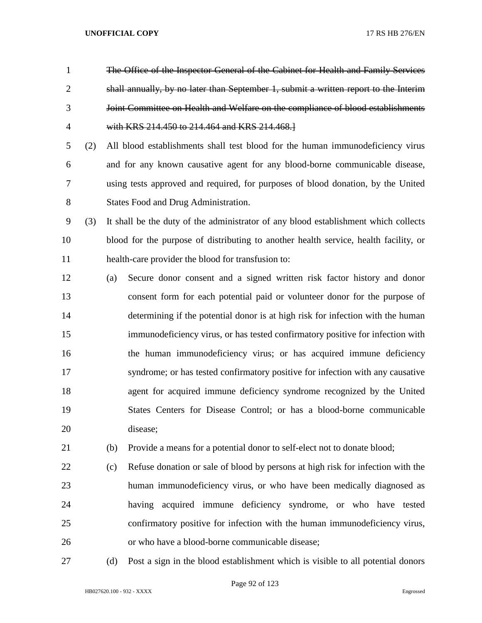- The Office of the Inspector General of the Cabinet for Health and Family Services shall annually, by no later than September 1, submit a written report to the Interim Joint Committee on Health and Welfare on the compliance of blood establishments with KRS 214.450 to 214.464 and KRS 214.468.]
- (2) All blood establishments shall test blood for the human immunodeficiency virus and for any known causative agent for any blood-borne communicable disease, using tests approved and required, for purposes of blood donation, by the United States Food and Drug Administration.
- (3) It shall be the duty of the administrator of any blood establishment which collects blood for the purpose of distributing to another health service, health facility, or health-care provider the blood for transfusion to:
- (a) Secure donor consent and a signed written risk factor history and donor consent form for each potential paid or volunteer donor for the purpose of determining if the potential donor is at high risk for infection with the human immunodeficiency virus, or has tested confirmatory positive for infection with the human immunodeficiency virus; or has acquired immune deficiency syndrome; or has tested confirmatory positive for infection with any causative agent for acquired immune deficiency syndrome recognized by the United States Centers for Disease Control; or has a blood-borne communicable disease;
- (b) Provide a means for a potential donor to self-elect not to donate blood;
- (c) Refuse donation or sale of blood by persons at high risk for infection with the human immunodeficiency virus, or who have been medically diagnosed as having acquired immune deficiency syndrome, or who have tested confirmatory positive for infection with the human immunodeficiency virus, or who have a blood-borne communicable disease;
- 

(d) Post a sign in the blood establishment which is visible to all potential donors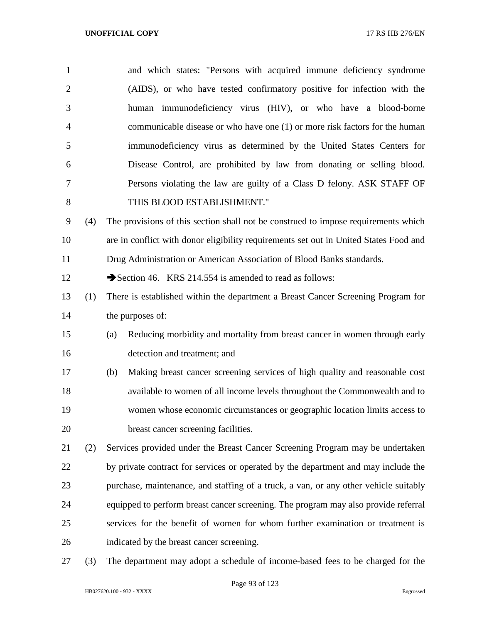| $\mathbf{1}$   |     | and which states: "Persons with acquired immune deficiency syndrome                   |
|----------------|-----|---------------------------------------------------------------------------------------|
| $\overline{2}$ |     | (AIDS), or who have tested confirmatory positive for infection with the               |
| 3              |     | human immunodeficiency virus (HIV), or who have a blood-borne                         |
| 4              |     | communicable disease or who have one (1) or more risk factors for the human           |
| 5              |     | immunodeficiency virus as determined by the United States Centers for                 |
| 6              |     | Disease Control, are prohibited by law from donating or selling blood.                |
| 7              |     | Persons violating the law are guilty of a Class D felony. ASK STAFF OF                |
| 8              |     | THIS BLOOD ESTABLISHMENT."                                                            |
| 9              | (4) | The provisions of this section shall not be construed to impose requirements which    |
| 10             |     | are in conflict with donor eligibility requirements set out in United States Food and |
| 11             |     | Drug Administration or American Association of Blood Banks standards.                 |
| 12             |     | Section 46. KRS 214.554 is amended to read as follows:                                |
| 13             | (1) | There is established within the department a Breast Cancer Screening Program for      |
| 14             |     | the purposes of:                                                                      |
| 15             |     | Reducing morbidity and mortality from breast cancer in women through early<br>(a)     |
| 16             |     | detection and treatment; and                                                          |
| 17             |     | Making breast cancer screening services of high quality and reasonable cost<br>(b)    |
| 18             |     | available to women of all income levels throughout the Commonwealth and to            |
| 19             |     | women whose economic circumstances or geographic location limits access to            |
| 20             |     | breast cancer screening facilities.                                                   |
| 21             | (2) | Services provided under the Breast Cancer Screening Program may be undertaken         |
| 22             |     | by private contract for services or operated by the department and may include the    |
| 23             |     | purchase, maintenance, and staffing of a truck, a van, or any other vehicle suitably  |
| 24             |     | equipped to perform breast cancer screening. The program may also provide referral    |
| 25             |     | services for the benefit of women for whom further examination or treatment is        |
| 26             |     | indicated by the breast cancer screening.                                             |
|                |     |                                                                                       |

(3) The department may adopt a schedule of income-based fees to be charged for the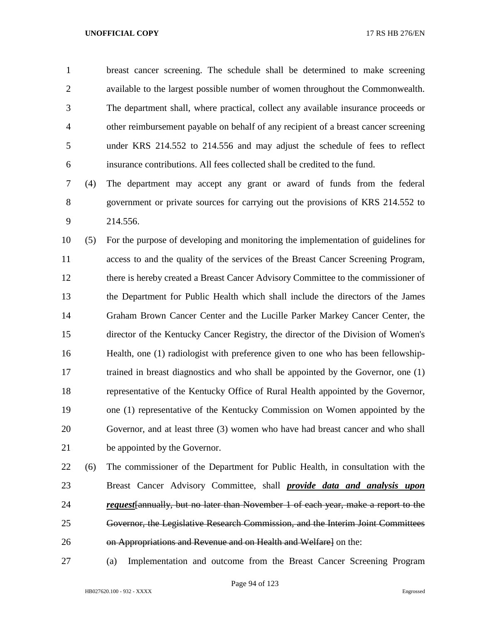breast cancer screening. The schedule shall be determined to make screening available to the largest possible number of women throughout the Commonwealth. The department shall, where practical, collect any available insurance proceeds or other reimbursement payable on behalf of any recipient of a breast cancer screening under KRS 214.552 to 214.556 and may adjust the schedule of fees to reflect insurance contributions. All fees collected shall be credited to the fund.

 (4) The department may accept any grant or award of funds from the federal government or private sources for carrying out the provisions of KRS 214.552 to 214.556.

 (5) For the purpose of developing and monitoring the implementation of guidelines for access to and the quality of the services of the Breast Cancer Screening Program, there is hereby created a Breast Cancer Advisory Committee to the commissioner of the Department for Public Health which shall include the directors of the James Graham Brown Cancer Center and the Lucille Parker Markey Cancer Center, the director of the Kentucky Cancer Registry, the director of the Division of Women's Health, one (1) radiologist with preference given to one who has been fellowship- trained in breast diagnostics and who shall be appointed by the Governor, one (1) representative of the Kentucky Office of Rural Health appointed by the Governor, one (1) representative of the Kentucky Commission on Women appointed by the Governor, and at least three (3) women who have had breast cancer and who shall be appointed by the Governor.

 (6) The commissioner of the Department for Public Health, in consultation with the Breast Cancer Advisory Committee, shall *provide data and analysis upon request*[annually, but no later than November 1 of each year, make a report to the Governor, the Legislative Research Commission, and the Interim Joint Committees on Appropriations and Revenue and on Health and Welfare] on the:

(a) Implementation and outcome from the Breast Cancer Screening Program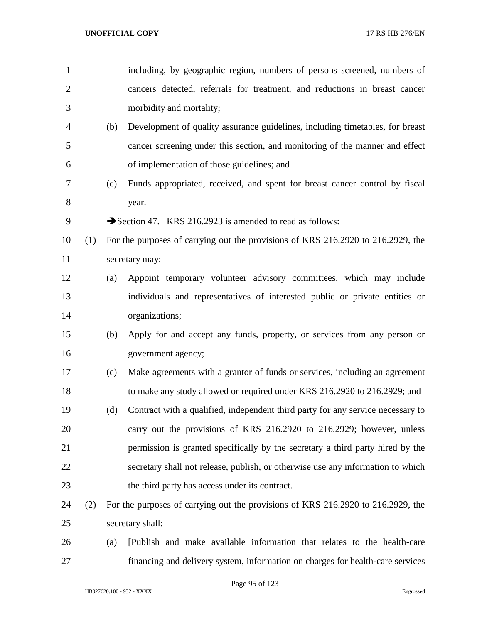| $\mathbf{1}$   |     |     | including, by geographic region, numbers of persons screened, numbers of         |
|----------------|-----|-----|----------------------------------------------------------------------------------|
| $\overline{2}$ |     |     | cancers detected, referrals for treatment, and reductions in breast cancer       |
| 3              |     |     | morbidity and mortality;                                                         |
| 4              |     | (b) | Development of quality assurance guidelines, including timetables, for breast    |
| 5              |     |     | cancer screening under this section, and monitoring of the manner and effect     |
| 6              |     |     | of implementation of those guidelines; and                                       |
| 7              |     | (c) | Funds appropriated, received, and spent for breast cancer control by fiscal      |
| 8              |     |     | year.                                                                            |
| 9              |     |     | Section 47. KRS 216.2923 is amended to read as follows:                          |
| 10             | (1) |     | For the purposes of carrying out the provisions of KRS 216.2920 to 216.2929, the |
| 11             |     |     | secretary may:                                                                   |
| 12             |     | (a) | Appoint temporary volunteer advisory committees, which may include               |
| 13             |     |     | individuals and representatives of interested public or private entities or      |
| 14             |     |     | organizations;                                                                   |
| 15             |     | (b) | Apply for and accept any funds, property, or services from any person or         |
| 16             |     |     | government agency;                                                               |
| 17             |     | (c) | Make agreements with a grantor of funds or services, including an agreement      |
| 18             |     |     | to make any study allowed or required under KRS 216.2920 to 216.2929; and        |
| 19             |     | (d) | Contract with a qualified, independent third party for any service necessary to  |
| 20             |     |     | carry out the provisions of KRS 216.2920 to 216.2929; however, unless            |
| 21             |     |     | permission is granted specifically by the secretary a third party hired by the   |
| 22             |     |     | secretary shall not release, publish, or otherwise use any information to which  |
| 23             |     |     | the third party has access under its contract.                                   |
| 24             | (2) |     | For the purposes of carrying out the provisions of KRS 216.2920 to 216.2929, the |
| 25             |     |     | secretary shall:                                                                 |
| 26             |     | (a) | [Publish and make available information that relates to the health-care          |

financing and delivery system, information on charges for health-care services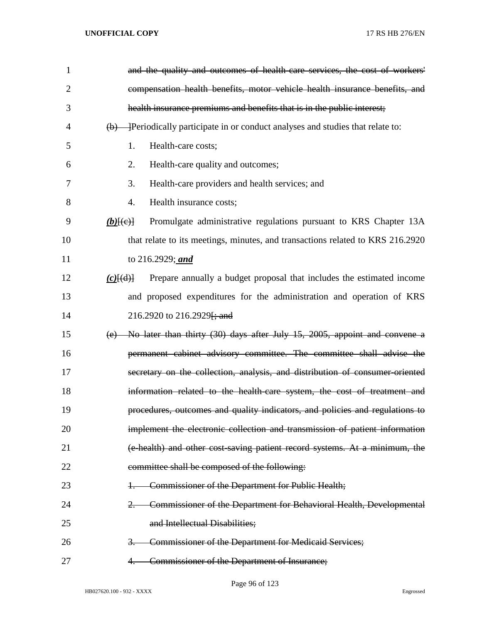| $\mathbf{1}$   | and the quality and outcomes of health care services, the cost of workers'                     |
|----------------|------------------------------------------------------------------------------------------------|
| $\overline{2}$ | compensation health benefits, motor vehicle health insurance benefits, and                     |
| 3              | health insurance premiums and benefits that is in the public interest;                         |
| 4              | $\overline{(b)}$ - Periodically participate in or conduct analyses and studies that relate to: |
| 5              | Health-care costs;<br>1.                                                                       |
| 6              | 2.<br>Health-care quality and outcomes;                                                        |
| 7              | 3.<br>Health-care providers and health services; and                                           |
| 8              | Health insurance costs;<br>4.                                                                  |
| 9              | Promulgate administrative regulations pursuant to KRS Chapter 13A<br>$(b)$ [(e)]               |
| 10             | that relate to its meetings, minutes, and transactions related to KRS 216.2920                 |
| 11             | to 216.2929; and                                                                               |
| 12             | Prepare annually a budget proposal that includes the estimated income<br>$(c)$ $(d)$           |
| 13             | and proposed expenditures for the administration and operation of KRS                          |
| 14             | 216.2920 to 216.2929 <del>[; and</del>                                                         |
| 15             | (e) No later than thirty $(30)$ days after July 15, 2005, appoint and convene a                |
| 16             | permanent cabinet advisory committee. The committee shall advise the                           |
| 17             | secretary on the collection, analysis, and distribution of consumer-oriented                   |
| 18             | information related to the health-care system, the cost of treatment and                       |
| 19             | procedures, outcomes and quality indicators, and policies and regulations to                   |
| 20             | implement the electronic collection and transmission of patient information                    |
| 21             | (e-health) and other cost-saving patient record systems. At a minimum, the                     |
| 22             | committee shall be composed of the following:                                                  |
| 23             | Commissioner of the Department for Public Health;                                              |
| 24             | Commissioner of the Department for Behavioral Health, Developmental<br>2.                      |
| 25             | and Intellectual Disabilities;                                                                 |
| 26             | <b>Commissioner of the Department for Medicaid Services;</b><br>3.                             |
| 27             | Commissioner of the Department of Insurance;<br>4.                                             |

Page 96 of 123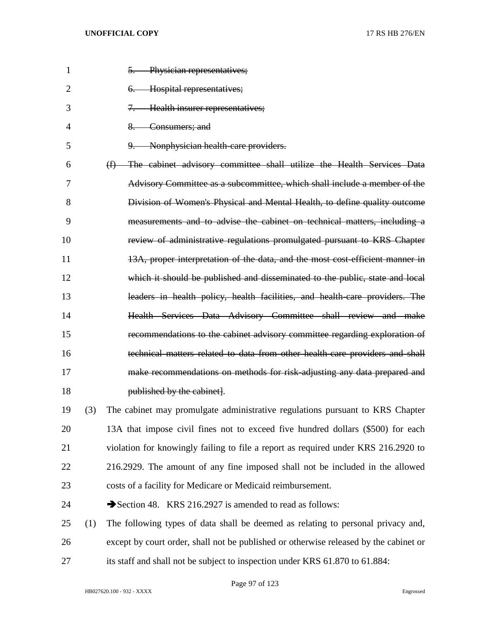| $\mathbf{1}$   |     | 5. Physician representatives;                                                         |
|----------------|-----|---------------------------------------------------------------------------------------|
| $\overline{2}$ |     | Hospital representatives;<br>6.                                                       |
| 3              |     | Health insurer representatives;<br>$7 -$                                              |
| 4              |     | $8-$<br>Consumers; and                                                                |
| 5              |     | Nonphysician health care providers.<br>$9-$                                           |
| 6              |     | (f) The cabinet advisory committee shall utilize the Health Services Data             |
| 7              |     | Advisory Committee as a subcommittee, which shall include a member of the             |
| 8              |     | Division of Women's Physical and Mental Health, to define quality outcome             |
| 9              |     | measurements and to advise the cabinet on technical matters, including a              |
| 10             |     | review of administrative regulations promulgated pursuant to KRS Chapter              |
| 11             |     | 13A, proper interpretation of the data, and the most cost efficient manner in         |
| 12             |     | which it should be published and disseminated to the public, state and local          |
| 13             |     | leaders in health policy, health facilities, and health care providers. The           |
| 14             |     | Health Services Data Advisory Committee shall review and make                         |
| 15             |     | recommendations to the cabinet advisory committee regarding exploration of            |
| 16             |     | technical matters related to data from other health-care providers and shall          |
| 17             |     | make recommendations on methods for risk-adjusting any data prepared and              |
| 18             |     | published by the cabinet.                                                             |
| 19             | (3) | The cabinet may promulgate administrative regulations pursuant to KRS Chapter         |
| 20             |     | 13A that impose civil fines not to exceed five hundred dollars (\$500) for each       |
| 21             |     | violation for knowingly failing to file a report as required under KRS 216.2920 to    |
| 22             |     | 216.2929. The amount of any fine imposed shall not be included in the allowed         |
| 23             |     | costs of a facility for Medicare or Medicaid reimbursement.                           |
| 24             |     | Section 48. KRS 216.2927 is amended to read as follows:                               |
| 25             | (1) | The following types of data shall be deemed as relating to personal privacy and,      |
| 26             |     | except by court order, shall not be published or otherwise released by the cabinet or |
| 27             |     | its staff and shall not be subject to inspection under KRS 61.870 to 61.884:          |

Page 97 of 123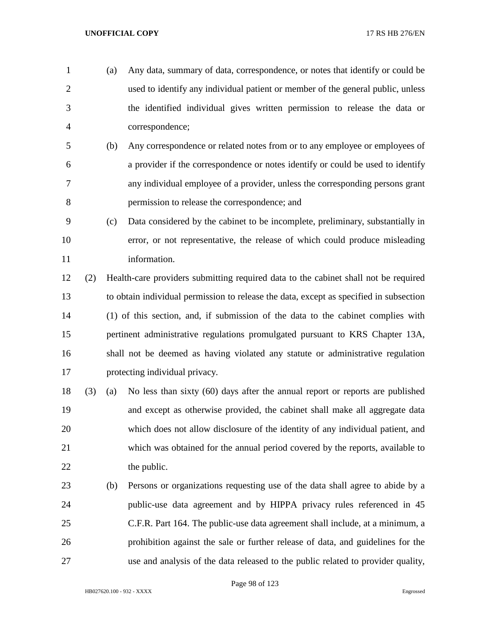- (a) Any data, summary of data, correspondence, or notes that identify or could be used to identify any individual patient or member of the general public, unless the identified individual gives written permission to release the data or correspondence;
- (b) Any correspondence or related notes from or to any employee or employees of a provider if the correspondence or notes identify or could be used to identify any individual employee of a provider, unless the corresponding persons grant permission to release the correspondence; and
- (c) Data considered by the cabinet to be incomplete, preliminary, substantially in error, or not representative, the release of which could produce misleading 11 information.
- (2) Health-care providers submitting required data to the cabinet shall not be required to obtain individual permission to release the data, except as specified in subsection (1) of this section, and, if submission of the data to the cabinet complies with pertinent administrative regulations promulgated pursuant to KRS Chapter 13A, shall not be deemed as having violated any statute or administrative regulation protecting individual privacy.
- (3) (a) No less than sixty (60) days after the annual report or reports are published and except as otherwise provided, the cabinet shall make all aggregate data which does not allow disclosure of the identity of any individual patient, and which was obtained for the annual period covered by the reports, available to 22 the public.
- (b) Persons or organizations requesting use of the data shall agree to abide by a public-use data agreement and by HIPPA privacy rules referenced in 45 C.F.R. Part 164. The public-use data agreement shall include, at a minimum, a prohibition against the sale or further release of data, and guidelines for the use and analysis of the data released to the public related to provider quality,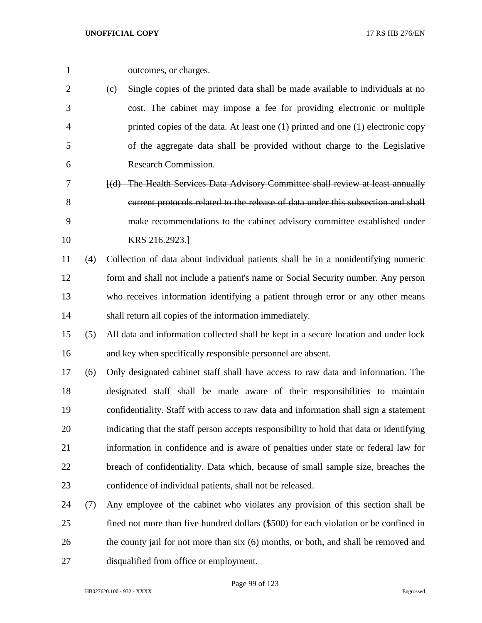| outcomes, or charges. |
|-----------------------|
|                       |

 (c) Single copies of the printed data shall be made available to individuals at no cost. The cabinet may impose a fee for providing electronic or multiple printed copies of the data. At least one (1) printed and one (1) electronic copy of the aggregate data shall be provided without charge to the Legislative Research Commission.

 [(d) The Health Services Data Advisory Committee shall review at least annually current protocols related to the release of data under this subsection and shall make recommendations to the cabinet advisory committee established under **KRS** 216.2923.

 (4) Collection of data about individual patients shall be in a nonidentifying numeric form and shall not include a patient's name or Social Security number. Any person who receives information identifying a patient through error or any other means shall return all copies of the information immediately.

 (5) All data and information collected shall be kept in a secure location and under lock and key when specifically responsible personnel are absent.

 (6) Only designated cabinet staff shall have access to raw data and information. The designated staff shall be made aware of their responsibilities to maintain confidentiality. Staff with access to raw data and information shall sign a statement indicating that the staff person accepts responsibility to hold that data or identifying information in confidence and is aware of penalties under state or federal law for breach of confidentiality. Data which, because of small sample size, breaches the confidence of individual patients, shall not be released.

 (7) Any employee of the cabinet who violates any provision of this section shall be fined not more than five hundred dollars (\$500) for each violation or be confined in 26 the county jail for not more than six (6) months, or both, and shall be removed and disqualified from office or employment.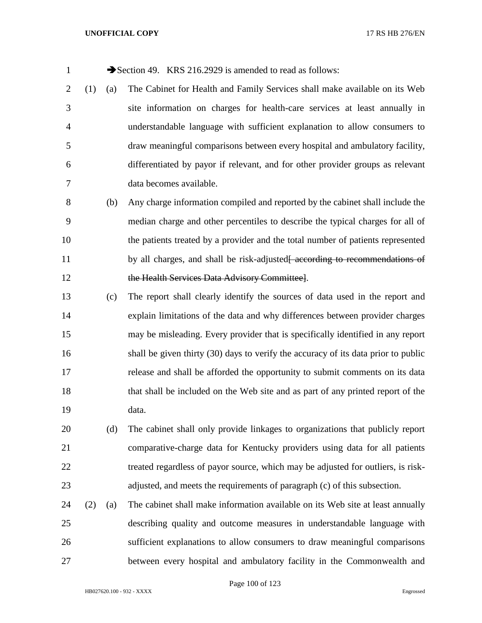1 Section 49. KRS 216.2929 is amended to read as follows:

 (1) (a) The Cabinet for Health and Family Services shall make available on its Web site information on charges for health-care services at least annually in understandable language with sufficient explanation to allow consumers to draw meaningful comparisons between every hospital and ambulatory facility, differentiated by payor if relevant, and for other provider groups as relevant data becomes available.

 (b) Any charge information compiled and reported by the cabinet shall include the median charge and other percentiles to describe the typical charges for all of the patients treated by a provider and the total number of patients represented 11 by all charges, and shall be risk-adjusted<del>[ according to recommendations of</del> 12 the Health Services Data Advisory Committee].

 (c) The report shall clearly identify the sources of data used in the report and explain limitations of the data and why differences between provider charges may be misleading. Every provider that is specifically identified in any report shall be given thirty (30) days to verify the accuracy of its data prior to public release and shall be afforded the opportunity to submit comments on its data that shall be included on the Web site and as part of any printed report of the data.

 (d) The cabinet shall only provide linkages to organizations that publicly report comparative-charge data for Kentucky providers using data for all patients treated regardless of payor source, which may be adjusted for outliers, is risk-adjusted, and meets the requirements of paragraph (c) of this subsection.

 (2) (a) The cabinet shall make information available on its Web site at least annually describing quality and outcome measures in understandable language with sufficient explanations to allow consumers to draw meaningful comparisons between every hospital and ambulatory facility in the Commonwealth and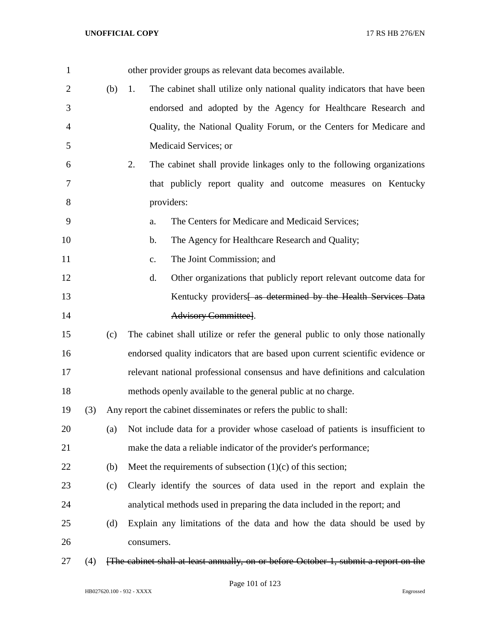| 1              |     |     | other provider groups as relevant data becomes available.                            |
|----------------|-----|-----|--------------------------------------------------------------------------------------|
| $\overline{2}$ |     | (b) | The cabinet shall utilize only national quality indicators that have been<br>1.      |
| 3              |     |     | endorsed and adopted by the Agency for Healthcare Research and                       |
| 4              |     |     | Quality, the National Quality Forum, or the Centers for Medicare and                 |
| 5              |     |     | Medicaid Services; or                                                                |
| 6              |     |     | 2.<br>The cabinet shall provide linkages only to the following organizations         |
| 7              |     |     | that publicly report quality and outcome measures on Kentucky                        |
| 8              |     |     | providers:                                                                           |
| 9              |     |     | The Centers for Medicare and Medicaid Services;<br>a.                                |
| 10             |     |     | The Agency for Healthcare Research and Quality;<br>b.                                |
| 11             |     |     | The Joint Commission; and<br>$C_{\bullet}$                                           |
| 12             |     |     | d.<br>Other organizations that publicly report relevant outcome data for             |
| 13             |     |     | Kentucky providers as determined by the Health Services Data                         |
| 14             |     |     | Advisory Committee].                                                                 |
| 15             |     | (c) | The cabinet shall utilize or refer the general public to only those nationally       |
| 16             |     |     | endorsed quality indicators that are based upon current scientific evidence or       |
| 17             |     |     | relevant national professional consensus and have definitions and calculation        |
| 18             |     |     | methods openly available to the general public at no charge.                         |
| 19             | (3) |     | Any report the cabinet disseminates or refers the public to shall:                   |
| 20             |     | (a) | Not include data for a provider whose caseload of patients is insufficient to        |
| 21             |     |     | make the data a reliable indicator of the provider's performance;                    |
| 22             |     | (b) | Meet the requirements of subsection $(1)(c)$ of this section;                        |
| 23             |     | (c) | Clearly identify the sources of data used in the report and explain the              |
| 24             |     |     | analytical methods used in preparing the data included in the report; and            |
| 25             |     | (d) | Explain any limitations of the data and how the data should be used by               |
| 26             |     |     | consumers.                                                                           |
| 27             | (4) |     | [The cabinet shall at least annually, on or before October 1, submit a report on the |

Page 101 of 123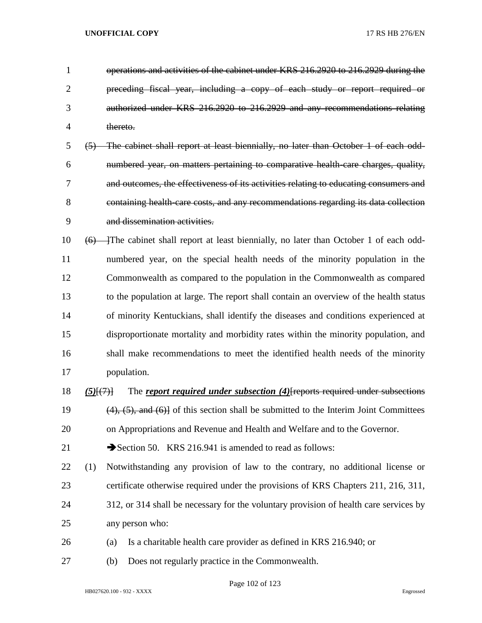| 1              |                    | operations and activities of the cabinet under KRS 216.2920 to 216.2929 during the           |
|----------------|--------------------|----------------------------------------------------------------------------------------------|
| $\overline{2}$ |                    | preceding fiscal year, including a copy of each study or report required or                  |
| 3              |                    | authorized under KRS 216.2920 to 216.2929 and any recommendations relating                   |
| 4              |                    | thereto.                                                                                     |
| 5              | $\left( 5 \right)$ | The cabinet shall report at least biennially, no later than October 1 of each odd-           |
| 6              |                    | numbered year, on matters pertaining to comparative health care charges, quality,            |
| 7              |                    | and outcomes, the effectiveness of its activities relating to educating consumers and        |
| 8              |                    | containing health care costs, and any recommendations regarding its data collection          |
| 9              |                    | and dissemination activities.                                                                |
| 10             |                    | (6) The cabinet shall report at least biennially, no later than October 1 of each odd-       |
| 11             |                    | numbered year, on the special health needs of the minority population in the                 |
| 12             |                    | Commonwealth as compared to the population in the Commonwealth as compared                   |
| 13             |                    | to the population at large. The report shall contain an overview of the health status        |
| 14             |                    | of minority Kentuckians, shall identify the diseases and conditions experienced at           |
| 15             |                    | disproportionate mortality and morbidity rates within the minority population, and           |
| 16             |                    | shall make recommendations to meet the identified health needs of the minority               |
| 17             |                    | population.                                                                                  |
| 18             | $(5)$ $(7)$        | The report required under subsection (4) reports required under subsections                  |
| 19             |                    | $(4)$ , $(5)$ , and $(6)$ of this section shall be submitted to the Interim Joint Committees |
| 20             |                    | on Appropriations and Revenue and Health and Welfare and to the Governor.                    |
| 21             |                    | Section 50. KRS 216.941 is amended to read as follows:                                       |
| 22             | (1)                | Notwithstanding any provision of law to the contrary, no additional license or               |
| 23             |                    | certificate otherwise required under the provisions of KRS Chapters 211, 216, 311,           |
| 24             |                    | 312, or 314 shall be necessary for the voluntary provision of health care services by        |
| 25             |                    | any person who:                                                                              |
| 26             |                    | Is a charitable health care provider as defined in KRS 216.940; or<br>(a)                    |
| 27             |                    | Does not regularly practice in the Commonwealth.<br>(b)                                      |

Page 102 of 123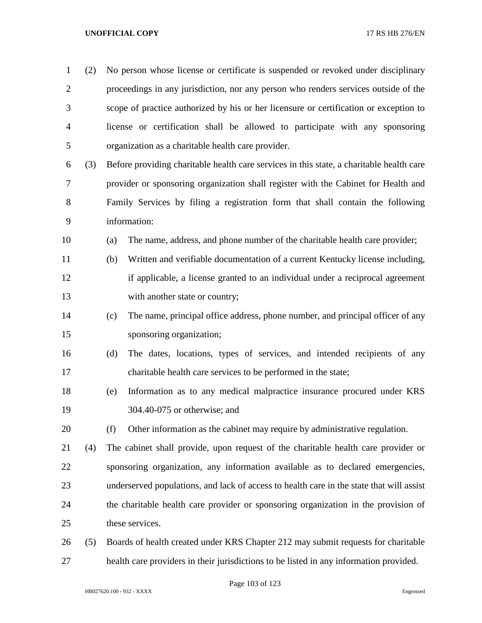| $\mathbf{1}$   | (2) | No person whose license or certificate is suspended or revoked under disciplinary        |  |  |
|----------------|-----|------------------------------------------------------------------------------------------|--|--|
| $\overline{2}$ |     | proceedings in any jurisdiction, nor any person who renders services outside of the      |  |  |
| 3              |     | scope of practice authorized by his or her licensure or certification or exception to    |  |  |
| $\overline{4}$ |     | license or certification shall be allowed to participate with any sponsoring             |  |  |
| 5              |     | organization as a charitable health care provider.                                       |  |  |
| 6              | (3) | Before providing charitable health care services in this state, a charitable health care |  |  |
| 7              |     | provider or sponsoring organization shall register with the Cabinet for Health and       |  |  |
| 8              |     | Family Services by filing a registration form that shall contain the following           |  |  |
| 9              |     | information:                                                                             |  |  |
| 10             |     | The name, address, and phone number of the charitable health care provider;<br>(a)       |  |  |
| 11             |     | Written and verifiable documentation of a current Kentucky license including,<br>(b)     |  |  |
| 12             |     | if applicable, a license granted to an individual under a reciprocal agreement           |  |  |
| 13             |     | with another state or country;                                                           |  |  |
| 14             |     | The name, principal office address, phone number, and principal officer of any<br>(c)    |  |  |
| 15             |     | sponsoring organization;                                                                 |  |  |
| 16             |     | The dates, locations, types of services, and intended recipients of any<br>(d)           |  |  |
| 17             |     | charitable health care services to be performed in the state;                            |  |  |
| 18             |     | Information as to any medical malpractice insurance procured under KRS<br>(e)            |  |  |
| 19             |     | 304.40-075 or otherwise; and                                                             |  |  |
| 20             |     | (f)<br>Other information as the cabinet may require by administrative regulation.        |  |  |
| 21             | (4) | The cabinet shall provide, upon request of the charitable health care provider or        |  |  |
| 22             |     | sponsoring organization, any information available as to declared emergencies,           |  |  |
| 23             |     | underserved populations, and lack of access to health care in the state that will assist |  |  |
| 24             |     | the charitable health care provider or sponsoring organization in the provision of       |  |  |
| 25             |     | these services.                                                                          |  |  |
| 26             | (5) | Boards of health created under KRS Chapter 212 may submit requests for charitable        |  |  |
| 27             |     | health care providers in their jurisdictions to be listed in any information provided.   |  |  |

Page 103 of 123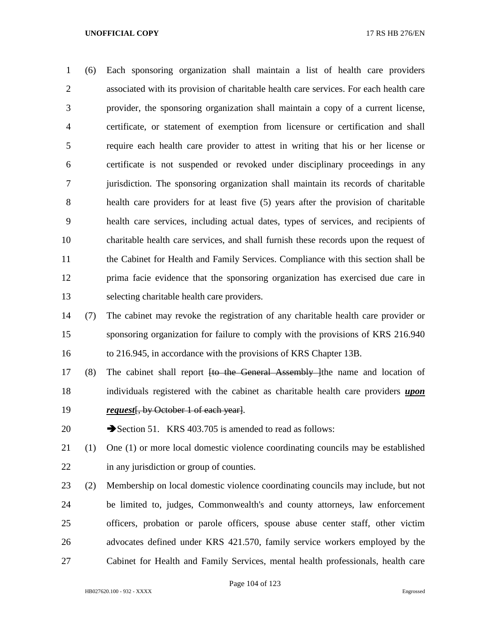(6) Each sponsoring organization shall maintain a list of health care providers associated with its provision of charitable health care services. For each health care provider, the sponsoring organization shall maintain a copy of a current license, certificate, or statement of exemption from licensure or certification and shall require each health care provider to attest in writing that his or her license or certificate is not suspended or revoked under disciplinary proceedings in any jurisdiction. The sponsoring organization shall maintain its records of charitable health care providers for at least five (5) years after the provision of charitable health care services, including actual dates, types of services, and recipients of charitable health care services, and shall furnish these records upon the request of the Cabinet for Health and Family Services. Compliance with this section shall be prima facie evidence that the sponsoring organization has exercised due care in selecting charitable health care providers.

 (7) The cabinet may revoke the registration of any charitable health care provider or sponsoring organization for failure to comply with the provisions of KRS 216.940 to 216.945, in accordance with the provisions of KRS Chapter 13B.

17 (8) The cabinet shall report <del>[to the General Assembly ]</del>the name and location of individuals registered with the cabinet as charitable health care providers *upon request*[, by October 1 of each year].

20 Section 51. KRS 403.705 is amended to read as follows:

 (1) One (1) or more local domestic violence coordinating councils may be established 22 in any jurisdiction or group of counties.

 (2) Membership on local domestic violence coordinating councils may include, but not be limited to, judges, Commonwealth's and county attorneys, law enforcement officers, probation or parole officers, spouse abuse center staff, other victim advocates defined under KRS 421.570, family service workers employed by the Cabinet for Health and Family Services, mental health professionals, health care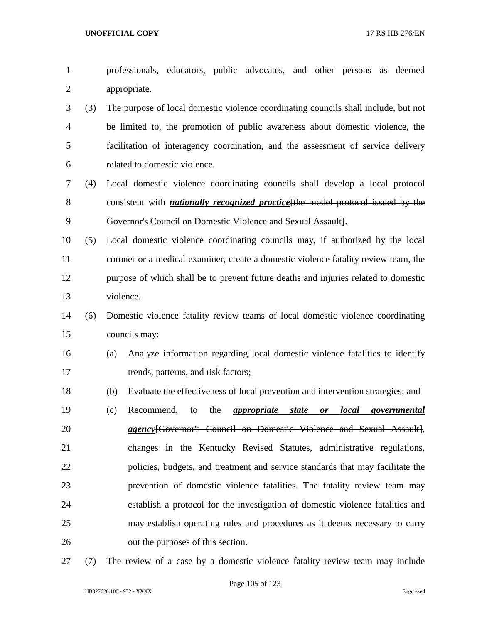professionals, educators, public advocates, and other persons as deemed appropriate.

 (3) The purpose of local domestic violence coordinating councils shall include, but not be limited to, the promotion of public awareness about domestic violence, the facilitation of interagency coordination, and the assessment of service delivery related to domestic violence.

- (4) Local domestic violence coordinating councils shall develop a local protocol consistent with *nationally recognized practice*[the model protocol issued by the Governor's Council on Domestic Violence and Sexual Assault].
- (5) Local domestic violence coordinating councils may, if authorized by the local coroner or a medical examiner, create a domestic violence fatality review team, the purpose of which shall be to prevent future deaths and injuries related to domestic violence.
- (6) Domestic violence fatality review teams of local domestic violence coordinating councils may:
- (a) Analyze information regarding local domestic violence fatalities to identify 17 trends, patterns, and risk factors;
- (b) Evaluate the effectiveness of local prevention and intervention strategies; and
- (c) Recommend, to the *appropriate state or local governmental agency*[Governor's Council on Domestic Violence and Sexual Assault], changes in the Kentucky Revised Statutes, administrative regulations, policies, budgets, and treatment and service standards that may facilitate the prevention of domestic violence fatalities. The fatality review team may establish a protocol for the investigation of domestic violence fatalities and may establish operating rules and procedures as it deems necessary to carry out the purposes of this section.
- (7) The review of a case by a domestic violence fatality review team may include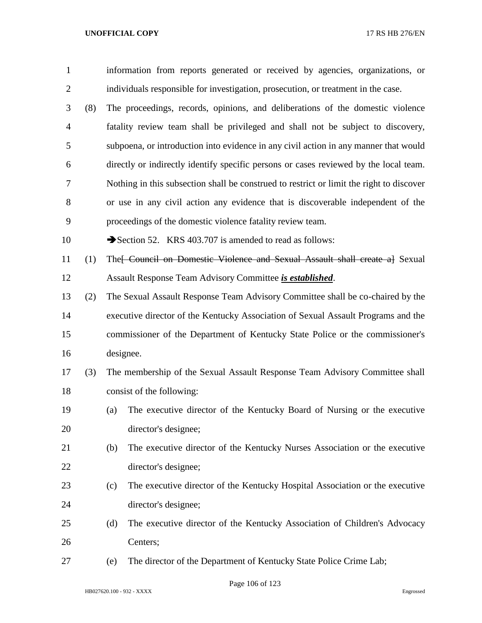| $\mathbf{1}$   |     |                                                                                   | information from reports generated or received by agencies, organizations, or            |  |
|----------------|-----|-----------------------------------------------------------------------------------|------------------------------------------------------------------------------------------|--|
| $\overline{c}$ |     | individuals responsible for investigation, prosecution, or treatment in the case. |                                                                                          |  |
| 3              | (8) |                                                                                   | The proceedings, records, opinions, and deliberations of the domestic violence           |  |
| 4              |     |                                                                                   | fatality review team shall be privileged and shall not be subject to discovery,          |  |
| 5              |     |                                                                                   | subpoena, or introduction into evidence in any civil action in any manner that would     |  |
| 6              |     |                                                                                   | directly or indirectly identify specific persons or cases reviewed by the local team.    |  |
| 7              |     |                                                                                   | Nothing in this subsection shall be construed to restrict or limit the right to discover |  |
| 8              |     |                                                                                   | or use in any civil action any evidence that is discoverable independent of the          |  |
| 9              |     | proceedings of the domestic violence fatality review team.                        |                                                                                          |  |
| 10             |     | Section 52. KRS 403.707 is amended to read as follows:                            |                                                                                          |  |
| 11             | (1) |                                                                                   | The [Council on Domestic Violence and Sexual Assault shall create a] Sexual              |  |
| 12             |     | Assault Response Team Advisory Committee is established.                          |                                                                                          |  |
| 13             | (2) |                                                                                   | The Sexual Assault Response Team Advisory Committee shall be co-chaired by the           |  |
| 14             |     | executive director of the Kentucky Association of Sexual Assault Programs and the |                                                                                          |  |
| 15             |     | commissioner of the Department of Kentucky State Police or the commissioner's     |                                                                                          |  |
| 16             |     | designee.                                                                         |                                                                                          |  |
| 17             | (3) |                                                                                   | The membership of the Sexual Assault Response Team Advisory Committee shall              |  |
| 18             |     | consist of the following:                                                         |                                                                                          |  |
| 19             |     | (a)                                                                               | The executive director of the Kentucky Board of Nursing or the executive                 |  |
| 20             |     | director's designee;                                                              |                                                                                          |  |
| 21             |     | (b)                                                                               | The executive director of the Kentucky Nurses Association or the executive               |  |
| 22             |     | director's designee;                                                              |                                                                                          |  |
| 23             |     | (c)                                                                               | The executive director of the Kentucky Hospital Association or the executive             |  |
| 24             |     | director's designee;                                                              |                                                                                          |  |
| 25             |     | (d)                                                                               | The executive director of the Kentucky Association of Children's Advocacy                |  |
| 26             |     | Centers;                                                                          |                                                                                          |  |
| 27             |     | (e)                                                                               | The director of the Department of Kentucky State Police Crime Lab;                       |  |

Page 106 of 123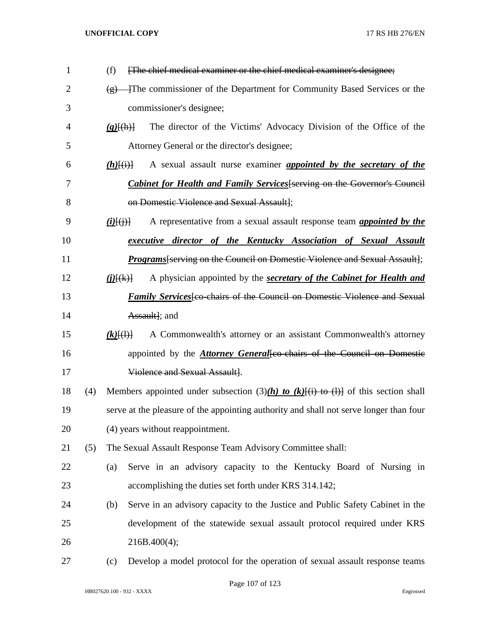| 1              |     | [The chief medical examiner or the chief medical examiner's designee;<br>(f)                            |
|----------------|-----|---------------------------------------------------------------------------------------------------------|
| $\overline{2}$ |     | The commissioner of the Department for Community Based Services or the<br>$\left( \n\mathbf{r} \right)$ |
| 3              |     | commissioner's designee;                                                                                |
| 4              |     | The director of the Victims' Advocacy Division of the Office of the<br>$(g)$ $\{(\text{h})\}$           |
| 5              |     | Attorney General or the director's designee;                                                            |
| 6              |     | A sexual assault nurse examiner <i>appointed by the secretary of the</i><br>$(h)$ $(i)$                 |
| 7              |     | <b>Cabinet for Health and Family Services</b> [serving on the Governor's Council                        |
| 8              |     | on Domestic Violence and Sexual Assault];                                                               |
| 9              |     | A representative from a sexual assault response team <i>appointed by the</i><br>$(i)$ $(i)$ $(i)$ $(i)$ |
| 10             |     | executive director of the Kentucky Association of Sexual Assault                                        |
| 11             |     | Programs [serving on the Council on Domestic Violence and Sexual Assault];                              |
| 12             |     | A physician appointed by the secretary of the Cabinet for Health and<br>$(j)$ $(k)$ }                   |
| 13             |     | <i>Family Services</i> [co-chairs of the Council on Domestic Violence and Sexual                        |
| 14             |     | Assault]; and                                                                                           |
| 15             |     | A Commonwealth's attorney or an assistant Commonwealth's attorney<br>$(k)$ $\{(\cdot)\}$                |
| 16             |     | appointed by the <b>Attorney General</b> [co-chairs of the Council on Domestic                          |
| 17             |     | Violence and Sexual Assault].                                                                           |
| 18             | (4) | Members appointed under subsection (3)(h) to (k)[(i) to (l)] of this section shall                      |
| 19             |     | serve at the pleasure of the appointing authority and shall not serve longer than four                  |
| 20             |     | (4) years without reappointment.                                                                        |
| 21             | (5) | The Sexual Assault Response Team Advisory Committee shall:                                              |
| 22             |     | Serve in an advisory capacity to the Kentucky Board of Nursing in<br>(a)                                |
| 23             |     | accomplishing the duties set forth under KRS 314.142;                                                   |
| 24             |     | Serve in an advisory capacity to the Justice and Public Safety Cabinet in the<br>(b)                    |
| 25             |     | development of the statewide sexual assault protocol required under KRS                                 |
| 26             |     | 216B.400(4);                                                                                            |
| 27             |     | Develop a model protocol for the operation of sexual assault response teams<br>(c)                      |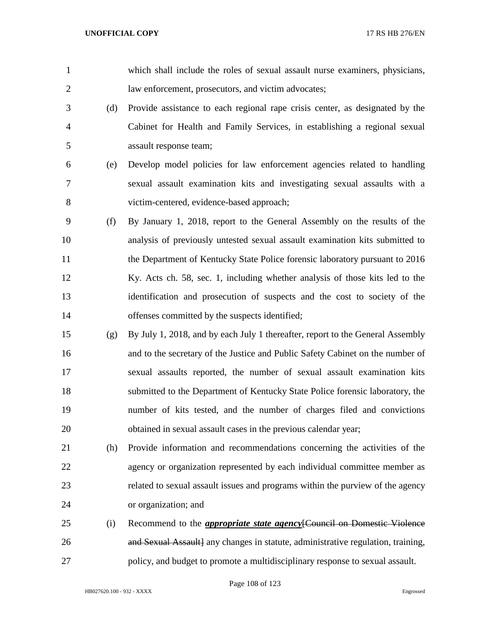| $\mathbf{1}$   |     | which shall include the roles of sexual assault nurse examiners, physicians,     |
|----------------|-----|----------------------------------------------------------------------------------|
| $\overline{2}$ |     | law enforcement, prosecutors, and victim advocates;                              |
| 3              | (d) | Provide assistance to each regional rape crisis center, as designated by the     |
| $\overline{4}$ |     | Cabinet for Health and Family Services, in establishing a regional sexual        |
| 5              |     | assault response team;                                                           |
| 6              | (e) | Develop model policies for law enforcement agencies related to handling          |
| 7              |     | sexual assault examination kits and investigating sexual assaults with a         |
| 8              |     | victim-centered, evidence-based approach;                                        |
| 9              | (f) | By January 1, 2018, report to the General Assembly on the results of the         |
| 10             |     | analysis of previously untested sexual assault examination kits submitted to     |
| 11             |     | the Department of Kentucky State Police forensic laboratory pursuant to 2016     |
| 12             |     | Ky. Acts ch. 58, sec. 1, including whether analysis of those kits led to the     |
| 13             |     | identification and prosecution of suspects and the cost to society of the        |
| 14             |     | offenses committed by the suspects identified;                                   |
| 15             | (g) | By July 1, 2018, and by each July 1 thereafter, report to the General Assembly   |
| 16             |     | and to the secretary of the Justice and Public Safety Cabinet on the number of   |
| 17             |     | sexual assaults reported, the number of sexual assault examination kits          |
| 18             |     | submitted to the Department of Kentucky State Police forensic laboratory, the    |
| 19             |     | number of kits tested, and the number of charges filed and convictions           |
| 20             |     | obtained in sexual assault cases in the previous calendar year;                  |
| 21             | (h) | Provide information and recommendations concerning the activities of the         |
| 22             |     | agency or organization represented by each individual committee member as        |
| 23             |     | related to sexual assault issues and programs within the purview of the agency   |
| 24             |     | or organization; and                                                             |
| 25             | (i) | Recommend to the <i>appropriate state agency</i> [Council on Domestic Violence   |
| 26             |     | and Sexual Assault] any changes in statute, administrative regulation, training, |
| 27             |     | policy, and budget to promote a multidisciplinary response to sexual assault.    |

Page 108 of 123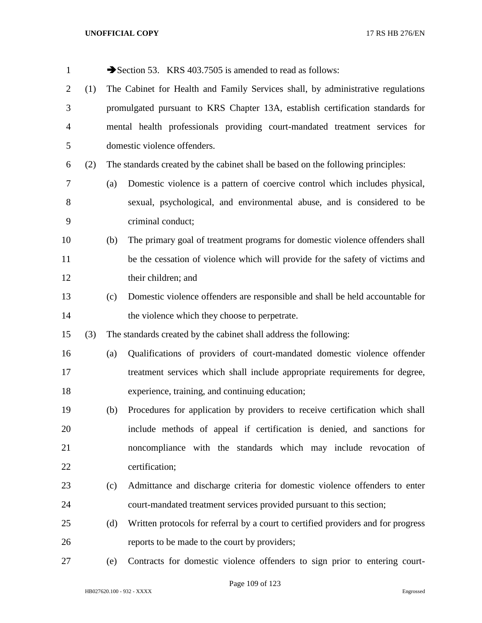| $\mathbf{1}$   |     |     | Section 53. KRS 403.7505 is amended to read as follows:                           |
|----------------|-----|-----|-----------------------------------------------------------------------------------|
| $\overline{2}$ | (1) |     | The Cabinet for Health and Family Services shall, by administrative regulations   |
| 3              |     |     | promulgated pursuant to KRS Chapter 13A, establish certification standards for    |
| $\overline{4}$ |     |     | mental health professionals providing court-mandated treatment services for       |
| 5              |     |     | domestic violence offenders.                                                      |
| 6              | (2) |     | The standards created by the cabinet shall be based on the following principles:  |
| 7              |     | (a) | Domestic violence is a pattern of coercive control which includes physical,       |
| $8\,$          |     |     | sexual, psychological, and environmental abuse, and is considered to be           |
| 9              |     |     | criminal conduct;                                                                 |
| 10             |     | (b) | The primary goal of treatment programs for domestic violence offenders shall      |
| 11             |     |     | be the cessation of violence which will provide for the safety of victims and     |
| 12             |     |     | their children; and                                                               |
| 13             |     | (c) | Domestic violence offenders are responsible and shall be held accountable for     |
| 14             |     |     | the violence which they choose to perpetrate.                                     |
| 15             | (3) |     | The standards created by the cabinet shall address the following:                 |
| 16             |     | (a) | Qualifications of providers of court-mandated domestic violence offender          |
| 17             |     |     | treatment services which shall include appropriate requirements for degree,       |
| 18             |     |     | experience, training, and continuing education;                                   |
| 19             |     | (b) | Procedures for application by providers to receive certification which shall      |
| 20             |     |     | include methods of appeal if certification is denied, and sanctions for           |
| 21             |     |     | noncompliance with the standards which may include revocation of                  |
| 22             |     |     | certification;                                                                    |
| 23             |     | (c) | Admittance and discharge criteria for domestic violence offenders to enter        |
| 24             |     |     | court-mandated treatment services provided pursuant to this section;              |
| 25             |     | (d) | Written protocols for referral by a court to certified providers and for progress |
| 26             |     |     | reports to be made to the court by providers;                                     |
| 27             |     | (e) | Contracts for domestic violence offenders to sign prior to entering court-        |

Page 109 of 123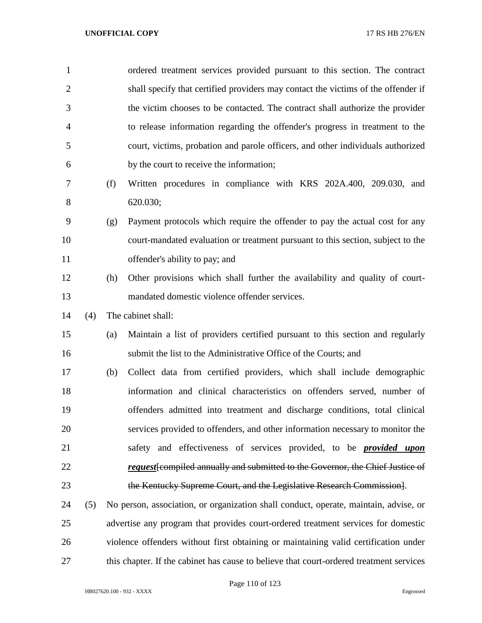| $\mathbf{1}$   |     |     | ordered treatment services provided pursuant to this section. The contract              |
|----------------|-----|-----|-----------------------------------------------------------------------------------------|
| $\overline{2}$ |     |     | shall specify that certified providers may contact the victims of the offender if       |
| 3              |     |     | the victim chooses to be contacted. The contract shall authorize the provider           |
| 4              |     |     | to release information regarding the offender's progress in treatment to the            |
| 5              |     |     | court, victims, probation and parole officers, and other individuals authorized         |
| 6              |     |     | by the court to receive the information;                                                |
| 7              |     | (f) | Written procedures in compliance with KRS 202A.400, 209.030, and                        |
| 8              |     |     | 620.030;                                                                                |
| 9              |     | (g) | Payment protocols which require the offender to pay the actual cost for any             |
| 10             |     |     | court-mandated evaluation or treatment pursuant to this section, subject to the         |
| 11             |     |     | offender's ability to pay; and                                                          |
| 12             |     | (h) | Other provisions which shall further the availability and quality of court-             |
| 13             |     |     | mandated domestic violence offender services.                                           |
| 14             | (4) |     | The cabinet shall:                                                                      |
| 15             |     | (a) | Maintain a list of providers certified pursuant to this section and regularly           |
| 16             |     |     | submit the list to the Administrative Office of the Courts; and                         |
| 17             |     | (b) | Collect data from certified providers, which shall include demographic                  |
| 18             |     |     | information and clinical characteristics on offenders served, number of                 |
| 19             |     |     | offenders admitted into treatment and discharge conditions, total clinical              |
| 20             |     |     | services provided to offenders, and other information necessary to monitor the          |
| 21             |     |     | safety and effectiveness of services provided, to be <b>provided upon</b>               |
| 22             |     |     | <i>request</i> from priced annually and submitted to the Governor, the Chief Justice of |
| 23             |     |     | the Kentucky Supreme Court, and the Legislative Research Commission.                    |
| 24             | (5) |     | No person, association, or organization shall conduct, operate, maintain, advise, or    |
| 25             |     |     | advertise any program that provides court-ordered treatment services for domestic       |

this chapter. If the cabinet has cause to believe that court-ordered treatment services

violence offenders without first obtaining or maintaining valid certification under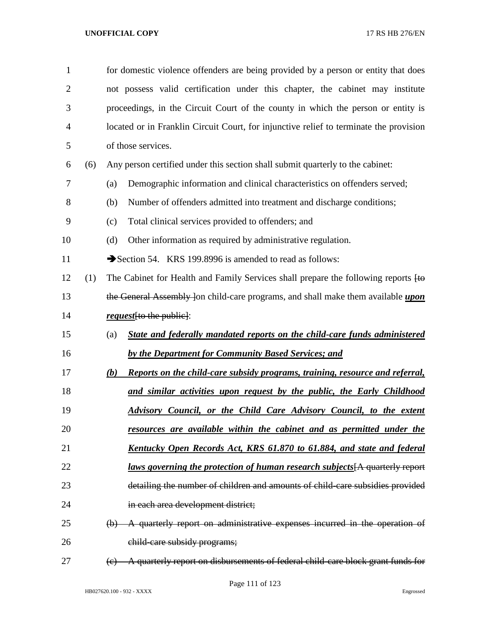| $\mathbf{1}$   |     | for domestic violence offenders are being provided by a person or entity that does                |
|----------------|-----|---------------------------------------------------------------------------------------------------|
| $\overline{2}$ |     | not possess valid certification under this chapter, the cabinet may institute                     |
| 3              |     | proceedings, in the Circuit Court of the county in which the person or entity is                  |
| $\overline{4}$ |     | located or in Franklin Circuit Court, for injunctive relief to terminate the provision            |
| 5              |     | of those services.                                                                                |
| 6              | (6) | Any person certified under this section shall submit quarterly to the cabinet:                    |
| 7              |     | Demographic information and clinical characteristics on offenders served;<br>(a)                  |
| 8              |     | Number of offenders admitted into treatment and discharge conditions;<br>(b)                      |
| 9              |     | Total clinical services provided to offenders; and<br>(c)                                         |
| 10             |     | Other information as required by administrative regulation.<br>(d)                                |
| 11             |     | Section 54. KRS 199.8996 is amended to read as follows:                                           |
| 12             | (1) | The Cabinet for Health and Family Services shall prepare the following reports $H\leftrightarrow$ |
| 13             |     | the General Assembly Jon child-care programs, and shall make them available upon                  |
| 14             |     | <i>request</i> [to the public]:                                                                   |
| 15             |     | State and federally mandated reports on the child-care funds administered<br>(a)                  |
| 16             |     | by the Department for Community Based Services; and                                               |
| 17             |     | <b>Reports on the child-care subsidy programs, training, resource and referral,</b><br>(b)        |
| 18             |     | and similar activities upon request by the public, the Early Childhood                            |
| 19             |     | Advisory Council, or the Child Care Advisory Council, to the extent                               |
| 20             |     | resources are available within the cabinet and as permitted under the                             |
| 21             |     | <u>Kentucky Open Records Act, KRS 61.870 to 61.884, and state and federal</u>                     |
| 22             |     | <u>laws governing the protection of human research subjects</u> [A quarterly report               |
| 23             |     | detailing the number of children and amounts of child-care subsidies provided                     |
| 24             |     | in each area development district;                                                                |
| 25             |     | A quarterly report on administrative expenses incurred in the operation of<br>(b)                 |
| 26             |     | child-care subsidy programs;                                                                      |
| 27             |     | A quarterly report on disbursements of federal child-care block grant funds for<br>(e)            |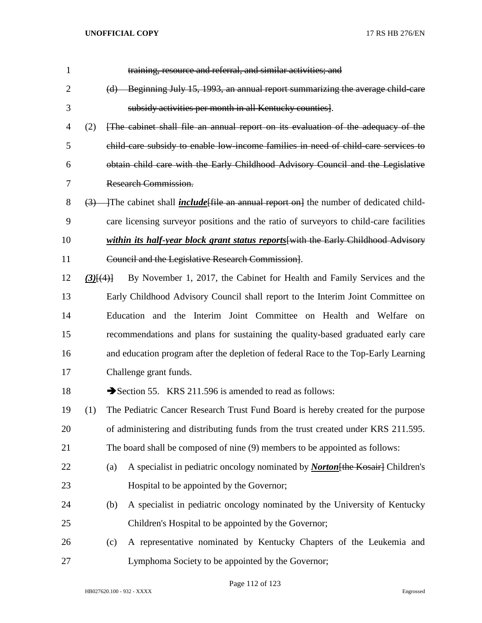| $\mathbf{1}$   |               | training, resource and referral, and similar activities; and                                              |
|----------------|---------------|-----------------------------------------------------------------------------------------------------------|
| $\overline{2}$ |               | (d) Beginning July 15, 1993, an annual report summarizing the average child care                          |
| 3              |               | subsidy activities per month in all Kentucky counties].                                                   |
| 4              | (2)           | [The cabinet shall file an annual report on its evaluation of the adequacy of the                         |
| 5              |               | child care subsidy to enable low income families in need of child care services to                        |
| 6              |               | obtain child care with the Early Childhood Advisory Council and the Legislative                           |
| 7              |               | <b>Research Commission.</b>                                                                               |
| 8              |               | $\left(3\right)$ The cabinet shall <i>include</i> file an annual report on the number of dedicated child- |
| 9              |               | care licensing surveyor positions and the ratio of surveyors to child-care facilities                     |
| 10             |               | within its half-year block grant status reports [with the Early Childhood Advisory                        |
| 11             |               | Council and the Legislative Research Commission.                                                          |
| 12             | $(3)$ $\{4\}$ | By November 1, 2017, the Cabinet for Health and Family Services and the                                   |
| 13             |               | Early Childhood Advisory Council shall report to the Interim Joint Committee on                           |
| 14             |               | Education and the Interim Joint Committee on Health and Welfare on                                        |
| 15             |               | recommendations and plans for sustaining the quality-based graduated early care                           |
| 16             |               | and education program after the depletion of federal Race to the Top-Early Learning                       |
| 17             |               | Challenge grant funds.                                                                                    |
| 18             |               | Section 55. KRS 211.596 is amended to read as follows:                                                    |
| 19             | (1)           | The Pediatric Cancer Research Trust Fund Board is hereby created for the purpose                          |
| 20             |               | of administering and distributing funds from the trust created under KRS 211.595.                         |
| 21             |               | The board shall be composed of nine (9) members to be appointed as follows:                               |
| 22             | (a)           | A specialist in pediatric oncology nominated by <b>Norton</b> [the Kosair] Children's                     |
| 23             |               | Hospital to be appointed by the Governor;                                                                 |
| 24             | (b)           | A specialist in pediatric oncology nominated by the University of Kentucky                                |
| 25             |               | Children's Hospital to be appointed by the Governor;                                                      |
| 26             | (c)           | A representative nominated by Kentucky Chapters of the Leukemia and                                       |
| 27             |               | Lymphoma Society to be appointed by the Governor;                                                         |

Page 112 of 123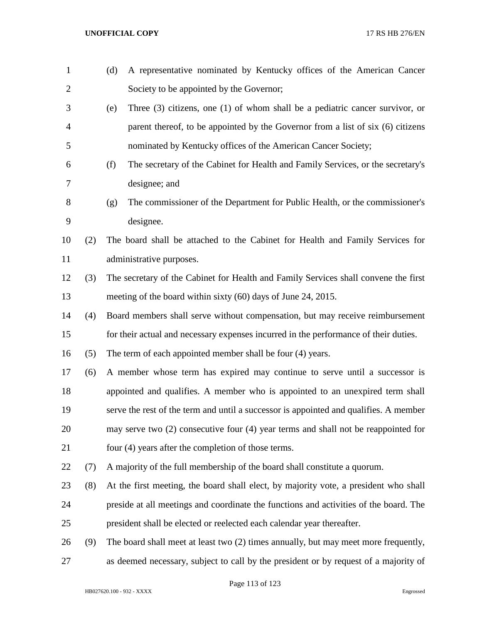| $\mathbf{1}$   |     | A representative nominated by Kentucky offices of the American Cancer<br>(d)            |
|----------------|-----|-----------------------------------------------------------------------------------------|
| $\overline{2}$ |     | Society to be appointed by the Governor;                                                |
| 3              |     | Three $(3)$ citizens, one $(1)$ of whom shall be a pediatric cancer survivor, or<br>(e) |
| 4              |     | parent thereof, to be appointed by the Governor from a list of six (6) citizens         |
| 5              |     | nominated by Kentucky offices of the American Cancer Society;                           |
| 6              |     | The secretary of the Cabinet for Health and Family Services, or the secretary's<br>(f)  |
| 7              |     | designee; and                                                                           |
| 8              |     | The commissioner of the Department for Public Health, or the commissioner's<br>(g)      |
| 9              |     | designee.                                                                               |
| 10             | (2) | The board shall be attached to the Cabinet for Health and Family Services for           |
| 11             |     | administrative purposes.                                                                |
| 12             | (3) | The secretary of the Cabinet for Health and Family Services shall convene the first     |
| 13             |     | meeting of the board within sixty (60) days of June 24, 2015.                           |
| 14             | (4) | Board members shall serve without compensation, but may receive reimbursement           |
| 15             |     | for their actual and necessary expenses incurred in the performance of their duties.    |
| 16             | (5) | The term of each appointed member shall be four (4) years.                              |
| 17             | (6) | A member whose term has expired may continue to serve until a successor is              |
| 18             |     | appointed and qualifies. A member who is appointed to an unexpired term shall           |
| 19             |     | serve the rest of the term and until a successor is appointed and qualifies. A member   |
| 20             |     | may serve two (2) consecutive four (4) year terms and shall not be reappointed for      |
| 21             |     | four (4) years after the completion of those terms.                                     |
| 22             | (7) | A majority of the full membership of the board shall constitute a quorum.               |
| 23             | (8) | At the first meeting, the board shall elect, by majority vote, a president who shall    |
| 24             |     | preside at all meetings and coordinate the functions and activities of the board. The   |
| 25             |     | president shall be elected or reelected each calendar year thereafter.                  |
| 26             | (9) | The board shall meet at least two (2) times annually, but may meet more frequently,     |
| 27             |     | as deemed necessary, subject to call by the president or by request of a majority of    |

Page 113 of 123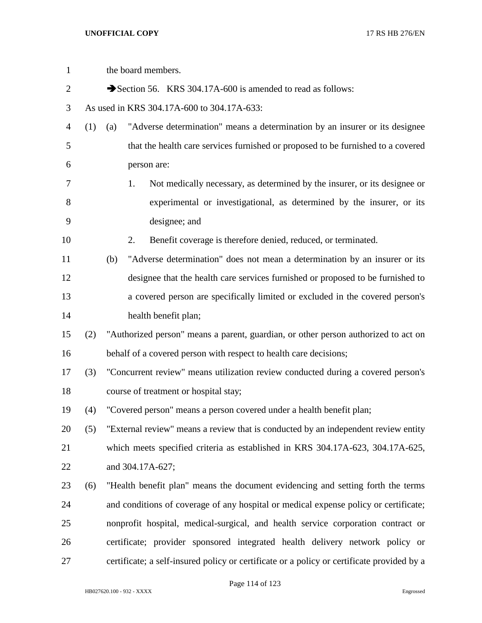| $\mathbf{1}$   |     |     | the board members.                                                                         |
|----------------|-----|-----|--------------------------------------------------------------------------------------------|
| $\overline{2}$ |     |     | Section 56. KRS 304.17A-600 is amended to read as follows:                                 |
| 3              |     |     | As used in KRS 304.17A-600 to 304.17A-633:                                                 |
| $\overline{4}$ | (1) | (a) | "Adverse determination" means a determination by an insurer or its designee                |
| 5              |     |     | that the health care services furnished or proposed to be furnished to a covered           |
| 6              |     |     | person are:                                                                                |
| 7              |     |     | Not medically necessary, as determined by the insurer, or its designee or<br>1.            |
| $8\,$          |     |     | experimental or investigational, as determined by the insurer, or its                      |
| 9              |     |     | designee; and                                                                              |
| 10             |     |     | Benefit coverage is therefore denied, reduced, or terminated.<br>2.                        |
| 11             |     | (b) | "Adverse determination" does not mean a determination by an insurer or its                 |
| 12             |     |     | designee that the health care services furnished or proposed to be furnished to            |
| 13             |     |     | a covered person are specifically limited or excluded in the covered person's              |
| 14             |     |     | health benefit plan;                                                                       |
| 15             | (2) |     | "Authorized person" means a parent, guardian, or other person authorized to act on         |
| 16             |     |     | behalf of a covered person with respect to health care decisions;                          |
| 17             | (3) |     | "Concurrent review" means utilization review conducted during a covered person's           |
| 18             |     |     | course of treatment or hospital stay;                                                      |
| 19             | (4) |     | "Covered person" means a person covered under a health benefit plan;                       |
| 20             | (5) |     | "External review" means a review that is conducted by an independent review entity         |
| 21             |     |     | which meets specified criteria as established in KRS 304.17A-623, 304.17A-625,             |
| 22             |     |     | and 304.17A-627;                                                                           |
| 23             | (6) |     | "Health benefit plan" means the document evidencing and setting forth the terms            |
| 24             |     |     | and conditions of coverage of any hospital or medical expense policy or certificate;       |
| 25             |     |     | nonprofit hospital, medical-surgical, and health service corporation contract or           |
| 26             |     |     | certificate; provider sponsored integrated health delivery network policy or               |
| 27             |     |     | certificate; a self-insured policy or certificate or a policy or certificate provided by a |

Page 114 of 123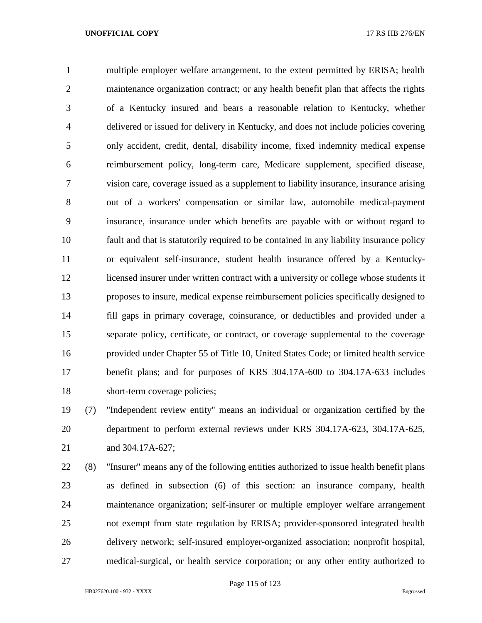multiple employer welfare arrangement, to the extent permitted by ERISA; health 2 maintenance organization contract; or any health benefit plan that affects the rights of a Kentucky insured and bears a reasonable relation to Kentucky, whether delivered or issued for delivery in Kentucky, and does not include policies covering only accident, credit, dental, disability income, fixed indemnity medical expense reimbursement policy, long-term care, Medicare supplement, specified disease, vision care, coverage issued as a supplement to liability insurance, insurance arising out of a workers' compensation or similar law, automobile medical-payment insurance, insurance under which benefits are payable with or without regard to fault and that is statutorily required to be contained in any liability insurance policy or equivalent self-insurance, student health insurance offered by a Kentucky- licensed insurer under written contract with a university or college whose students it proposes to insure, medical expense reimbursement policies specifically designed to fill gaps in primary coverage, coinsurance, or deductibles and provided under a separate policy, certificate, or contract, or coverage supplemental to the coverage provided under Chapter 55 of Title 10, United States Code; or limited health service benefit plans; and for purposes of KRS 304.17A-600 to 304.17A-633 includes short-term coverage policies;

 (7) "Independent review entity" means an individual or organization certified by the department to perform external reviews under KRS 304.17A-623, 304.17A-625, and 304.17A-627;

 (8) "Insurer" means any of the following entities authorized to issue health benefit plans as defined in subsection (6) of this section: an insurance company, health maintenance organization; self-insurer or multiple employer welfare arrangement not exempt from state regulation by ERISA; provider-sponsored integrated health delivery network; self-insured employer-organized association; nonprofit hospital, medical-surgical, or health service corporation; or any other entity authorized to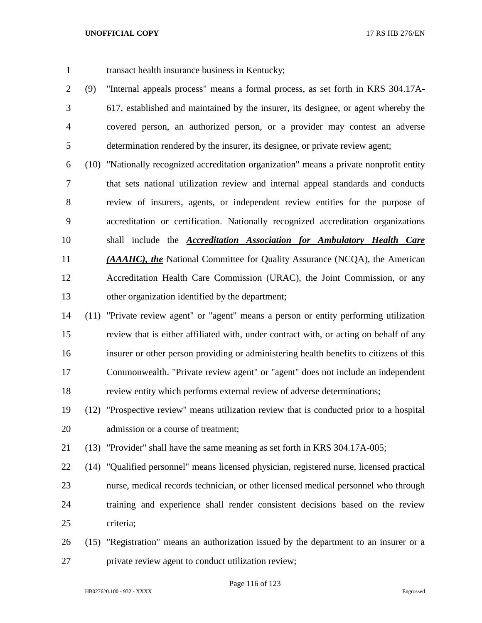- transact health insurance business in Kentucky;
- (9) "Internal appeals process" means a formal process, as set forth in KRS 304.17A- 617, established and maintained by the insurer, its designee, or agent whereby the covered person, an authorized person, or a provider may contest an adverse determination rendered by the insurer, its designee, or private review agent;
- (10) "Nationally recognized accreditation organization" means a private nonprofit entity that sets national utilization review and internal appeal standards and conducts review of insurers, agents, or independent review entities for the purpose of accreditation or certification. Nationally recognized accreditation organizations shall include the *Accreditation Association for Ambulatory Health Care (AAAHC), the* National Committee for Quality Assurance (NCQA), the American Accreditation Health Care Commission (URAC), the Joint Commission, or any other organization identified by the department;
- (11) "Private review agent" or "agent" means a person or entity performing utilization review that is either affiliated with, under contract with, or acting on behalf of any insurer or other person providing or administering health benefits to citizens of this Commonwealth. "Private review agent" or "agent" does not include an independent review entity which performs external review of adverse determinations;
- (12) "Prospective review" means utilization review that is conducted prior to a hospital admission or a course of treatment;
- (13) "Provider" shall have the same meaning as set forth in KRS 304.17A-005;
- (14) "Qualified personnel" means licensed physician, registered nurse, licensed practical nurse, medical records technician, or other licensed medical personnel who through training and experience shall render consistent decisions based on the review criteria;
- (15) "Registration" means an authorization issued by the department to an insurer or a private review agent to conduct utilization review;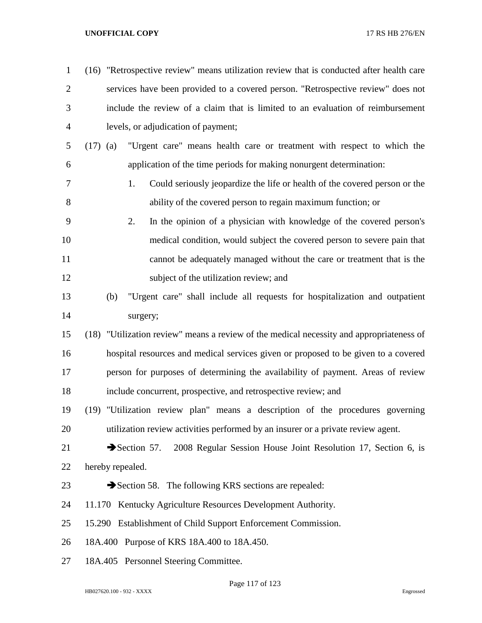| $\mathbf{1}$   |            | (16) "Retrospective review" means utilization review that is conducted after health care |
|----------------|------------|------------------------------------------------------------------------------------------|
| $\overline{2}$ |            | services have been provided to a covered person. "Retrospective review" does not         |
| 3              |            | include the review of a claim that is limited to an evaluation of reimbursement          |
| $\overline{4}$ |            | levels, or adjudication of payment;                                                      |
| 5              | $(17)$ (a) | "Urgent care" means health care or treatment with respect to which the                   |
| 6              |            | application of the time periods for making nonurgent determination:                      |
| $\tau$         |            | 1.<br>Could seriously jeopardize the life or health of the covered person or the         |
| 8              |            | ability of the covered person to regain maximum function; or                             |
| 9              |            | 2.<br>In the opinion of a physician with knowledge of the covered person's               |
| 10             |            | medical condition, would subject the covered person to severe pain that                  |
| 11             |            | cannot be adequately managed without the care or treatment that is the                   |
| 12             |            | subject of the utilization review; and                                                   |
| 13             |            | "Urgent care" shall include all requests for hospitalization and outpatient<br>(b)       |
| 14             |            | surgery;                                                                                 |
| 15             |            | (18) "Utilization review" means a review of the medical necessity and appropriateness of |
| 16             |            | hospital resources and medical services given or proposed to be given to a covered       |
| 17             |            | person for purposes of determining the availability of payment. Areas of review          |
| 18             |            | include concurrent, prospective, and retrospective review; and                           |
| 19             |            | (19) "Utilization review plan" means a description of the procedures governing           |
| 20             |            | utilization review activities performed by an insurer or a private review agent.         |
| 21             |            | Section 57.<br>2008 Regular Session House Joint Resolution 17, Section 6, is             |
| 22             |            | hereby repealed.                                                                         |
| 23             |            | Section 58. The following KRS sections are repealed:                                     |
| 24             |            | 11.170 Kentucky Agriculture Resources Development Authority.                             |
| 25             |            | 15.290 Establishment of Child Support Enforcement Commission.                            |
| 26             |            | 18A.400 Purpose of KRS 18A.400 to 18A.450.                                               |
| 27             |            | 18A.405 Personnel Steering Committee.                                                    |
|                |            |                                                                                          |

Page 117 of 123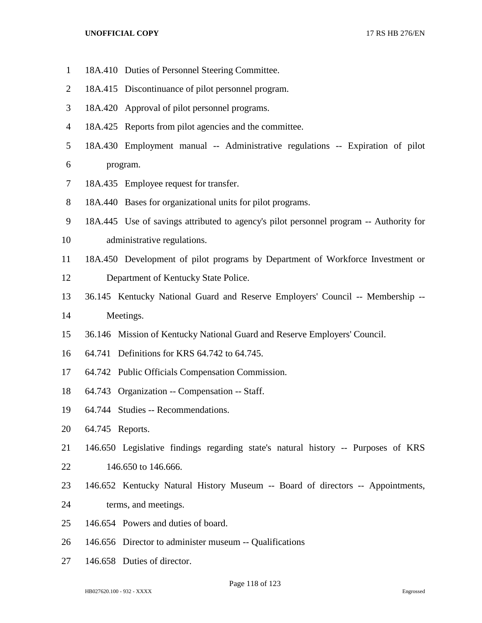- 18A.410 Duties of Personnel Steering Committee. 18A.415 Discontinuance of pilot personnel program. 18A.420 Approval of pilot personnel programs. 18A.425 Reports from pilot agencies and the committee. 18A.430 Employment manual -- Administrative regulations -- Expiration of pilot program. 18A.435 Employee request for transfer. 18A.440 Bases for organizational units for pilot programs. 18A.445 Use of savings attributed to agency's pilot personnel program -- Authority for administrative regulations. 18A.450 Development of pilot programs by Department of Workforce Investment or Department of Kentucky State Police. 36.145 Kentucky National Guard and Reserve Employers' Council -- Membership -- Meetings. 36.146 Mission of Kentucky National Guard and Reserve Employers' Council. 64.741 Definitions for KRS 64.742 to 64.745. 64.742 Public Officials Compensation Commission. 64.743 Organization -- Compensation -- Staff. 64.744 Studies -- Recommendations. 64.745 Reports. 146.650 Legislative findings regarding state's natural history -- Purposes of KRS 146.650 to 146.666. 146.652 Kentucky Natural History Museum -- Board of directors -- Appointments, terms, and meetings. 146.654 Powers and duties of board.
- 146.656 Director to administer museum -- Qualifications
- 146.658 Duties of director.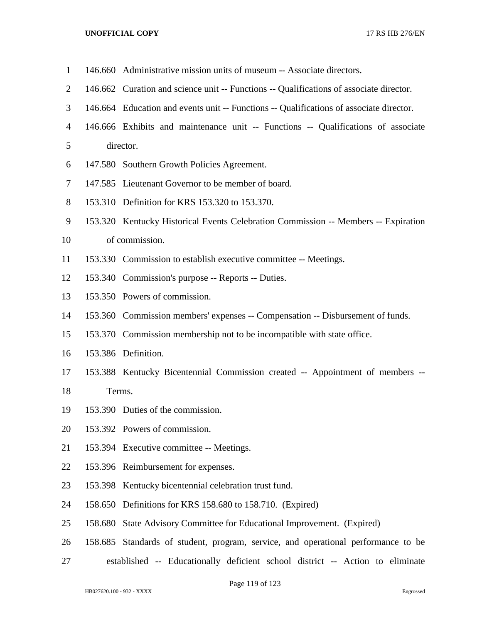- 146.660 Administrative mission units of museum -- Associate directors.
- 146.662 Curation and science unit -- Functions -- Qualifications of associate director.
- 146.664 Education and events unit -- Functions -- Qualifications of associate director.
- 146.666 Exhibits and maintenance unit -- Functions -- Qualifications of associate director.
- 147.580 Southern Growth Policies Agreement.
- 147.585 Lieutenant Governor to be member of board.
- 153.310 Definition for KRS 153.320 to 153.370.
- 153.320 Kentucky Historical Events Celebration Commission -- Members -- Expiration
- of commission.
- 153.330 Commission to establish executive committee -- Meetings.
- 153.340 Commission's purpose -- Reports -- Duties.
- 153.350 Powers of commission.
- 153.360 Commission members' expenses -- Compensation -- Disbursement of funds.
- 153.370 Commission membership not to be incompatible with state office.
- 153.386 Definition.
- 153.388 Kentucky Bicentennial Commission created -- Appointment of members --

Terms.

- 153.390 Duties of the commission.
- 153.392 Powers of commission.
- 153.394 Executive committee -- Meetings.
- 153.396 Reimbursement for expenses.
- 153.398 Kentucky bicentennial celebration trust fund.
- 158.650 Definitions for KRS 158.680 to 158.710. (Expired)
- 158.680 State Advisory Committee for Educational Improvement. (Expired)
- 158.685 Standards of student, program, service, and operational performance to be
- established -- Educationally deficient school district -- Action to eliminate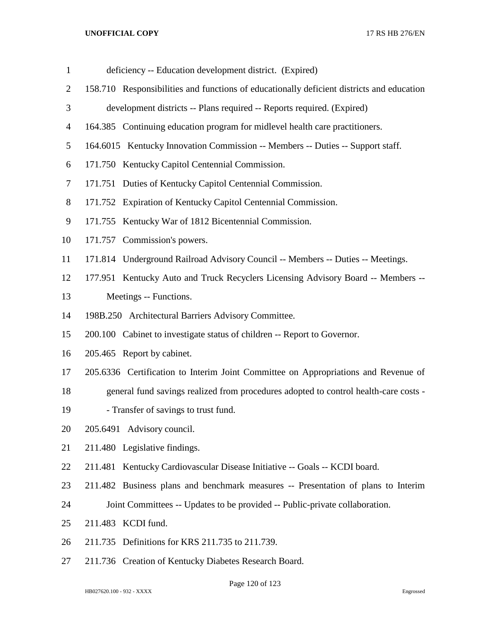| $\mathbf{1}$   | deficiency -- Education development district. (Expired)                                   |
|----------------|-------------------------------------------------------------------------------------------|
| $\overline{2}$ | 158.710 Responsibilities and functions of educationally deficient districts and education |
| 3              | development districts -- Plans required -- Reports required. (Expired)                    |
| $\overline{4}$ | 164.385 Continuing education program for midlevel health care practitioners.              |
| 5              | 164.6015 Kentucky Innovation Commission -- Members -- Duties -- Support staff.            |
| 6              | 171.750 Kentucky Capitol Centennial Commission.                                           |
| 7              | 171.751 Duties of Kentucky Capitol Centennial Commission.                                 |
| $8\,$          | 171.752 Expiration of Kentucky Capitol Centennial Commission.                             |
| 9              | 171.755 Kentucky War of 1812 Bicentennial Commission.                                     |
| 10             | 171.757 Commission's powers.                                                              |
| 11             | 171.814 Underground Railroad Advisory Council -- Members -- Duties -- Meetings.           |
| 12             | 177.951 Kentucky Auto and Truck Recyclers Licensing Advisory Board -- Members --          |
| 13             | Meetings -- Functions.                                                                    |
| 14             | 198B.250 Architectural Barriers Advisory Committee.                                       |
| 15             | 200.100 Cabinet to investigate status of children -- Report to Governor.                  |
| 16             | 205.465 Report by cabinet.                                                                |
| 17             | 205.6336 Certification to Interim Joint Committee on Appropriations and Revenue of        |
| 18             | general fund savings realized from procedures adopted to control health-care costs -      |
| 19             | - Transfer of savings to trust fund.                                                      |
| 20             | 205.6491 Advisory council.                                                                |
| 21             | 211.480 Legislative findings.                                                             |
| 22             | 211.481 Kentucky Cardiovascular Disease Initiative -- Goals -- KCDI board.                |
| 23             | 211.482 Business plans and benchmark measures -- Presentation of plans to Interim         |
| 24             | Joint Committees -- Updates to be provided -- Public-private collaboration.               |
| 25             | 211.483 KCDI fund.                                                                        |
| 26             | 211.735 Definitions for KRS 211.735 to 211.739.                                           |
| 27             | 211.736 Creation of Kentucky Diabetes Research Board.                                     |
|                |                                                                                           |

Page 120 of 123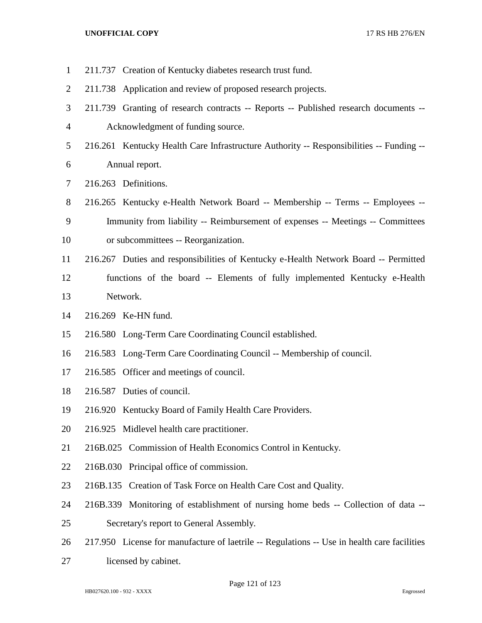| $\mathbf{1}$   | 211.737 Creation of Kentucky diabetes research trust fund.                                  |
|----------------|---------------------------------------------------------------------------------------------|
| 2              | 211.738 Application and review of proposed research projects.                               |
| 3              | 211.739 Granting of research contracts -- Reports -- Published research documents --        |
| $\overline{4}$ | Acknowledgment of funding source.                                                           |
| 5              | 216.261 Kentucky Health Care Infrastructure Authority -- Responsibilities -- Funding --     |
| 6              | Annual report.                                                                              |
| 7              | 216.263 Definitions.                                                                        |
| $8\,$          | 216.265 Kentucky e-Health Network Board -- Membership -- Terms -- Employees --              |
| 9              | Immunity from liability -- Reimbursement of expenses -- Meetings -- Committees              |
| 10             | or subcommittees -- Reorganization.                                                         |
| 11             | 216.267 Duties and responsibilities of Kentucky e-Health Network Board -- Permitted         |
| 12             | functions of the board -- Elements of fully implemented Kentucky e-Health                   |
| 13             | Network.                                                                                    |
| 14             | 216.269 Ke-HN fund.                                                                         |
| 15             | 216.580 Long-Term Care Coordinating Council established.                                    |
| 16             | 216.583 Long-Term Care Coordinating Council -- Membership of council.                       |
| 17             | 216.585 Officer and meetings of council.                                                    |
| 18             | 216.587 Duties of council.                                                                  |
| 19             | 216.920 Kentucky Board of Family Health Care Providers.                                     |
| 20             | 216.925 Midlevel health care practitioner.                                                  |
| 21             | 216B.025 Commission of Health Economics Control in Kentucky.                                |
| 22             | 216B.030 Principal office of commission.                                                    |
| 23             | 216B.135 Creation of Task Force on Health Care Cost and Quality.                            |
| 24             | 216B.339 Monitoring of establishment of nursing home beds -- Collection of data --          |
| 25             | Secretary's report to General Assembly.                                                     |
| 26             | 217.950 License for manufacture of laetrile -- Regulations -- Use in health care facilities |
| 27             | licensed by cabinet.                                                                        |

Page 121 of 123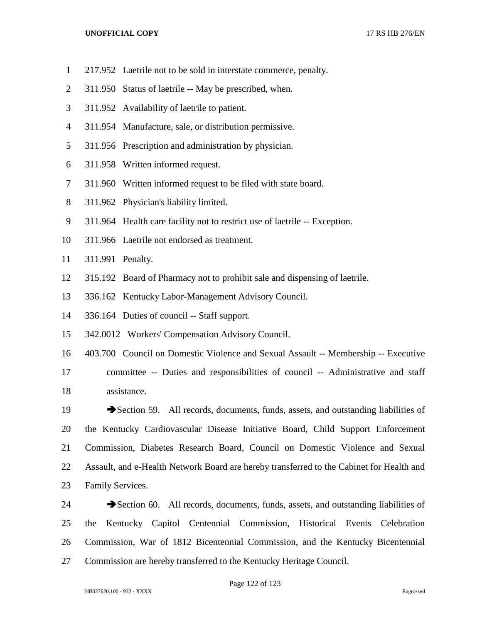- 217.952 Laetrile not to be sold in interstate commerce, penalty.
- 311.950 Status of laetrile -- May be prescribed, when.
- 311.952 Availability of laetrile to patient.
- 311.954 Manufacture, sale, or distribution permissive.
- 311.956 Prescription and administration by physician.
- 311.958 Written informed request.
- 311.960 Written informed request to be filed with state board.
- 311.962 Physician's liability limited.
- 311.964 Health care facility not to restrict use of laetrile -- Exception.
- 311.966 Laetrile not endorsed as treatment.
- 311.991 Penalty.
- 315.192 Board of Pharmacy not to prohibit sale and dispensing of laetrile.
- 336.162 Kentucky Labor-Management Advisory Council.
- 336.164 Duties of council -- Staff support.
- 342.0012 Workers' Compensation Advisory Council.
- 403.700 Council on Domestic Violence and Sexual Assault -- Membership -- Executive committee -- Duties and responsibilities of council -- Administrative and staff assistance.
- 19 Section 59. All records, documents, funds, assets, and outstanding liabilities of the Kentucky Cardiovascular Disease Initiative Board, Child Support Enforcement Commission, Diabetes Research Board, Council on Domestic Violence and Sexual Assault, and e-Health Network Board are hereby transferred to the Cabinet for Health and Family Services.
- 24 Section 60. All records, documents, funds, assets, and outstanding liabilities of the Kentucky Capitol Centennial Commission, Historical Events Celebration Commission, War of 1812 Bicentennial Commission, and the Kentucky Bicentennial Commission are hereby transferred to the Kentucky Heritage Council.